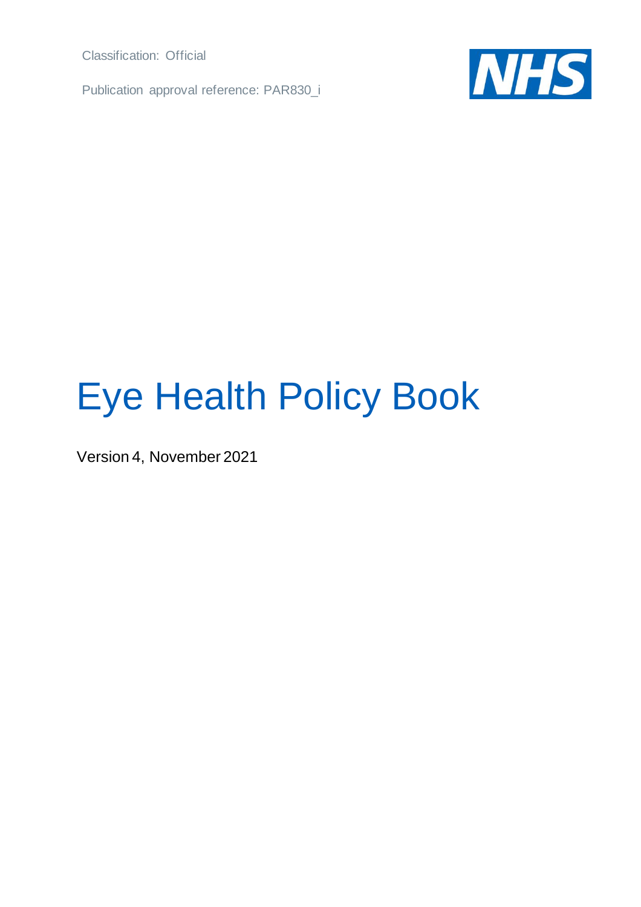Classification: Official

Publication approval reference: PAR830\_i



## Eye Health Policy Book

Version 4, November 2021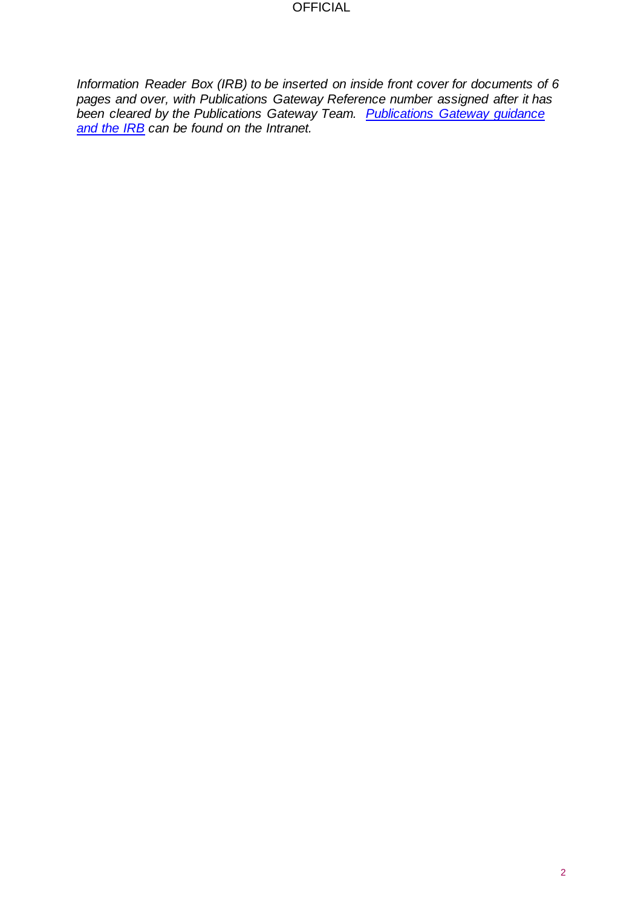*Information Reader Box (IRB) to be inserted on inside front cover for documents of 6 pages and over, with Publications Gateway Reference number assigned after it has been cleared by the Publications Gateway Team. [Publications Gateway guidance](https://nhsengland.sharepoint.com/TeamCentre/Operations/OperationsandDelivery/gateway/Pages/Home.aspx)  [and the IRB](https://nhsengland.sharepoint.com/TeamCentre/Operations/OperationsandDelivery/gateway/Pages/Home.aspx) can be found on the Intranet.*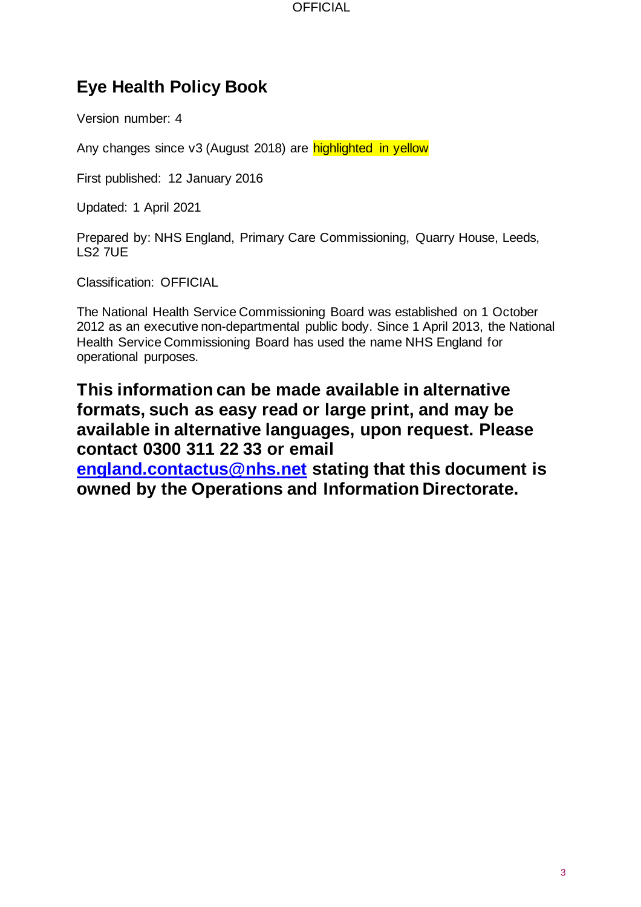## **Eye Health Policy Book**

Version number: 4

Any changes since v3 (August 2018) are highlighted in yellow

First published: 12 January 2016

Updated: 1 April 2021

Prepared by: NHS England, Primary Care Commissioning, Quarry House, Leeds, LS2 7UE

Classification: OFFICIAL

The National Health Service Commissioning Board was established on 1 October 2012 as an executive non-departmental public body. Since 1 April 2013, the National Health Service Commissioning Board has used the name NHS England for operational purposes.

## **This information can be made available in alternative formats, such as easy read or large print, and may be available in alternative languages, upon request. Please contact 0300 311 22 33 or email**

**[england.contactus@nhs.net](mailto:england.contactus@nhs.net) stating that this document is owned by the Operations and Information Directorate.**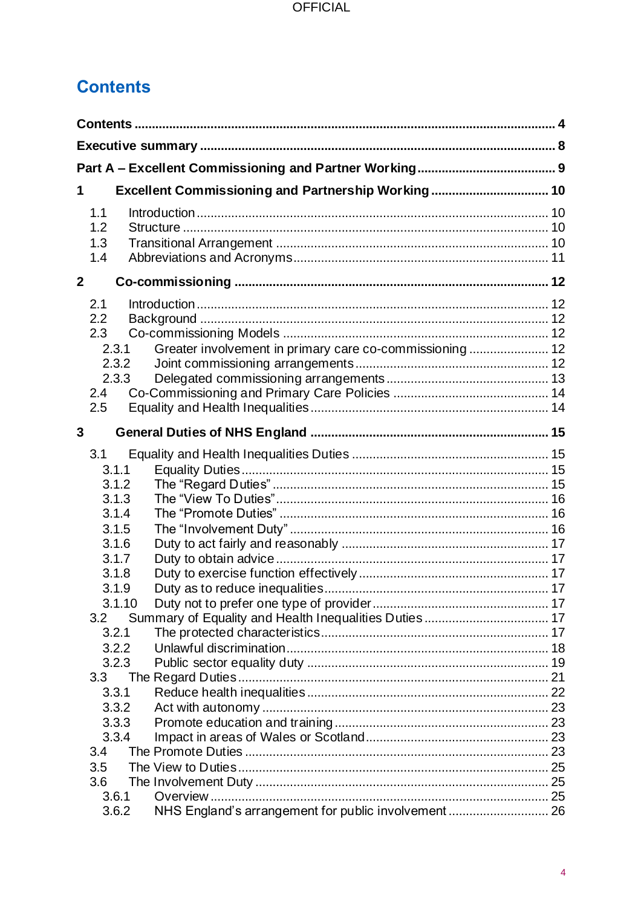## <span id="page-3-0"></span>**Contents**

| 1              |                  | Excellent Commissioning and Partnership Working 10      |  |
|----------------|------------------|---------------------------------------------------------|--|
|                |                  |                                                         |  |
|                | 1.1<br>1.2       |                                                         |  |
|                | 1.3              |                                                         |  |
|                | 1.4              |                                                         |  |
| $\overline{2}$ |                  |                                                         |  |
|                |                  |                                                         |  |
|                | 2.1              |                                                         |  |
|                | 2.2              |                                                         |  |
|                | 2.3              |                                                         |  |
|                | 2.3.1<br>2.3.2   | Greater involvement in primary care co-commissioning 12 |  |
|                | 2.3.3            |                                                         |  |
|                | 2.4              |                                                         |  |
|                | 2.5              |                                                         |  |
|                |                  |                                                         |  |
| 3              |                  |                                                         |  |
|                | 3.1              |                                                         |  |
|                | 3.1.1            |                                                         |  |
|                | 3.1.2            |                                                         |  |
|                | 3.1.3            |                                                         |  |
|                | 3.1.4            |                                                         |  |
|                | 3.1.5            |                                                         |  |
|                | 3.1.6            |                                                         |  |
|                | 3.1.7            |                                                         |  |
|                | 3.1.8            |                                                         |  |
|                | 3.1.9<br>3.1.10  |                                                         |  |
|                | 3.2              |                                                         |  |
|                | 3.2.1            |                                                         |  |
|                | 3.2.2            |                                                         |  |
|                | 3.2.3            |                                                         |  |
|                | 3.3 <sub>2</sub> |                                                         |  |
|                | 3.3.1            |                                                         |  |
|                | 3.3.2            |                                                         |  |
|                | 3.3.3            |                                                         |  |
|                | 3.3.4            |                                                         |  |
|                | 3.4              |                                                         |  |
|                | 3.5              |                                                         |  |
|                | 3.6              |                                                         |  |
|                | 3.6.1            |                                                         |  |
|                | 3.6.2            | NHS England's arrangement for public involvement 26     |  |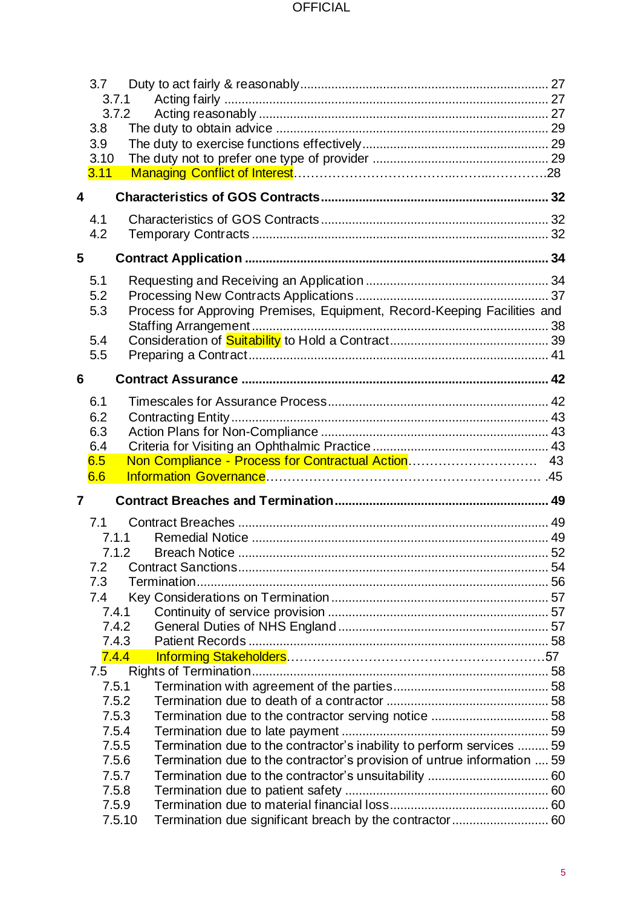|   | 3.7             |                                                                          |  |
|---|-----------------|--------------------------------------------------------------------------|--|
|   | 3.7.1<br>3.7.2  |                                                                          |  |
|   | 3.8             |                                                                          |  |
|   | 3.9             |                                                                          |  |
|   | 3.10            |                                                                          |  |
|   | 3.11            |                                                                          |  |
| 4 |                 |                                                                          |  |
|   |                 |                                                                          |  |
|   | 4.1<br>4.2      |                                                                          |  |
|   |                 |                                                                          |  |
| 5 |                 |                                                                          |  |
|   | 5.1             |                                                                          |  |
|   | 5.2             |                                                                          |  |
|   | 5.3             | Process for Approving Premises, Equipment, Record-Keeping Facilities and |  |
|   | 5.4             |                                                                          |  |
|   | 5.5             |                                                                          |  |
|   |                 |                                                                          |  |
| 6 |                 |                                                                          |  |
|   | 6.1             |                                                                          |  |
|   | 6.2             |                                                                          |  |
|   | 6.3             |                                                                          |  |
|   | 6.4             |                                                                          |  |
|   | 6.5             |                                                                          |  |
|   | 6.6             |                                                                          |  |
| 7 |                 |                                                                          |  |
|   | 7.1             |                                                                          |  |
|   | 7.1.1           |                                                                          |  |
|   |                 |                                                                          |  |
|   | 7.2             |                                                                          |  |
|   | 7.3             |                                                                          |  |
|   | 7.4<br>7.4.1    |                                                                          |  |
|   | 7.4.2           |                                                                          |  |
|   | 7.4.3           |                                                                          |  |
|   | 7.4.4           |                                                                          |  |
|   | 7.5             |                                                                          |  |
|   | 7.5.1           |                                                                          |  |
|   | 7.5.2           |                                                                          |  |
|   | 7.5.3           |                                                                          |  |
|   | 7.5.4           |                                                                          |  |
|   | 7.5.5           | Termination due to the contractor's inability to perform services  59    |  |
|   | 7.5.6           | Termination due to the contractor's provision of untrue information  59  |  |
|   |                 |                                                                          |  |
|   | 7.5.7           |                                                                          |  |
|   | 7.5.8           |                                                                          |  |
|   | 7.5.9<br>7.5.10 |                                                                          |  |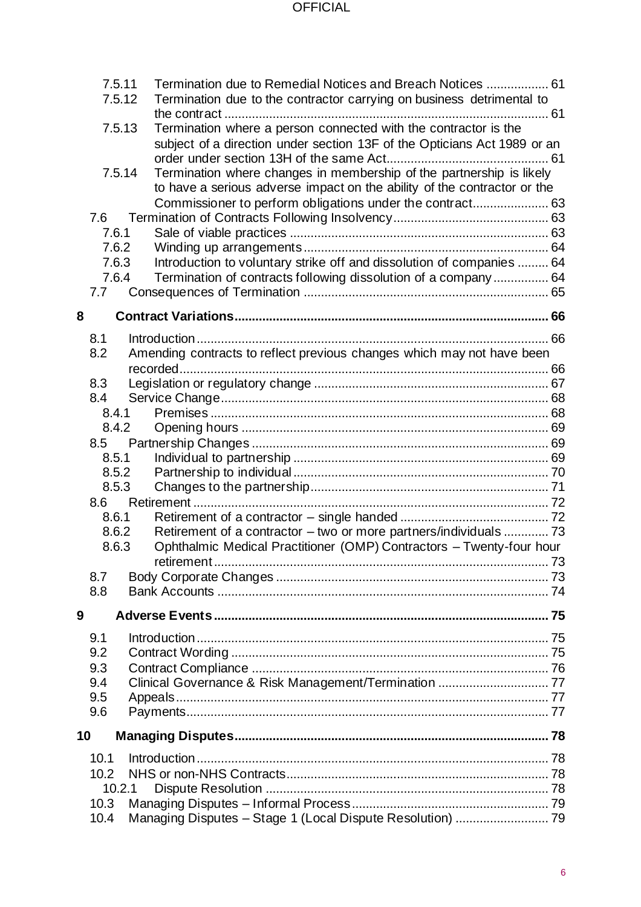|    | 7.5.11<br>7.5.12 | Termination due to Remedial Notices and Breach Notices  61<br>Termination due to the contractor carrying on business detrimental to                                                                                                                                                             |  |
|----|------------------|-------------------------------------------------------------------------------------------------------------------------------------------------------------------------------------------------------------------------------------------------------------------------------------------------|--|
|    | 7.5.13<br>7.5.14 | Termination where a person connected with the contractor is the<br>subject of a direction under section 13F of the Opticians Act 1989 or an<br>Termination where changes in membership of the partnership is likely<br>to have a serious adverse impact on the ability of the contractor or the |  |
|    |                  | Commissioner to perform obligations under the contract 63                                                                                                                                                                                                                                       |  |
|    | 7.6              |                                                                                                                                                                                                                                                                                                 |  |
|    | 7.6.1            |                                                                                                                                                                                                                                                                                                 |  |
|    | 7.6.2            |                                                                                                                                                                                                                                                                                                 |  |
|    | 7.6.3<br>7.6.4   | Introduction to voluntary strike off and dissolution of companies  64                                                                                                                                                                                                                           |  |
|    | 7.7              | Termination of contracts following dissolution of a company  64                                                                                                                                                                                                                                 |  |
|    |                  |                                                                                                                                                                                                                                                                                                 |  |
| 8  |                  |                                                                                                                                                                                                                                                                                                 |  |
|    | 8.1              |                                                                                                                                                                                                                                                                                                 |  |
|    | 8.2              | Amending contracts to reflect previous changes which may not have been                                                                                                                                                                                                                          |  |
|    |                  |                                                                                                                                                                                                                                                                                                 |  |
|    | 8.3              |                                                                                                                                                                                                                                                                                                 |  |
|    | 8.4              |                                                                                                                                                                                                                                                                                                 |  |
|    | 8.4.1            |                                                                                                                                                                                                                                                                                                 |  |
|    | 8.4.2            |                                                                                                                                                                                                                                                                                                 |  |
|    | 8.5              |                                                                                                                                                                                                                                                                                                 |  |
|    | 8.5.1            |                                                                                                                                                                                                                                                                                                 |  |
|    | 8.5.2            |                                                                                                                                                                                                                                                                                                 |  |
|    | 8.5.3<br>8.6     |                                                                                                                                                                                                                                                                                                 |  |
|    | 8.6.1            |                                                                                                                                                                                                                                                                                                 |  |
|    | 8.6.2            | Retirement of a contractor - two or more partners/individuals  73                                                                                                                                                                                                                               |  |
|    | 8.6.3            | Ophthalmic Medical Practitioner (OMP) Contractors - Twenty-four hour                                                                                                                                                                                                                            |  |
|    |                  |                                                                                                                                                                                                                                                                                                 |  |
|    | 8.7              |                                                                                                                                                                                                                                                                                                 |  |
|    | 8.8              |                                                                                                                                                                                                                                                                                                 |  |
| 9  |                  |                                                                                                                                                                                                                                                                                                 |  |
|    | 9.1              |                                                                                                                                                                                                                                                                                                 |  |
|    | 9.2              |                                                                                                                                                                                                                                                                                                 |  |
|    | 9.3              |                                                                                                                                                                                                                                                                                                 |  |
|    | 9.4              |                                                                                                                                                                                                                                                                                                 |  |
|    | 9.5              |                                                                                                                                                                                                                                                                                                 |  |
|    | 9.6              |                                                                                                                                                                                                                                                                                                 |  |
| 10 |                  |                                                                                                                                                                                                                                                                                                 |  |
|    | 10.1             |                                                                                                                                                                                                                                                                                                 |  |
|    | 10.2             |                                                                                                                                                                                                                                                                                                 |  |
|    | 10.2.1           |                                                                                                                                                                                                                                                                                                 |  |
|    | 10.3             |                                                                                                                                                                                                                                                                                                 |  |
|    | 10.4             | Managing Disputes - Stage 1 (Local Dispute Resolution)  79                                                                                                                                                                                                                                      |  |
|    |                  |                                                                                                                                                                                                                                                                                                 |  |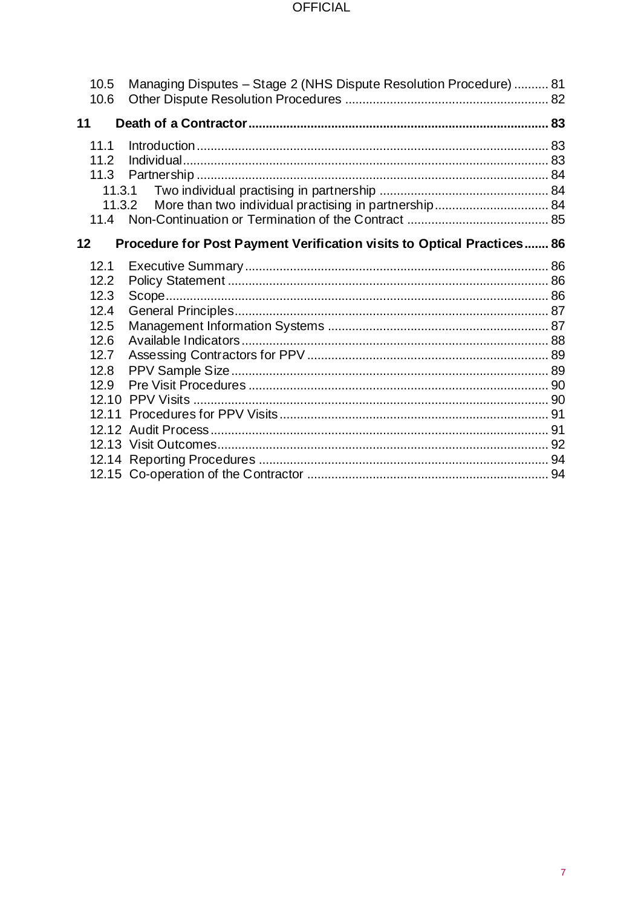| 10.5<br>10.6      | Managing Disputes - Stage 2 (NHS Dispute Resolution Procedure)  81     |  |
|-------------------|------------------------------------------------------------------------|--|
| 11                |                                                                        |  |
| 11.1              |                                                                        |  |
| 11.2              |                                                                        |  |
| 11.3              |                                                                        |  |
| 11.3.1            |                                                                        |  |
|                   | More than two individual practising in partnership 84<br>11.3.2        |  |
| 11.4              |                                                                        |  |
| $12 \overline{ }$ | Procedure for Post Payment Verification visits to Optical Practices 86 |  |
| 12.1              |                                                                        |  |
| 12.2              |                                                                        |  |
| 12.3              |                                                                        |  |
| 12.4              |                                                                        |  |
| 12.5              |                                                                        |  |
| 12.6              |                                                                        |  |
| 12.7              |                                                                        |  |
| 12.8              |                                                                        |  |
| 12.9              |                                                                        |  |
|                   |                                                                        |  |
|                   |                                                                        |  |
|                   |                                                                        |  |
|                   |                                                                        |  |
|                   |                                                                        |  |
|                   |                                                                        |  |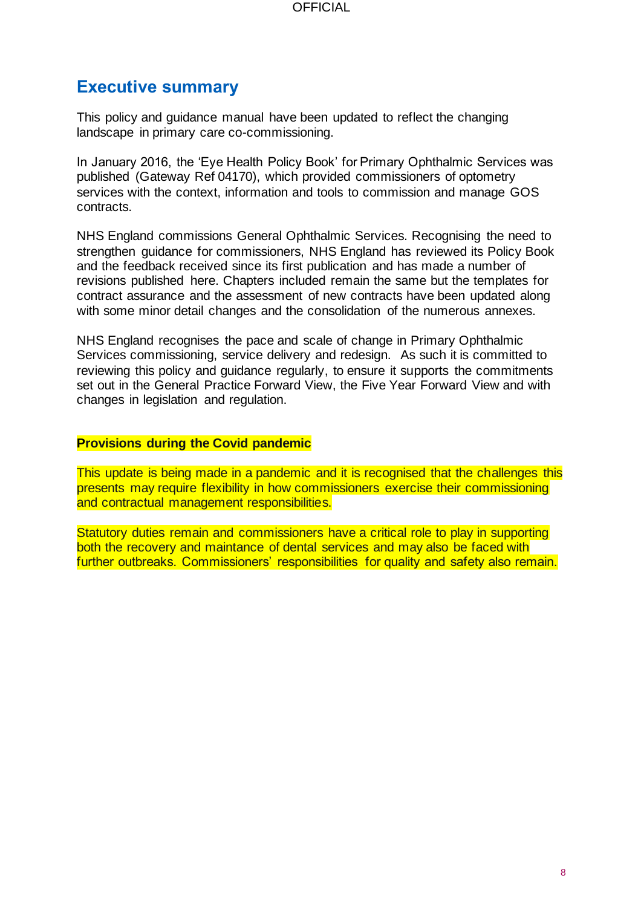## <span id="page-7-0"></span>**Executive summary**

This policy and guidance manual have been updated to reflect the changing landscape in primary care co-commissioning.

In January 2016, the 'Eye Health Policy Book' for Primary Ophthalmic Services was published (Gateway Ref 04170), which provided commissioners of optometry services with the context, information and tools to commission and manage GOS contracts.

NHS England commissions General Ophthalmic Services. Recognising the need to strengthen guidance for commissioners, NHS England has reviewed its Policy Book and the feedback received since its first publication and has made a number of revisions published here. Chapters included remain the same but the templates for contract assurance and the assessment of new contracts have been updated along with some minor detail changes and the consolidation of the numerous annexes.

NHS England recognises the pace and scale of change in Primary Ophthalmic Services commissioning, service delivery and redesign. As such it is committed to reviewing this policy and guidance regularly, to ensure it supports the commitments set out in the General Practice Forward View, the Five Year Forward View and with changes in legislation and regulation.

#### **Provisions during the Covid pandemic**

This update is being made in a pandemic and it is recognised that the challenges this presents may require flexibility in how commissioners exercise their commissioning and contractual management responsibilities.

Statutory duties remain and commissioners have a critical role to play in supporting both the recovery and maintance of dental services and may also be faced with further outbreaks. Commissioners' responsibilities for quality and safety also remain.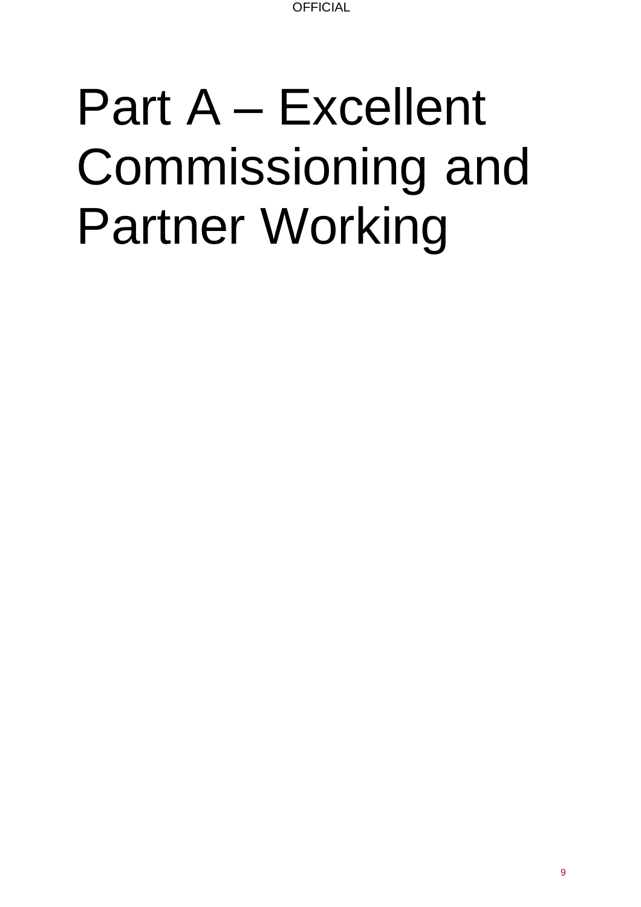## <span id="page-8-0"></span>Part A – Excellent Commissioning and Partner Working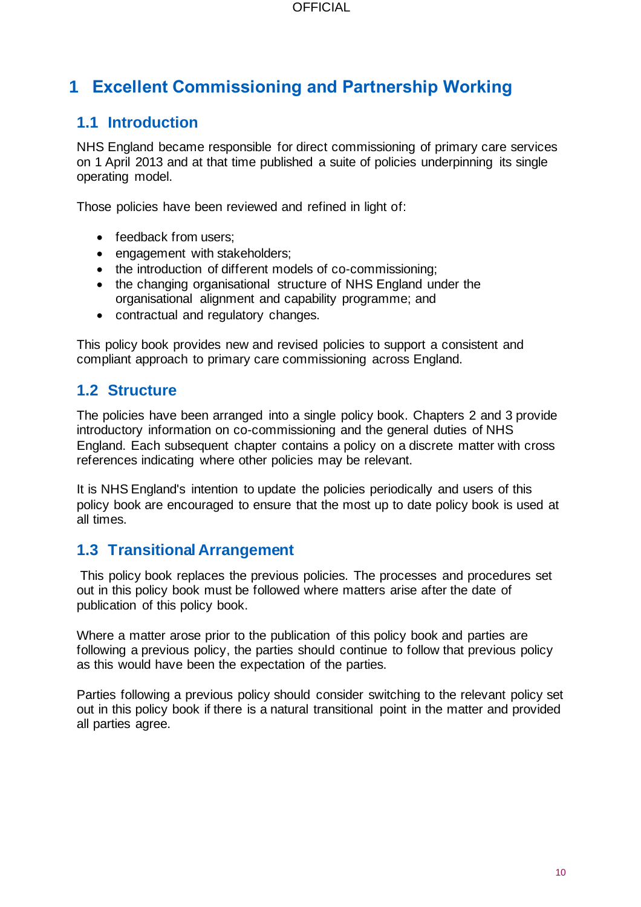## <span id="page-9-0"></span>**1 Excellent Commissioning and Partnership Working**

## <span id="page-9-1"></span>**1.1 Introduction**

NHS England became responsible for direct commissioning of primary care services on 1 April 2013 and at that time published a suite of policies underpinning its single operating model.

Those policies have been reviewed and refined in light of:

- feedback from users;
- engagement with stakeholders:
- the introduction of different models of co-commissioning;
- the changing organisational structure of NHS England under the organisational alignment and capability programme; and
- contractual and regulatory changes.

This policy book provides new and revised policies to support a consistent and compliant approach to primary care commissioning across England.

#### <span id="page-9-2"></span>**1.2 Structure**

The policies have been arranged into a single policy book. Chapters 2 and 3 provide introductory information on co-commissioning and the general duties of NHS England. Each subsequent chapter contains a policy on a discrete matter with cross references indicating where other policies may be relevant.

It is NHS England's intention to update the policies periodically and users of this policy book are encouraged to ensure that the most up to date policy book is used at all times.

#### <span id="page-9-3"></span>**1.3 Transitional Arrangement**

This policy book replaces the previous policies. The processes and procedures set out in this policy book must be followed where matters arise after the date of publication of this policy book.

Where a matter arose prior to the publication of this policy book and parties are following a previous policy, the parties should continue to follow that previous policy as this would have been the expectation of the parties.

Parties following a previous policy should consider switching to the relevant policy set out in this policy book if there is a natural transitional point in the matter and provided all parties agree.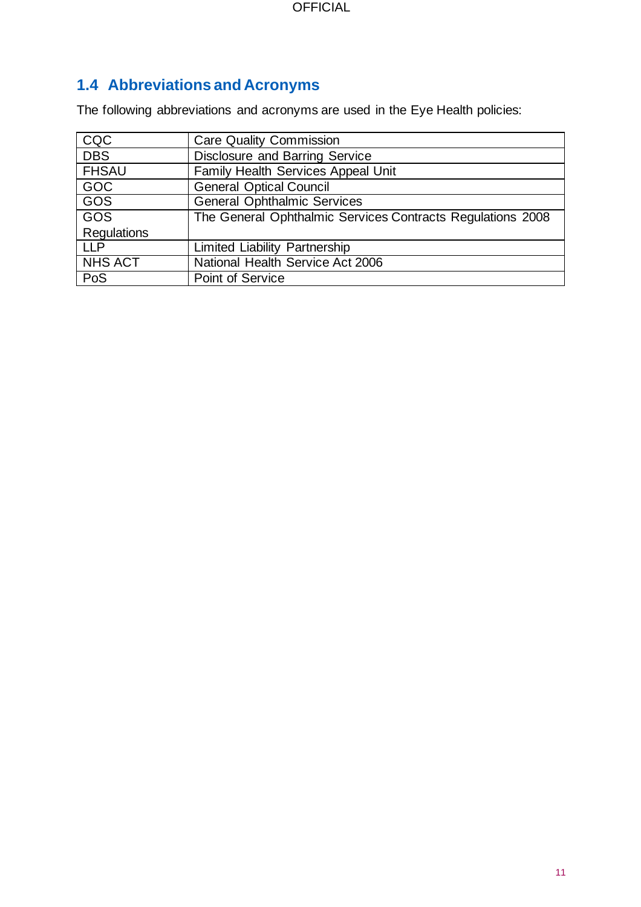## <span id="page-10-0"></span>**1.4 Abbreviations and Acronyms**

The following abbreviations and acronyms are used in the Eye Health policies:

| CQC                | <b>Care Quality Commission</b>                             |
|--------------------|------------------------------------------------------------|
| <b>DBS</b>         | <b>Disclosure and Barring Service</b>                      |
| <b>FHSAU</b>       | <b>Family Health Services Appeal Unit</b>                  |
| GOC                | <b>General Optical Council</b>                             |
| <b>GOS</b>         | <b>General Ophthalmic Services</b>                         |
| <b>GOS</b>         | The General Ophthalmic Services Contracts Regulations 2008 |
| <b>Regulations</b> |                                                            |
| <b>LLP</b>         | <b>Limited Liability Partnership</b>                       |
| <b>NHS ACT</b>     | National Health Service Act 2006                           |
| PoS                | Point of Service                                           |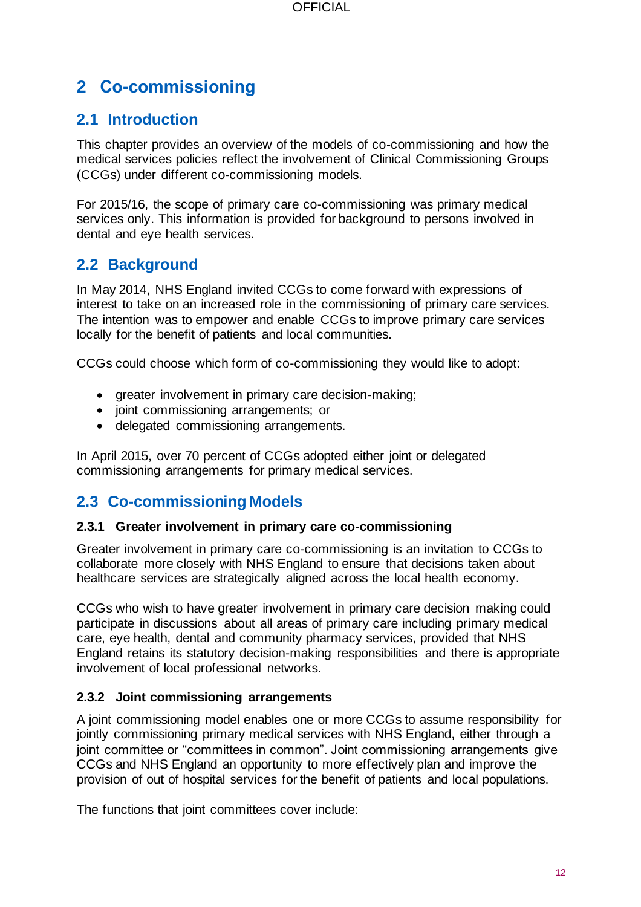## <span id="page-11-0"></span>**2 Co-commissioning**

## <span id="page-11-1"></span>**2.1 Introduction**

This chapter provides an overview of the models of co-commissioning and how the medical services policies reflect the involvement of Clinical Commissioning Groups (CCGs) under different co-commissioning models.

For 2015/16, the scope of primary care co-commissioning was primary medical services only. This information is provided for background to persons involved in dental and eye health services.

## <span id="page-11-2"></span>**2.2 Background**

In May 2014, NHS England invited CCGs to come forward with expressions of interest to take on an increased role in the commissioning of primary care services. The intention was to empower and enable CCGs to improve primary care services locally for the benefit of patients and local communities.

CCGs could choose which form of co-commissioning they would like to adopt:

- greater involvement in primary care decision-making;
- joint commissioning arrangements; or
- delegated commissioning arrangements.

In April 2015, over 70 percent of CCGs adopted either joint or delegated commissioning arrangements for primary medical services.

## <span id="page-11-3"></span>**2.3 Co-commissioning Models**

#### <span id="page-11-4"></span>**2.3.1 Greater involvement in primary care co-commissioning**

Greater involvement in primary care co-commissioning is an invitation to CCGs to collaborate more closely with NHS England to ensure that decisions taken about healthcare services are strategically aligned across the local health economy.

CCGs who wish to have greater involvement in primary care decision making could participate in discussions about all areas of primary care including primary medical care, eye health, dental and community pharmacy services, provided that NHS England retains its statutory decision-making responsibilities and there is appropriate involvement of local professional networks.

#### <span id="page-11-5"></span>**2.3.2 Joint commissioning arrangements**

A joint commissioning model enables one or more CCGs to assume responsibility for jointly commissioning primary medical services with NHS England, either through a joint committee or "committees in common". Joint commissioning arrangements give CCGs and NHS England an opportunity to more effectively plan and improve the provision of out of hospital services for the benefit of patients and local populations.

The functions that joint committees cover include: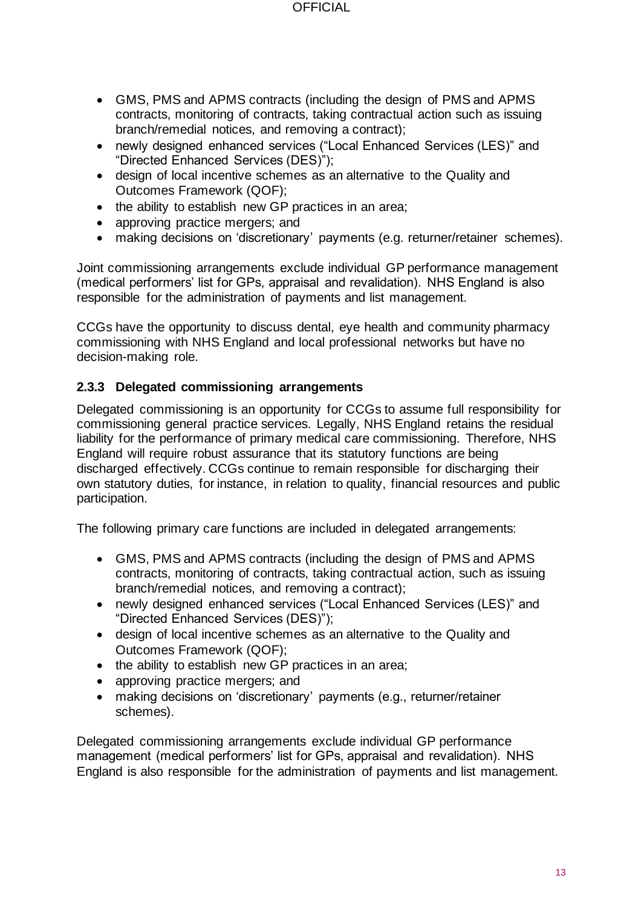- GMS, PMS and APMS contracts (including the design of PMS and APMS contracts, monitoring of contracts, taking contractual action such as issuing branch/remedial notices, and removing a contract);
- newly designed enhanced services ("Local Enhanced Services (LES)" and "Directed Enhanced Services (DES)");
- design of local incentive schemes as an alternative to the Quality and Outcomes Framework (QOF);
- the ability to establish new GP practices in an area;
- approving practice mergers; and
- making decisions on 'discretionary' payments (e.g. returner/retainer schemes).

Joint commissioning arrangements exclude individual GP performance management (medical performers' list for GPs, appraisal and revalidation). NHS England is also responsible for the administration of payments and list management.

CCGs have the opportunity to discuss dental, eye health and community pharmacy commissioning with NHS England and local professional networks but have no decision-making role.

#### <span id="page-12-0"></span>**2.3.3 Delegated commissioning arrangements**

Delegated commissioning is an opportunity for CCGs to assume full responsibility for commissioning general practice services. Legally, NHS England retains the residual liability for the performance of primary medical care commissioning. Therefore, NHS England will require robust assurance that its statutory functions are being discharged effectively. CCGs continue to remain responsible for discharging their own statutory duties, for instance, in relation to quality, financial resources and public participation.

The following primary care functions are included in delegated arrangements:

- GMS, PMS and APMS contracts (including the design of PMS and APMS contracts, monitoring of contracts, taking contractual action, such as issuing branch/remedial notices, and removing a contract);
- newly designed enhanced services ("Local Enhanced Services (LES)" and "Directed Enhanced Services (DES)");
- design of local incentive schemes as an alternative to the Quality and Outcomes Framework (QOF);
- the ability to establish new GP practices in an area;
- approving practice mergers; and
- making decisions on 'discretionary' payments (e.g., returner/retainer schemes).

Delegated commissioning arrangements exclude individual GP performance management (medical performers' list for GPs, appraisal and revalidation). NHS England is also responsible for the administration of payments and list management.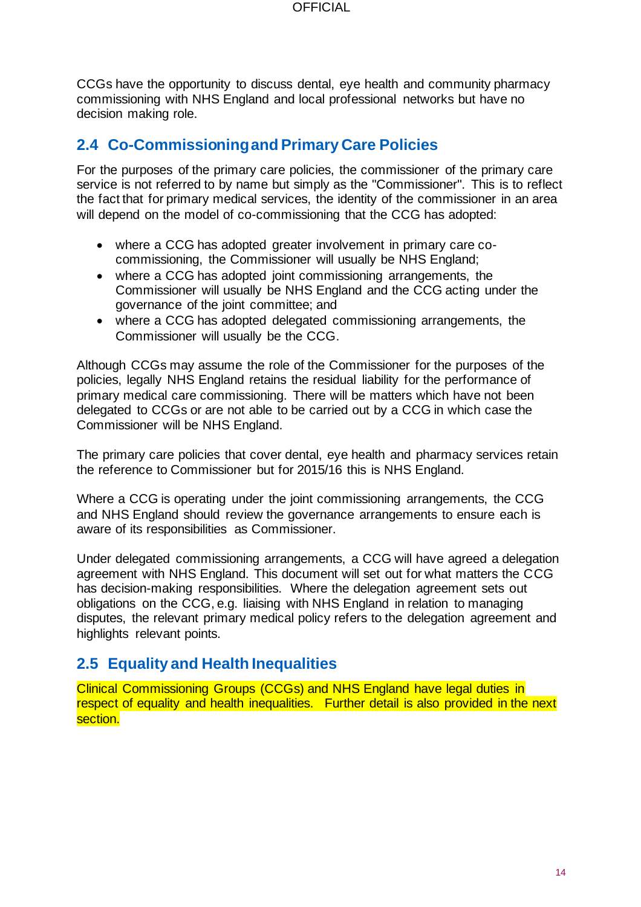CCGs have the opportunity to discuss dental, eye health and community pharmacy commissioning with NHS England and local professional networks but have no decision making role.

## <span id="page-13-0"></span>**2.4 Co-Commissioning and Primary Care Policies**

For the purposes of the primary care policies, the commissioner of the primary care service is not referred to by name but simply as the "Commissioner". This is to reflect the fact that for primary medical services, the identity of the commissioner in an area will depend on the model of co-commissioning that the CCG has adopted:

- where a CCG has adopted greater involvement in primary care cocommissioning, the Commissioner will usually be NHS England;
- where a CCG has adopted joint commissioning arrangements, the Commissioner will usually be NHS England and the CCG acting under the governance of the joint committee; and
- where a CCG has adopted delegated commissioning arrangements, the Commissioner will usually be the CCG.

Although CCGs may assume the role of the Commissioner for the purposes of the policies, legally NHS England retains the residual liability for the performance of primary medical care commissioning. There will be matters which have not been delegated to CCGs or are not able to be carried out by a CCG in which case the Commissioner will be NHS England.

The primary care policies that cover dental, eye health and pharmacy services retain the reference to Commissioner but for 2015/16 this is NHS England.

Where a CCG is operating under the joint commissioning arrangements, the CCG and NHS England should review the governance arrangements to ensure each is aware of its responsibilities as Commissioner.

Under delegated commissioning arrangements, a CCG will have agreed a delegation agreement with NHS England. This document will set out for what matters the CCG has decision-making responsibilities. Where the delegation agreement sets out obligations on the CCG, e.g. liaising with NHS England in relation to managing disputes, the relevant primary medical policy refers to the delegation agreement and highlights relevant points.

## <span id="page-13-1"></span>**2.5 Equality and Health Inequalities**

Clinical Commissioning Groups (CCGs) and NHS England have legal duties in respect of equality and health inequalities. Further detail is also provided in the next section.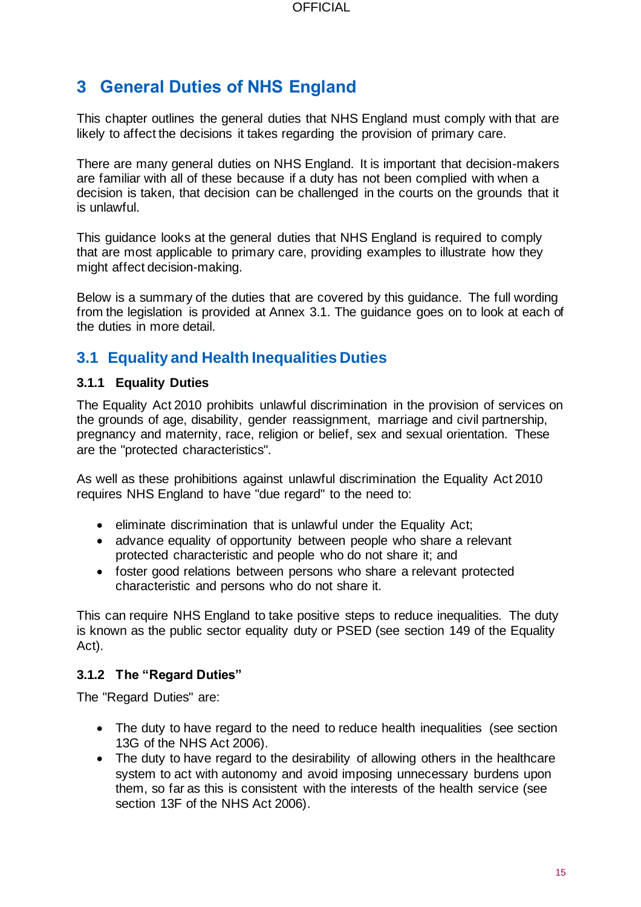## <span id="page-14-0"></span>**3 General Duties of NHS England**

This chapter outlines the general duties that NHS England must comply with that are likely to affect the decisions it takes regarding the provision of primary care.

There are many general duties on NHS England. It is important that decision-makers are familiar with all of these because if a duty has not been complied with when a decision is taken, that decision can be challenged in the courts on the grounds that it is unlawful.

This guidance looks at the general duties that NHS England is required to comply that are most applicable to primary care, providing examples to illustrate how they might affect decision-making.

Below is a summary of the duties that are covered by this guidance. The full wording from the legislation is provided at Annex 3.1. The guidance goes on to look at each of the duties in more detail.

## <span id="page-14-1"></span>**3.1 Equality and Health Inequalities Duties**

#### <span id="page-14-2"></span>**3.1.1 Equality Duties**

The Equality Act 2010 prohibits unlawful discrimination in the provision of services on the grounds of age, disability, gender reassignment, marriage and civil partnership, pregnancy and maternity, race, religion or belief, sex and sexual orientation. These are the "protected characteristics".

As well as these prohibitions against unlawful discrimination the Equality Act 2010 requires NHS England to have "due regard" to the need to:

- eliminate discrimination that is unlawful under the Equality Act;
- advance equality of opportunity between people who share a relevant protected characteristic and people who do not share it; and
- foster good relations between persons who share a relevant protected characteristic and persons who do not share it.

This can require NHS England to take positive steps to reduce inequalities. The duty is known as the public sector equality duty or PSED (see section 149 of the Equality Act).

#### <span id="page-14-3"></span>**3.1.2 The "Regard Duties"**

The "Regard Duties" are:

- The duty to have regard to the need to reduce health inequalities (see section 13G of the NHS Act 2006).
- The duty to have regard to the desirability of allowing others in the healthcare system to act with autonomy and avoid imposing unnecessary burdens upon them, so far as this is consistent with the interests of the health service (see section 13F of the NHS Act 2006).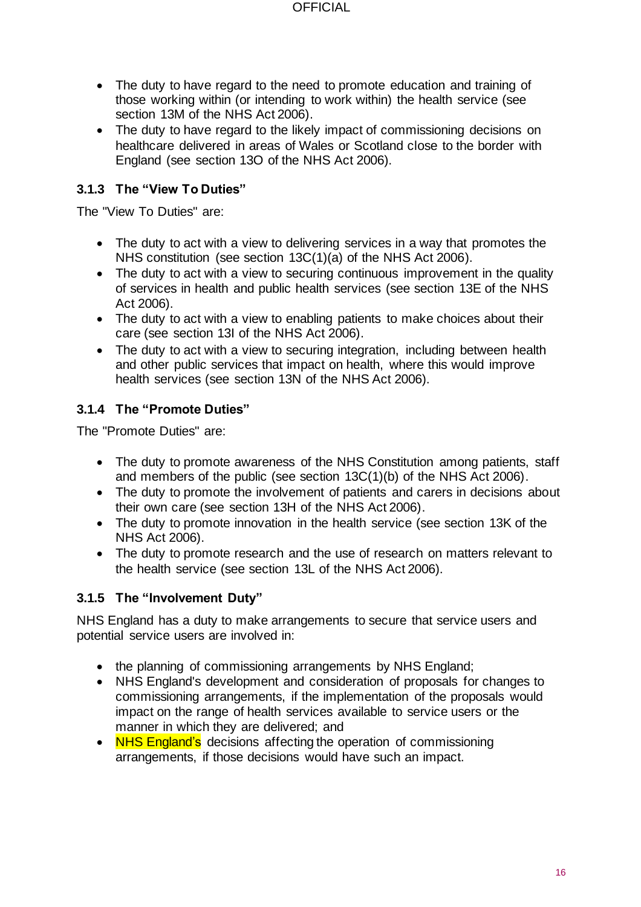- The duty to have regard to the need to promote education and training of those working within (or intending to work within) the health service (see section 13M of the NHS Act 2006).
- The duty to have regard to the likely impact of commissioning decisions on healthcare delivered in areas of Wales or Scotland close to the border with England (see section 13O of the NHS Act 2006).

#### <span id="page-15-0"></span>**3.1.3 The "View To Duties"**

The "View To Duties" are:

- The duty to act with a view to delivering services in a way that promotes the NHS constitution (see section 13C(1)(a) of the NHS Act 2006).
- The duty to act with a view to securing continuous improvement in the quality of services in health and public health services (see section 13E of the NHS Act 2006).
- The duty to act with a view to enabling patients to make choices about their care (see section 13I of the NHS Act 2006).
- The duty to act with a view to securing integration, including between health and other public services that impact on health, where this would improve health services (see section 13N of the NHS Act 2006).

## <span id="page-15-1"></span>**3.1.4 The "Promote Duties"**

The "Promote Duties" are:

- The duty to promote awareness of the NHS Constitution among patients, staff and members of the public (see section 13C(1)(b) of the NHS Act 2006).
- The duty to promote the involvement of patients and carers in decisions about their own care (see section 13H of the NHS Act 2006).
- The duty to promote innovation in the health service (see section 13K of the NHS Act 2006).
- The duty to promote research and the use of research on matters relevant to the health service (see section 13L of the NHS Act 2006).

#### <span id="page-15-2"></span>**3.1.5 The "Involvement Duty"**

NHS England has a duty to make arrangements to secure that service users and potential service users are involved in:

- the planning of commissioning arrangements by NHS England;
- NHS England's development and consideration of proposals for changes to commissioning arrangements, if the implementation of the proposals would impact on the range of health services available to service users or the manner in which they are delivered; and
- NHS England's decisions affecting the operation of commissioning arrangements, if those decisions would have such an impact.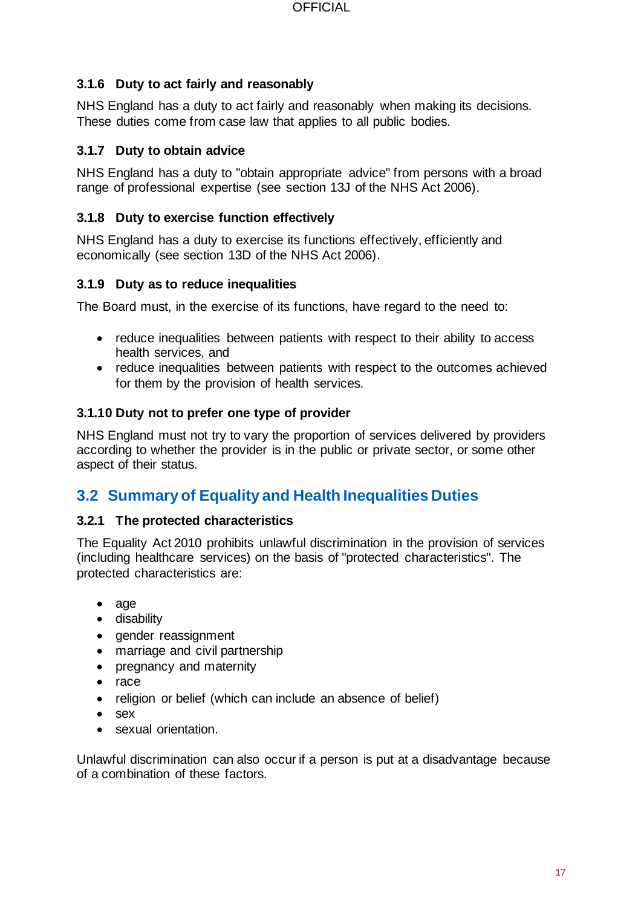#### <span id="page-16-0"></span>**3.1.6 Duty to act fairly and reasonably**

NHS England has a duty to act fairly and reasonably when making its decisions. These duties come from case law that applies to all public bodies.

#### <span id="page-16-1"></span>**3.1.7 Duty to obtain advice**

NHS England has a duty to "obtain appropriate advice" from persons with a broad range of professional expertise (see section 13J of the NHS Act 2006).

#### <span id="page-16-2"></span>**3.1.8 Duty to exercise function effectively**

NHS England has a duty to exercise its functions effectively, efficiently and economically (see section 13D of the NHS Act 2006).

#### <span id="page-16-3"></span>**3.1.9 Duty as to reduce inequalities**

The Board must, in the exercise of its functions, have regard to the need to:

- reduce inequalities between patients with respect to their ability to access health services, and
- reduce inequalities between patients with respect to the outcomes achieved for them by the provision of health services.

#### <span id="page-16-4"></span>**3.1.10 Duty not to prefer one type of provider**

NHS England must not try to vary the proportion of services delivered by providers according to whether the provider is in the public or private sector, or some other aspect of their status.

## <span id="page-16-5"></span>**3.2 Summary of Equality and Health Inequalities Duties**

#### <span id="page-16-6"></span>**3.2.1 The protected characteristics**

The Equality Act 2010 prohibits unlawful discrimination in the provision of services (including healthcare services) on the basis of "protected characteristics". The protected characteristics are:

- age
- disability
- gender reassignment
- marriage and civil partnership
- pregnancy and maternity
- race
- religion or belief (which can include an absence of belief)
- sex
- sexual orientation.

Unlawful discrimination can also occur if a person is put at a disadvantage because of a combination of these factors.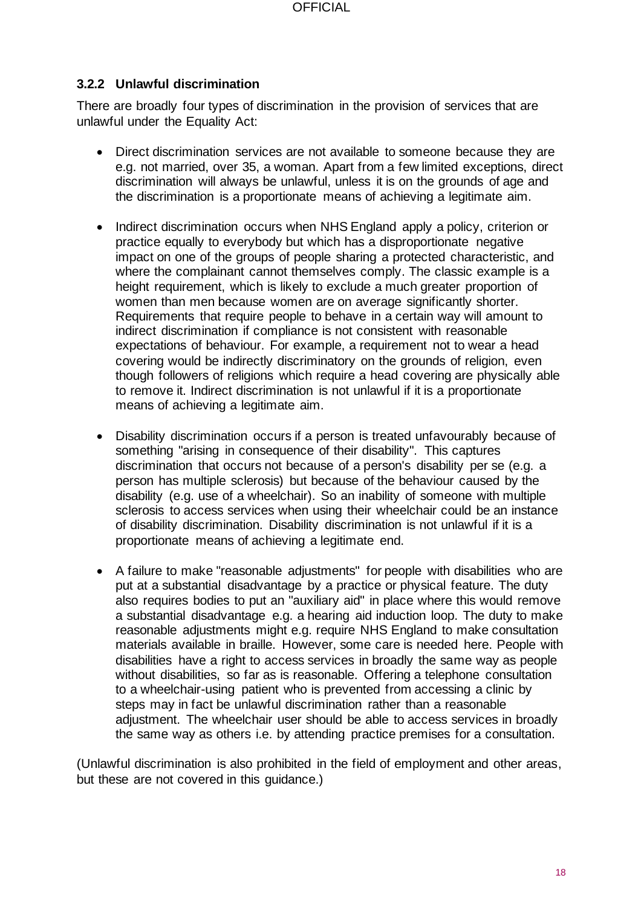#### <span id="page-17-0"></span>**3.2.2 Unlawful discrimination**

There are broadly four types of discrimination in the provision of services that are unlawful under the Equality Act:

- Direct discrimination services are not available to someone because they are e.g. not married, over 35, a woman. Apart from a few limited exceptions, direct discrimination will always be unlawful, unless it is on the grounds of age and the discrimination is a proportionate means of achieving a legitimate aim.
- Indirect discrimination occurs when NHS England apply a policy, criterion or practice equally to everybody but which has a disproportionate negative impact on one of the groups of people sharing a protected characteristic, and where the complainant cannot themselves comply. The classic example is a height requirement, which is likely to exclude a much greater proportion of women than men because women are on average significantly shorter. Requirements that require people to behave in a certain way will amount to indirect discrimination if compliance is not consistent with reasonable expectations of behaviour. For example, a requirement not to wear a head covering would be indirectly discriminatory on the grounds of religion, even though followers of religions which require a head covering are physically able to remove it. Indirect discrimination is not unlawful if it is a proportionate means of achieving a legitimate aim.
- Disability discrimination occurs if a person is treated unfavourably because of something "arising in consequence of their disability". This captures discrimination that occurs not because of a person's disability per se (e.g. a person has multiple sclerosis) but because of the behaviour caused by the disability (e.g. use of a wheelchair). So an inability of someone with multiple sclerosis to access services when using their wheelchair could be an instance of disability discrimination. Disability discrimination is not unlawful if it is a proportionate means of achieving a legitimate end.
- A failure to make "reasonable adjustments" for people with disabilities who are put at a substantial disadvantage by a practice or physical feature. The duty also requires bodies to put an "auxiliary aid" in place where this would remove a substantial disadvantage e.g. a hearing aid induction loop. The duty to make reasonable adjustments might e.g. require NHS England to make consultation materials available in braille. However, some care is needed here. People with disabilities have a right to access services in broadly the same way as people without disabilities, so far as is reasonable. Offering a telephone consultation to a wheelchair-using patient who is prevented from accessing a clinic by steps may in fact be unlawful discrimination rather than a reasonable adjustment. The wheelchair user should be able to access services in broadly the same way as others i.e. by attending practice premises for a consultation.

(Unlawful discrimination is also prohibited in the field of employment and other areas, but these are not covered in this guidance.)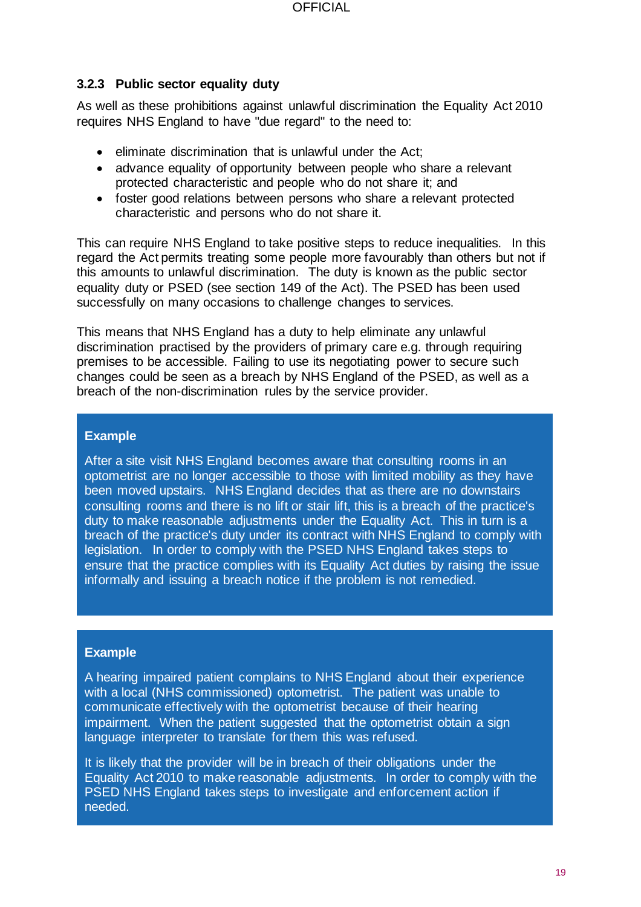#### <span id="page-18-0"></span>**3.2.3 Public sector equality duty**

As well as these prohibitions against unlawful discrimination the Equality Act 2010 requires NHS England to have "due regard" to the need to:

- eliminate discrimination that is unlawful under the Act;
- advance equality of opportunity between people who share a relevant protected characteristic and people who do not share it; and
- foster good relations between persons who share a relevant protected characteristic and persons who do not share it.

This can require NHS England to take positive steps to reduce inequalities. In this regard the Act permits treating some people more favourably than others but not if this amounts to unlawful discrimination. The duty is known as the public sector equality duty or PSED (see section 149 of the Act). The PSED has been used successfully on many occasions to challenge changes to services.

This means that NHS England has a duty to help eliminate any unlawful discrimination practised by the providers of primary care e.g. through requiring premises to be accessible. Failing to use its negotiating power to secure such changes could be seen as a breach by NHS England of the PSED, as well as a breach of the non-discrimination rules by the service provider.

#### **Example**

After a site visit NHS England becomes aware that consulting rooms in an optometrist are no longer accessible to those with limited mobility as they have been moved upstairs. NHS England decides that as there are no downstairs consulting rooms and there is no lift or stair lift, this is a breach of the practice's duty to make reasonable adjustments under the Equality Act. This in turn is a breach of the practice's duty under its contract with NHS England to comply with legislation. In order to comply with the PSED NHS England takes steps to ensure that the practice complies with its Equality Act duties by raising the issue informally and issuing a breach notice if the problem is not remedied.

#### **Example**

A hearing impaired patient complains to NHS England about their experience with a local (NHS commissioned) optometrist. The patient was unable to communicate effectively with the optometrist because of their hearing impairment. When the patient suggested that the optometrist obtain a sign language interpreter to translate for them this was refused.

It is likely that the provider will be in breach of their obligations under the Equality Act 2010 to make reasonable adjustments. In order to comply with the PSED NHS England takes steps to investigate and enforcement action if needed.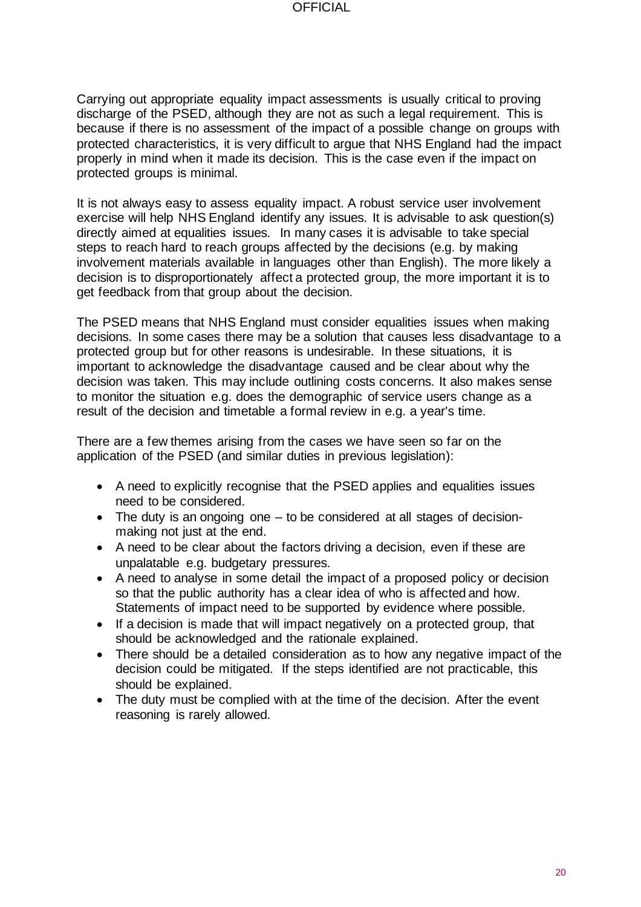Carrying out appropriate equality impact assessments is usually critical to proving discharge of the PSED, although they are not as such a legal requirement. This is because if there is no assessment of the impact of a possible change on groups with protected characteristics, it is very difficult to argue that NHS England had the impact properly in mind when it made its decision. This is the case even if the impact on protected groups is minimal.

It is not always easy to assess equality impact. A robust service user involvement exercise will help NHS England identify any issues. It is advisable to ask question(s) directly aimed at equalities issues. In many cases it is advisable to take special steps to reach hard to reach groups affected by the decisions (e.g. by making involvement materials available in languages other than English). The more likely a decision is to disproportionately affect a protected group, the more important it is to get feedback from that group about the decision.

The PSED means that NHS England must consider equalities issues when making decisions. In some cases there may be a solution that causes less disadvantage to a protected group but for other reasons is undesirable. In these situations, it is important to acknowledge the disadvantage caused and be clear about why the decision was taken. This may include outlining costs concerns. It also makes sense to monitor the situation e.g. does the demographic of service users change as a result of the decision and timetable a formal review in e.g. a year's time.

There are a few themes arising from the cases we have seen so far on the application of the PSED (and similar duties in previous legislation):

- A need to explicitly recognise that the PSED applies and equalities issues need to be considered.
- The duty is an ongoing one to be considered at all stages of decisionmaking not just at the end.
- A need to be clear about the factors driving a decision, even if these are unpalatable e.g. budgetary pressures.
- A need to analyse in some detail the impact of a proposed policy or decision so that the public authority has a clear idea of who is affected and how. Statements of impact need to be supported by evidence where possible.
- If a decision is made that will impact negatively on a protected group, that should be acknowledged and the rationale explained.
- There should be a detailed consideration as to how any negative impact of the decision could be mitigated. If the steps identified are not practicable, this should be explained.
- The duty must be complied with at the time of the decision. After the event reasoning is rarely allowed.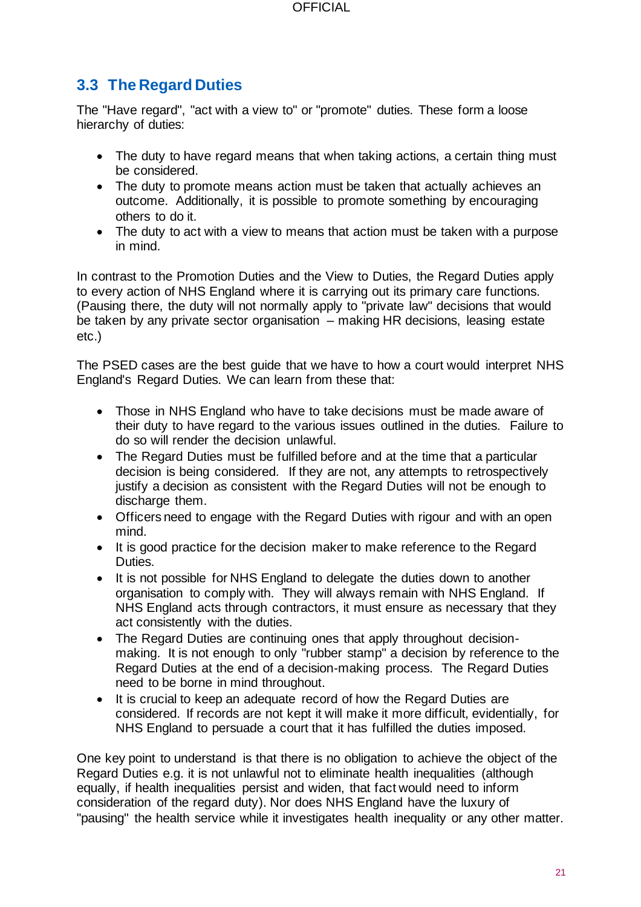## <span id="page-20-0"></span>**3.3 The Regard Duties**

The "Have regard", "act with a view to" or "promote" duties. These form a loose hierarchy of duties:

- The duty to have regard means that when taking actions, a certain thing must be considered.
- The duty to promote means action must be taken that actually achieves an outcome. Additionally, it is possible to promote something by encouraging others to do it.
- The duty to act with a view to means that action must be taken with a purpose in mind.

In contrast to the Promotion Duties and the View to Duties, the Regard Duties apply to every action of NHS England where it is carrying out its primary care functions. (Pausing there, the duty will not normally apply to "private law" decisions that would be taken by any private sector organisation – making HR decisions, leasing estate etc.)

The PSED cases are the best guide that we have to how a court would interpret NHS England's Regard Duties. We can learn from these that:

- Those in NHS England who have to take decisions must be made aware of their duty to have regard to the various issues outlined in the duties. Failure to do so will render the decision unlawful.
- The Regard Duties must be fulfilled before and at the time that a particular decision is being considered. If they are not, any attempts to retrospectively justify a decision as consistent with the Regard Duties will not be enough to discharge them.
- Officers need to engage with the Regard Duties with rigour and with an open mind.
- It is good practice for the decision maker to make reference to the Regard Duties.
- It is not possible for NHS England to delegate the duties down to another organisation to comply with. They will always remain with NHS England. If NHS England acts through contractors, it must ensure as necessary that they act consistently with the duties.
- The Regard Duties are continuing ones that apply throughout decisionmaking. It is not enough to only "rubber stamp" a decision by reference to the Regard Duties at the end of a decision-making process. The Regard Duties need to be borne in mind throughout.
- It is crucial to keep an adequate record of how the Regard Duties are considered. If records are not kept it will make it more difficult, evidentially, for NHS England to persuade a court that it has fulfilled the duties imposed.

One key point to understand is that there is no obligation to achieve the object of the Regard Duties e.g. it is not unlawful not to eliminate health inequalities (although equally, if health inequalities persist and widen, that fact would need to inform consideration of the regard duty). Nor does NHS England have the luxury of "pausing" the health service while it investigates health inequality or any other matter.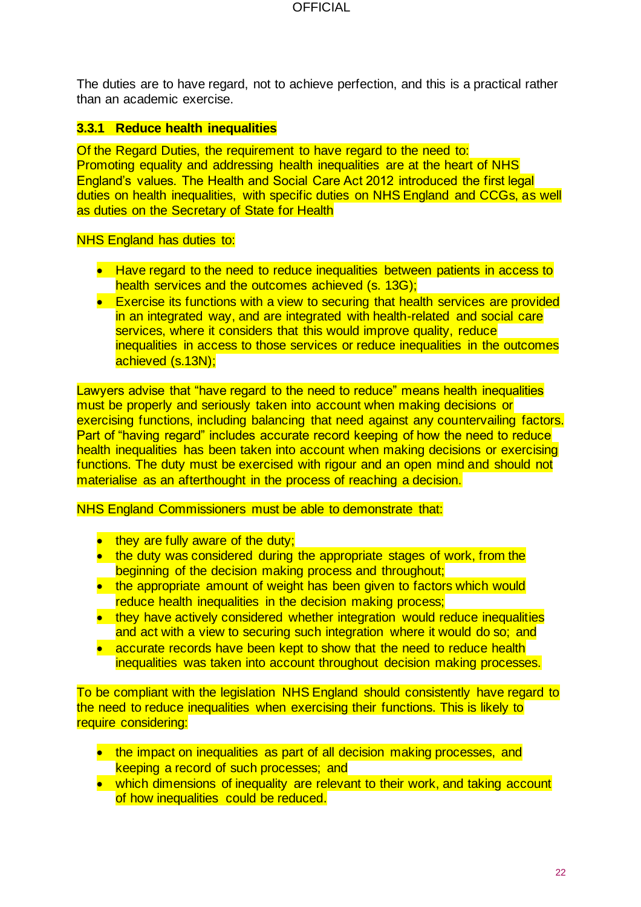The duties are to have regard, not to achieve perfection, and this is a practical rather than an academic exercise.

#### <span id="page-21-0"></span>**3.3.1 Reduce health inequalities**

Of the Regard Duties, the requirement to have regard to the need to: Promoting equality and addressing health inequalities are at the heart of NHS England's values. The Health and Social Care Act 2012 introduced the first legal duties on health inequalities, with specific duties on NHS England and CCGs, as well as duties on the Secretary of State for Health

#### NHS England has duties to:

- Have regard to the need to reduce inequalities between patients in access to health services and the outcomes achieved (s. 13G);
- Exercise its functions with a view to securing that health services are provided in an integrated way, and are integrated with health-related and social care services, where it considers that this would improve quality, reduce inequalities in access to those services or reduce inequalities in the outcomes achieved (s.13N);

Lawyers advise that "have regard to the need to reduce" means health inequalities must be properly and seriously taken into account when making decisions or exercising functions, including balancing that need against any countervailing factors. Part of "having regard" includes accurate record keeping of how the need to reduce health inequalities has been taken into account when making decisions or exercising functions. The duty must be exercised with rigour and an open mind and should not materialise as an afterthought in the process of reaching a decision.

#### NHS England Commissioners must be able to demonstrate that:

- they are fully aware of the duty;
- the duty was considered during the appropriate stages of work, from the beginning of the decision making process and throughout;
- the appropriate amount of weight has been given to factors which would reduce health inequalities in the decision making process;
- they have actively considered whether integration would reduce inequalities and act with a view to securing such integration where it would do so; and
- accurate records have been kept to show that the need to reduce health inequalities was taken into account throughout decision making processes.

To be compliant with the legislation NHS England should consistently have regard to the need to reduce inequalities when exercising their functions. This is likely to require considering:

- the impact on inequalities as part of all decision making processes, and keeping a record of such processes; and
- which dimensions of inequality are relevant to their work, and taking account of how inequalities could be reduced.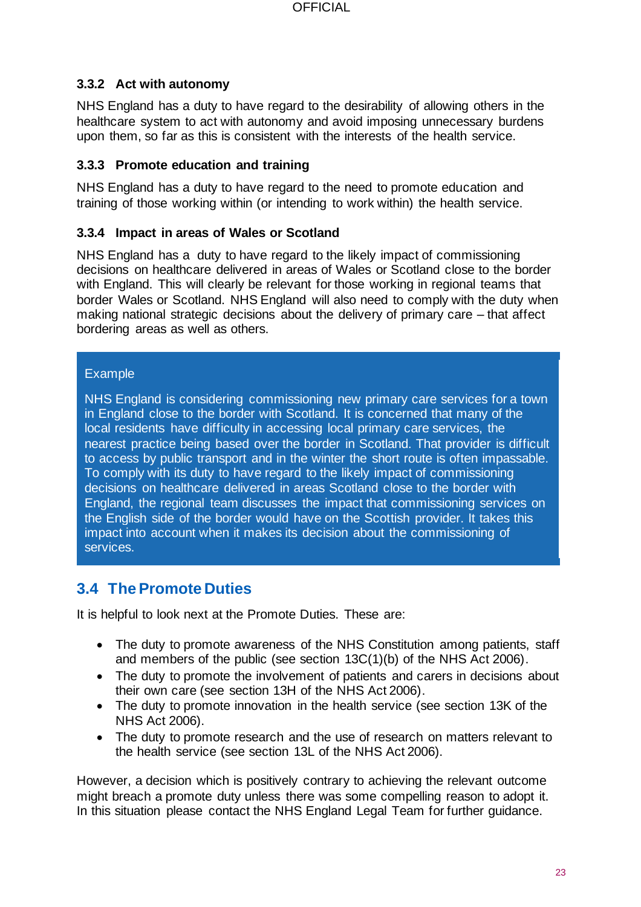#### <span id="page-22-0"></span>**3.3.2 Act with autonomy**

NHS England has a duty to have regard to the desirability of allowing others in the healthcare system to act with autonomy and avoid imposing unnecessary burdens upon them, so far as this is consistent with the interests of the health service.

#### <span id="page-22-1"></span>**3.3.3 Promote education and training**

NHS England has a duty to have regard to the need to promote education and training of those working within (or intending to work within) the health service.

#### <span id="page-22-2"></span>**3.3.4 Impact in areas of Wales or Scotland**

NHS England has a duty to have regard to the likely impact of commissioning decisions on healthcare delivered in areas of Wales or Scotland close to the border with England. This will clearly be relevant for those working in regional teams that border Wales or Scotland. NHS England will also need to comply with the duty when making national strategic decisions about the delivery of primary care – that affect bordering areas as well as others.

#### Example

NHS England is considering commissioning new primary care services for a town in England close to the border with Scotland. It is concerned that many of the local residents have difficulty in accessing local primary care services, the nearest practice being based over the border in Scotland. That provider is difficult to access by public transport and in the winter the short route is often impassable. To comply with its duty to have regard to the likely impact of commissioning decisions on healthcare delivered in areas Scotland close to the border with England, the regional team discusses the impact that commissioning services on the English side of the border would have on the Scottish provider. It takes this impact into account when it makes its decision about the commissioning of services.

## <span id="page-22-3"></span>**3.4 The Promote Duties**

It is helpful to look next at the Promote Duties. These are:

- The duty to promote awareness of the NHS Constitution among patients, staff and members of the public (see section 13C(1)(b) of the NHS Act 2006).
- The duty to promote the involvement of patients and carers in decisions about their own care (see section 13H of the NHS Act 2006).
- The duty to promote innovation in the health service (see section 13K of the NHS Act 2006).
- The duty to promote research and the use of research on matters relevant to the health service (see section 13L of the NHS Act 2006).

However, a decision which is positively contrary to achieving the relevant outcome might breach a promote duty unless there was some compelling reason to adopt it. In this situation please contact the NHS England Legal Team for further guidance.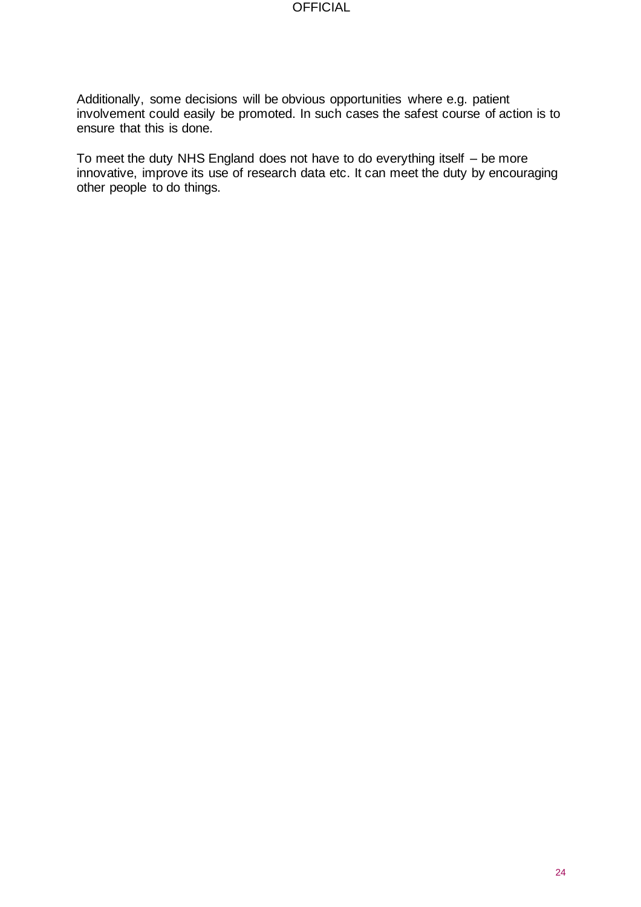Additionally, some decisions will be obvious opportunities where e.g. patient involvement could easily be promoted. In such cases the safest course of action is to ensure that this is done.

To meet the duty NHS England does not have to do everything itself – be more innovative, improve its use of research data etc. It can meet the duty by encouraging other people to do things.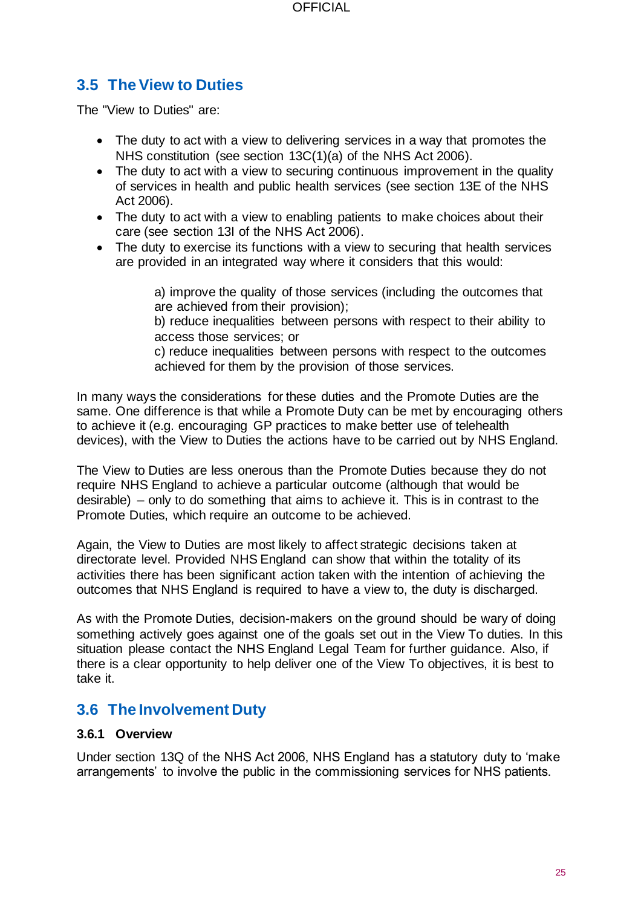## <span id="page-24-0"></span>**3.5 The View to Duties**

The "View to Duties" are:

- The duty to act with a view to delivering services in a way that promotes the NHS constitution (see section 13C(1)(a) of the NHS Act 2006).
- The duty to act with a view to securing continuous improvement in the quality of services in health and public health services (see section 13E of the NHS Act 2006).
- The duty to act with a view to enabling patients to make choices about their care (see section 13I of the NHS Act 2006).
- The duty to exercise its functions with a view to securing that health services are provided in an integrated way where it considers that this would:

a) improve the quality of those services (including the outcomes that are achieved from their provision);

b) reduce inequalities between persons with respect to their ability to access those services; or

c) reduce inequalities between persons with respect to the outcomes achieved for them by the provision of those services.

In many ways the considerations for these duties and the Promote Duties are the same. One difference is that while a Promote Duty can be met by encouraging others to achieve it (e.g. encouraging GP practices to make better use of telehealth devices), with the View to Duties the actions have to be carried out by NHS England.

The View to Duties are less onerous than the Promote Duties because they do not require NHS England to achieve a particular outcome (although that would be desirable) – only to do something that aims to achieve it. This is in contrast to the Promote Duties, which require an outcome to be achieved.

Again, the View to Duties are most likely to affect strategic decisions taken at directorate level. Provided NHS England can show that within the totality of its activities there has been significant action taken with the intention of achieving the outcomes that NHS England is required to have a view to, the duty is discharged.

As with the Promote Duties, decision-makers on the ground should be wary of doing something actively goes against one of the goals set out in the View To duties. In this situation please contact the NHS England Legal Team for further guidance. Also, if there is a clear opportunity to help deliver one of the View To objectives, it is best to take it.

#### <span id="page-24-1"></span>**3.6 The Involvement Duty**

#### <span id="page-24-2"></span>**3.6.1 Overview**

Under section 13Q of the NHS Act 2006, NHS England has a statutory duty to 'make arrangements' to involve the public in the commissioning services for NHS patients.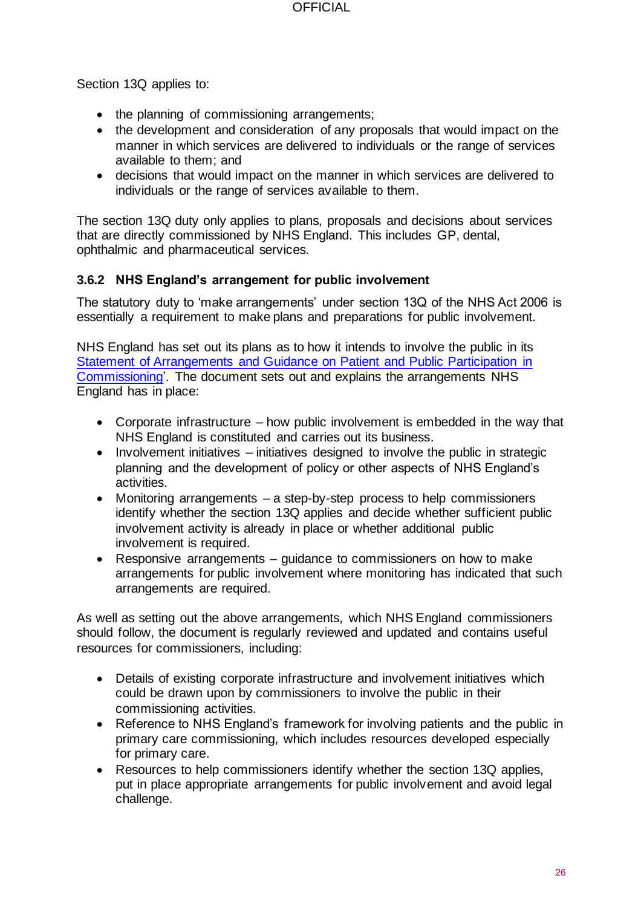Section 13Q applies to:

- the planning of commissioning arrangements:
- the development and consideration of any proposals that would impact on the manner in which services are delivered to individuals or the range of services available to them; and
- decisions that would impact on the manner in which services are delivered to individuals or the range of services available to them.

The section 13Q duty only applies to plans, proposals and decisions about services that are directly commissioned by NHS England. This includes GP, dental, ophthalmic and pharmaceutical services.

#### <span id="page-25-0"></span>**3.6.2 NHS England's arrangement for public involvement**

The statutory duty to 'make arrangements' under section 13Q of the NHS Act 2006 is essentially a requirement to make plans and preparations for public involvement.

NHS England has set out its plans as to how it intends to involve the public in its [Statement of Arrangements and Guidance on Patient and Public Participation in](https://www.england.nhs.uk/wp-content/uploads/2015/11/ppp-policy-statement.pdf) [Commissioning'.](https://www.england.nhs.uk/wp-content/uploads/2015/11/ppp-policy-statement.pdf) The document sets out and explains the arrangements NHS England has in place:

- Corporate infrastructure how public involvement is embedded in the way that NHS England is constituted and carries out its business.
- Involvement initiatives initiatives designed to involve the public in strategic planning and the development of policy or other aspects of NHS England's activities.
- Monitoring arrangements a step-by-step process to help commissioners identify whether the section 13Q applies and decide whether sufficient public involvement activity is already in place or whether additional public involvement is required.
- Responsive arrangements guidance to commissioners on how to make arrangements for public involvement where monitoring has indicated that such arrangements are required.

As well as setting out the above arrangements, which NHS England commissioners should follow, the document is regularly reviewed and updated and contains useful resources for commissioners, including:

- Details of existing corporate infrastructure and involvement initiatives which could be drawn upon by commissioners to involve the public in their commissioning activities.
- Reference to NHS England's framework for involving patients and the public in primary care commissioning, which includes resources developed especially for primary care.
- Resources to help commissioners identify whether the section 13Q applies, put in place appropriate arrangements for public involvement and avoid legal challenge.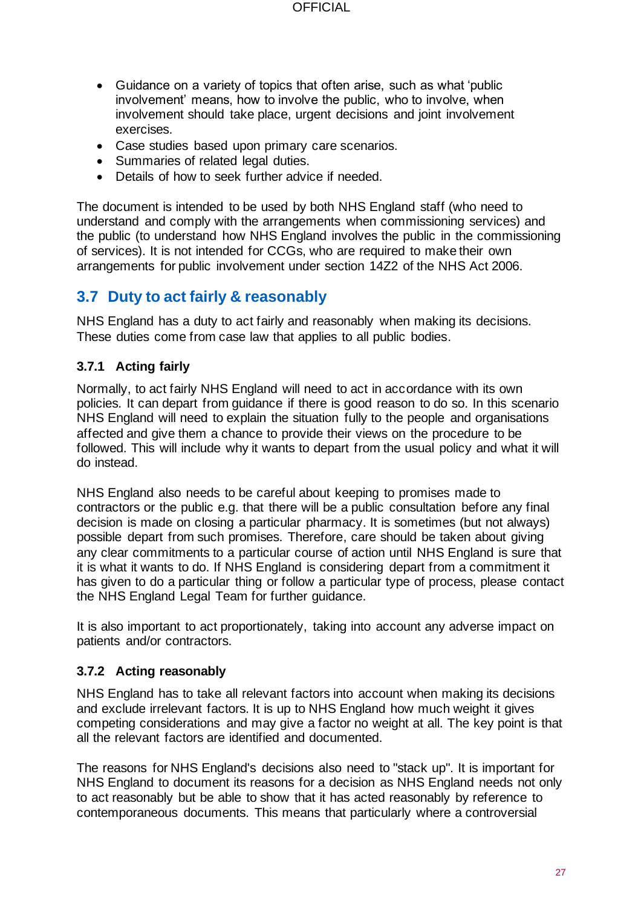- Guidance on a variety of topics that often arise, such as what 'public involvement' means, how to involve the public, who to involve, when involvement should take place, urgent decisions and joint involvement exercises.
- Case studies based upon primary care scenarios.
- Summaries of related legal duties.
- Details of how to seek further advice if needed.

The document is intended to be used by both NHS England staff (who need to understand and comply with the arrangements when commissioning services) and the public (to understand how NHS England involves the public in the commissioning of services). It is not intended for CCGs, who are required to make their own arrangements for public involvement under section 14Z2 of the NHS Act 2006.

## <span id="page-26-0"></span>**3.7 Duty to act fairly & reasonably**

NHS England has a duty to act fairly and reasonably when making its decisions. These duties come from case law that applies to all public bodies.

#### <span id="page-26-1"></span>**3.7.1 Acting fairly**

Normally, to act fairly NHS England will need to act in accordance with its own policies. It can depart from guidance if there is good reason to do so. In this scenario NHS England will need to explain the situation fully to the people and organisations affected and give them a chance to provide their views on the procedure to be followed. This will include why it wants to depart from the usual policy and what it will do instead.

NHS England also needs to be careful about keeping to promises made to contractors or the public e.g. that there will be a public consultation before any final decision is made on closing a particular pharmacy. It is sometimes (but not always) possible depart from such promises. Therefore, care should be taken about giving any clear commitments to a particular course of action until NHS England is sure that it is what it wants to do. If NHS England is considering depart from a commitment it has given to do a particular thing or follow a particular type of process, please contact the NHS England Legal Team for further guidance.

It is also important to act proportionately, taking into account any adverse impact on patients and/or contractors.

#### <span id="page-26-2"></span>**3.7.2 Acting reasonably**

NHS England has to take all relevant factors into account when making its decisions and exclude irrelevant factors. It is up to NHS England how much weight it gives competing considerations and may give a factor no weight at all. The key point is that all the relevant factors are identified and documented.

The reasons for NHS England's decisions also need to "stack up". It is important for NHS England to document its reasons for a decision as NHS England needs not only to act reasonably but be able to show that it has acted reasonably by reference to contemporaneous documents. This means that particularly where a controversial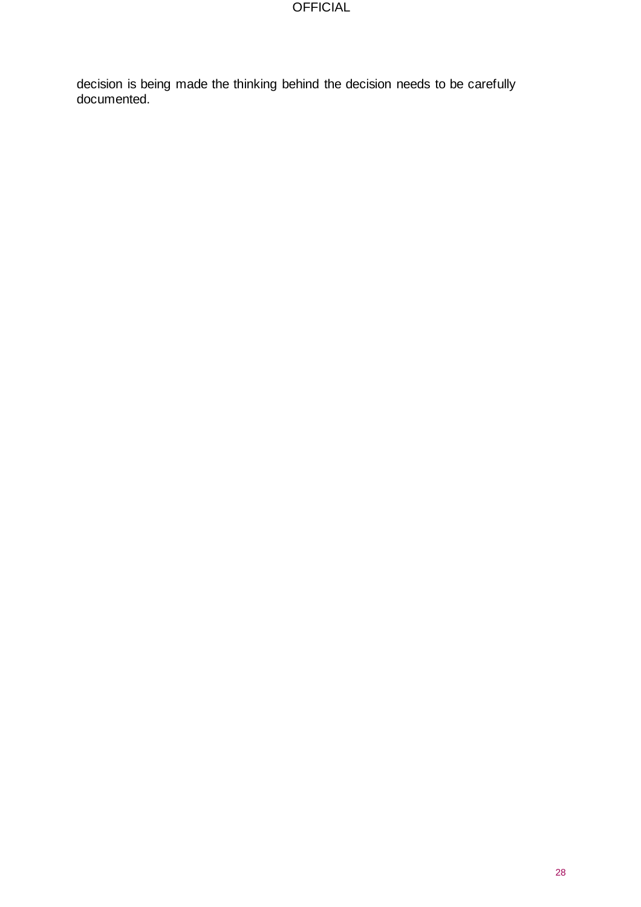decision is being made the thinking behind the decision needs to be carefully documented.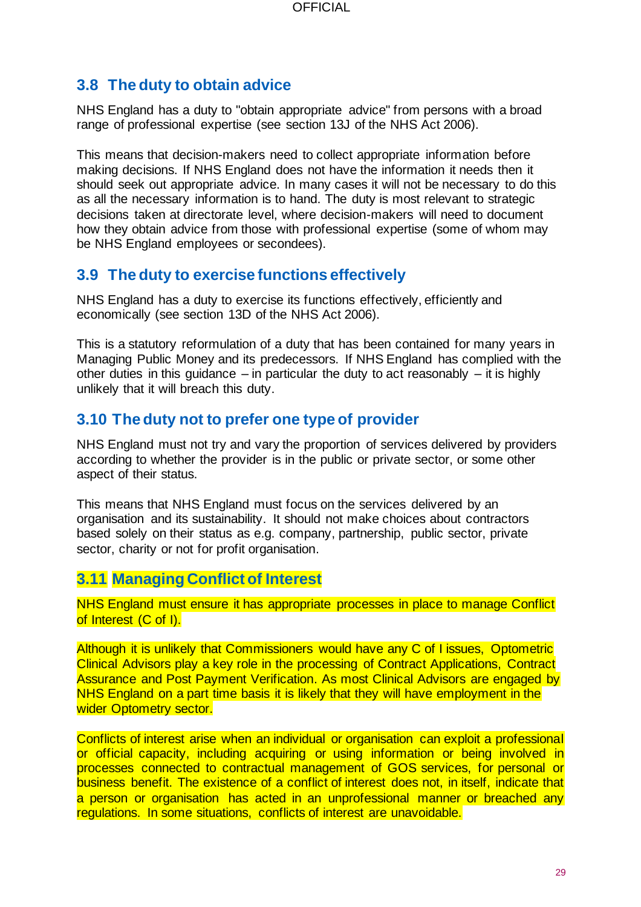## <span id="page-28-0"></span>**3.8 The duty to obtain advice**

NHS England has a duty to "obtain appropriate advice" from persons with a broad range of professional expertise (see section 13J of the NHS Act 2006).

This means that decision-makers need to collect appropriate information before making decisions. If NHS England does not have the information it needs then it should seek out appropriate advice. In many cases it will not be necessary to do this as all the necessary information is to hand. The duty is most relevant to strategic decisions taken at directorate level, where decision-makers will need to document how they obtain advice from those with professional expertise (some of whom may be NHS England employees or secondees).

#### <span id="page-28-1"></span>**3.9 The duty to exercise functions effectively**

NHS England has a duty to exercise its functions effectively, efficiently and economically (see section 13D of the NHS Act 2006).

This is a statutory reformulation of a duty that has been contained for many years in Managing Public Money and its predecessors. If NHS England has complied with the other duties in this guidance – in particular the duty to act reasonably – it is highly unlikely that it will breach this duty.

## <span id="page-28-2"></span>**3.10 The duty not to prefer one type of provider**

NHS England must not try and vary the proportion of services delivered by providers according to whether the provider is in the public or private sector, or some other aspect of their status.

This means that NHS England must focus on the services delivered by an organisation and its sustainability. It should not make choices about contractors based solely on their status as e.g. company, partnership, public sector, private sector, charity or not for profit organisation.

## **3.11 Managing Conflict of Interest**

NHS England must ensure it has appropriate processes in place to manage Conflict of Interest (C of I).

Although it is unlikely that Commissioners would have any C of I issues, Optometric Clinical Advisors play a key role in the processing of Contract Applications, Contract Assurance and Post Payment Verification. As most Clinical Advisors are engaged by NHS England on a part time basis it is likely that they will have employment in the wider Optometry sector.

Conflicts of interest arise when an individual or organisation can exploit a professional or official capacity, including acquiring or using information or being involved in processes connected to contractual management of GOS services, for personal or business benefit. The existence of a conflict of interest does not, in itself, indicate that a person or organisation has acted in an unprofessional manner or breached any regulations. In some situations, conflicts of interest are unavoidable.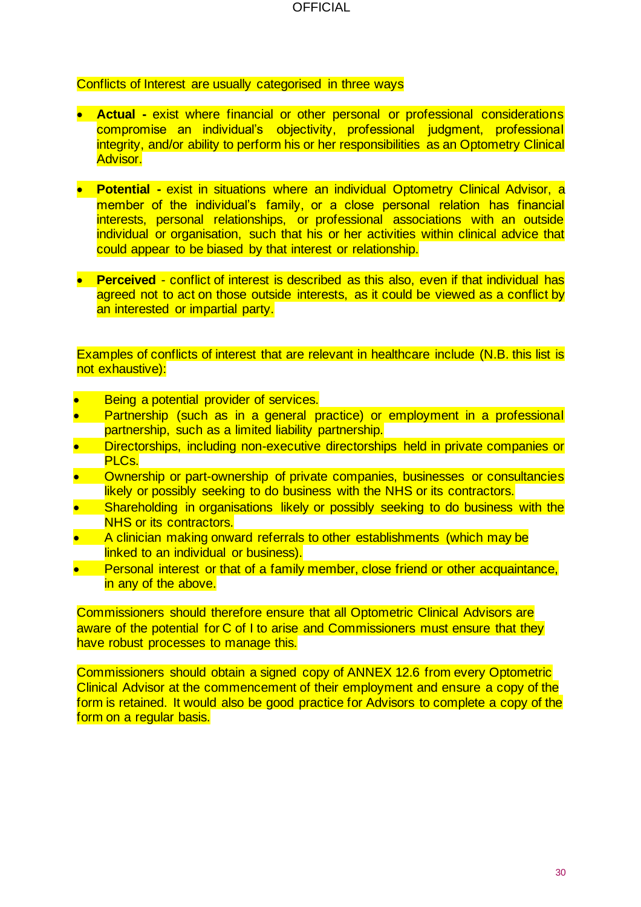Conflicts of Interest are usually categorised in three ways

- **Actual -** exist where financial or other personal or professional considerations compromise an individual's objectivity, professional judgment, professional integrity, and/or ability to perform his or her responsibilities as an Optometry Clinical Advisor.
- **Potential -** exist in situations where an individual Optometry Clinical Advisor, a member of the individual's family, or a close personal relation has financial interests, personal relationships, or professional associations with an outside individual or organisation, such that his or her activities within clinical advice that could appear to be biased by that interest or relationship.
- **Perceived** conflict of interest is described as this also, even if that individual has agreed not to act on those outside interests, as it could be viewed as a conflict by an interested or impartial party.

Examples of conflicts of interest that are relevant in healthcare include (N.B. this list is not exhaustive):

- Being a potential provider of services.
- Partnership (such as in a general practice) or employment in a professional partnership, such as a limited liability partnership.
- Directorships, including non-executive directorships held in private companies or PLCs.
- Ownership or part-ownership of private companies, businesses or consultancies likely or possibly seeking to do business with the NHS or its contractors.
- Shareholding in organisations likely or possibly seeking to do business with the NHS or its contractors.
- A clinician making onward referrals to other establishments (which may be linked to an individual or business).
- Personal interest or that of a family member, close friend or other acquaintance, in any of the above.

Commissioners should therefore ensure that all Optometric Clinical Advisors are aware of the potential for C of I to arise and Commissioners must ensure that they have robust processes to manage this.

Commissioners should obtain a signed copy of ANNEX 12.6 from every Optometric Clinical Advisor at the commencement of their employment and ensure a copy of the form is retained. It would also be good practice for Advisors to complete a copy of the form on a regular basis.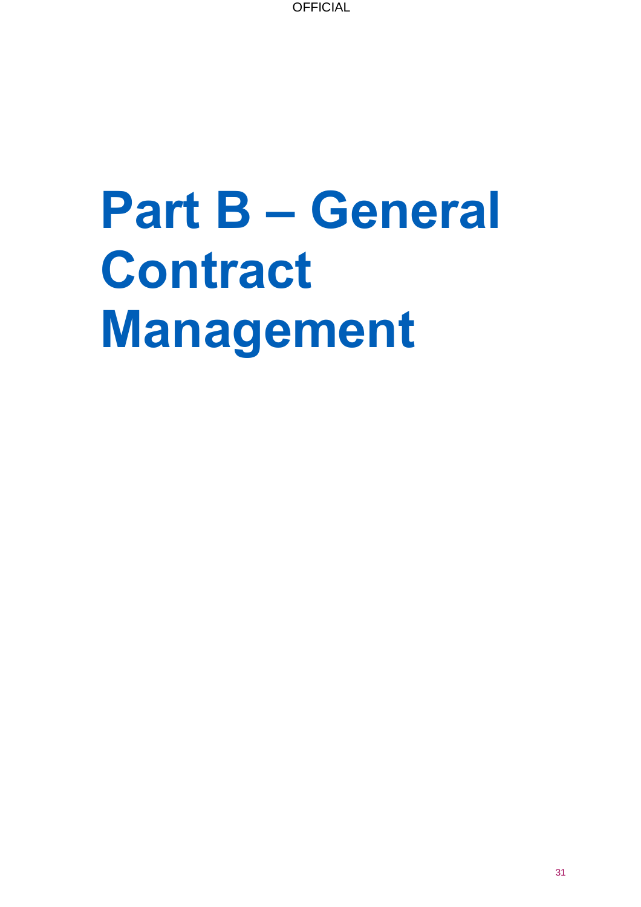# **Part B – General Contract Management**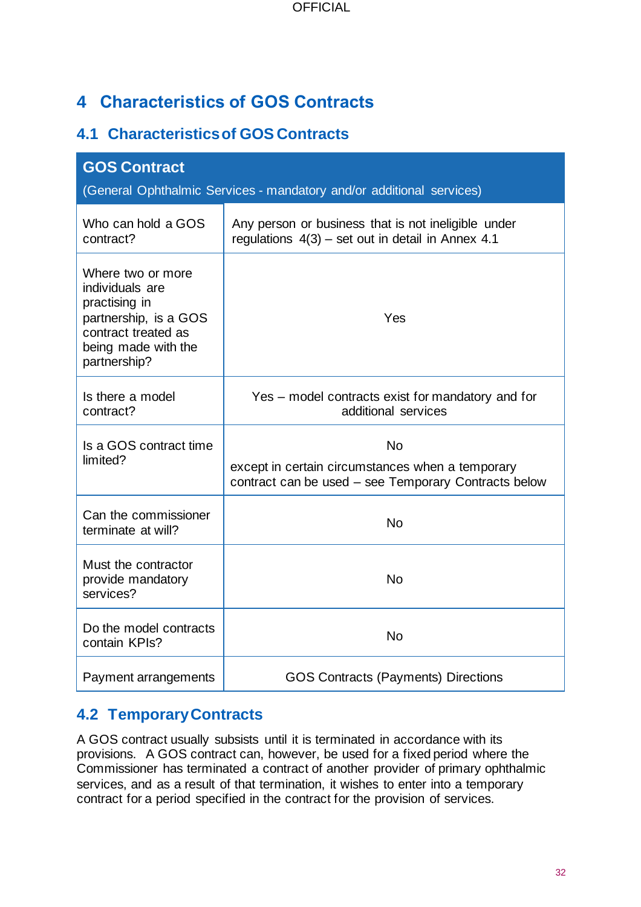## <span id="page-31-0"></span>**4 Characteristics of GOS Contracts**

## <span id="page-31-1"></span>**4.1 Characteristics of GOS Contracts**

| <b>GOS Contract</b><br>(General Ophthalmic Services - mandatory and/or additional services)                                                  |                                                                                                                       |  |  |
|----------------------------------------------------------------------------------------------------------------------------------------------|-----------------------------------------------------------------------------------------------------------------------|--|--|
| Who can hold a GOS<br>contract?                                                                                                              | Any person or business that is not ineligible under<br>regulations $4(3)$ – set out in detail in Annex 4.1            |  |  |
| Where two or more<br>individuals are<br>practising in<br>partnership, is a GOS<br>contract treated as<br>being made with the<br>partnership? | Yes                                                                                                                   |  |  |
| Is there a model<br>contract?                                                                                                                | Yes – model contracts exist for mandatory and for<br>additional services                                              |  |  |
| Is a GOS contract time<br>limited?                                                                                                           | <b>No</b><br>except in certain circumstances when a temporary<br>contract can be used - see Temporary Contracts below |  |  |
| Can the commissioner<br>terminate at will?                                                                                                   | <b>No</b>                                                                                                             |  |  |
| Must the contractor<br>provide mandatory<br>services?                                                                                        | <b>No</b>                                                                                                             |  |  |
| Do the model contracts<br>contain KPIs?                                                                                                      | <b>No</b>                                                                                                             |  |  |
| Payment arrangements                                                                                                                         | <b>GOS Contracts (Payments) Directions</b>                                                                            |  |  |

## <span id="page-31-2"></span>**4.2 Temporary Contracts**

A GOS contract usually subsists until it is terminated in accordance with its provisions. A GOS contract can, however, be used for a fixed period where the Commissioner has terminated a contract of another provider of primary ophthalmic services, and as a result of that termination, it wishes to enter into a temporary contract for a period specified in the contract for the provision of services.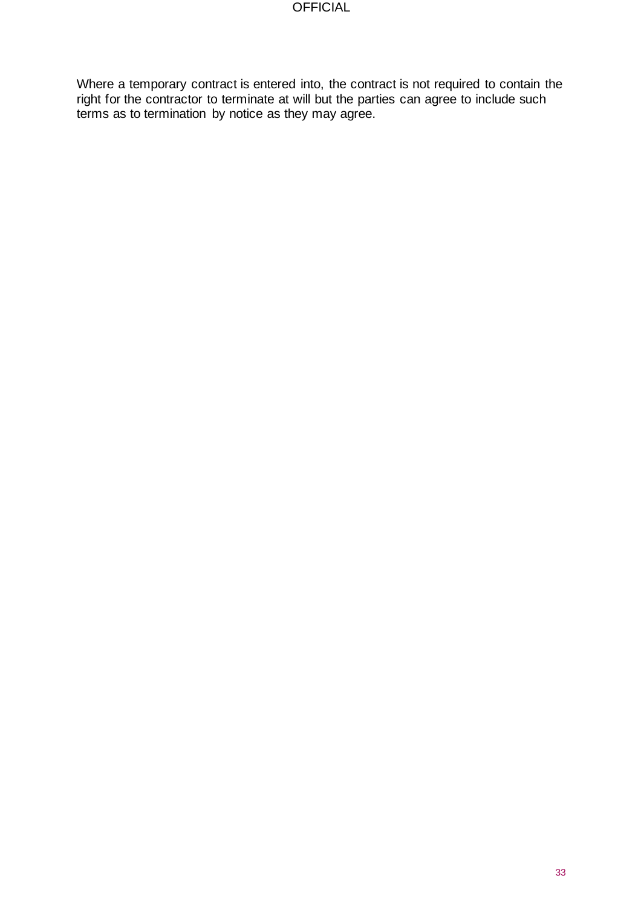Where a temporary contract is entered into, the contract is not required to contain the right for the contractor to terminate at will but the parties can agree to include such terms as to termination by notice as they may agree.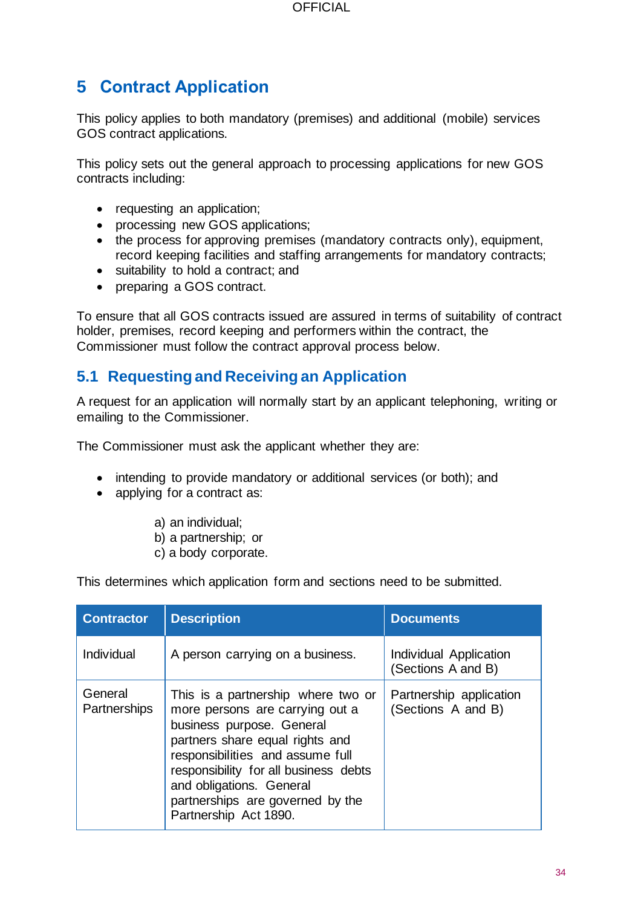## <span id="page-33-0"></span>**5 Contract Application**

This policy applies to both mandatory (premises) and additional (mobile) services GOS contract applications.

This policy sets out the general approach to processing applications for new GOS contracts including:

- requesting an application;
- processing new GOS applications;
- the process for approving premises (mandatory contracts only), equipment, record keeping facilities and staffing arrangements for mandatory contracts;
- suitability to hold a contract; and
- preparing a GOS contract.

To ensure that all GOS contracts issued are assured in terms of suitability of contract holder, premises, record keeping and performers within the contract, the Commissioner must follow the contract approval process below.

#### <span id="page-33-1"></span>**5.1 Requesting and Receiving an Application**

A request for an application will normally start by an applicant telephoning, writing or emailing to the Commissioner.

The Commissioner must ask the applicant whether they are:

- intending to provide mandatory or additional services (or both); and
- applying for a contract as:
	- a) an individual;
	- b) a partnership; or
	- c) a body corporate.

This determines which application form and sections need to be submitted.

| <b>Contractor</b>       | <b>Description</b>                                                                                                                                                                                                                                                                                          | <b>Documents</b>                              |
|-------------------------|-------------------------------------------------------------------------------------------------------------------------------------------------------------------------------------------------------------------------------------------------------------------------------------------------------------|-----------------------------------------------|
| Individual              | A person carrying on a business.                                                                                                                                                                                                                                                                            | Individual Application<br>(Sections A and B)  |
| General<br>Partnerships | This is a partnership where two or<br>more persons are carrying out a<br>business purpose. General<br>partners share equal rights and<br>responsibilities and assume full<br>responsibility for all business debts<br>and obligations. General<br>partnerships are governed by the<br>Partnership Act 1890. | Partnership application<br>(Sections A and B) |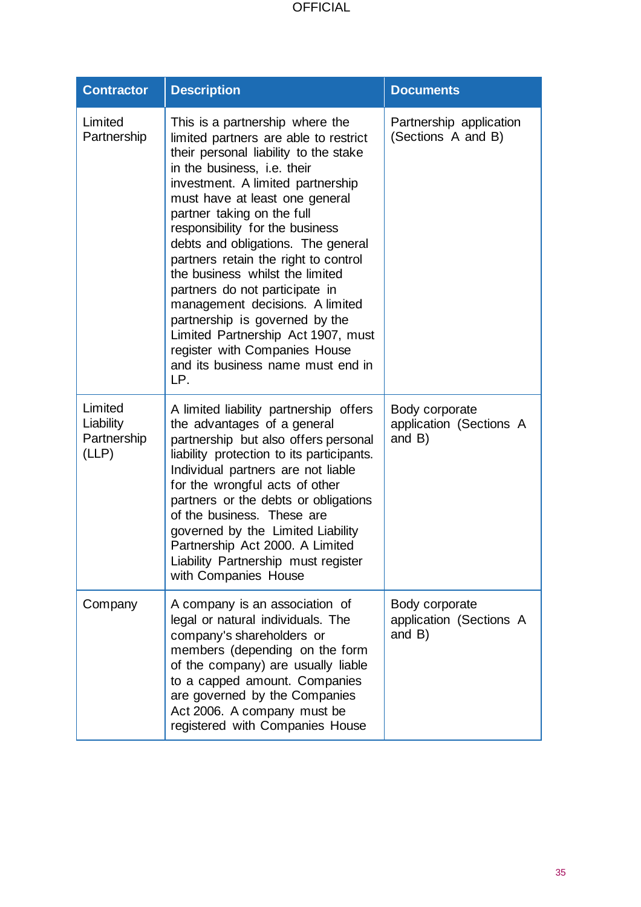| <b>Contractor</b>                            | <b>Description</b>                                                                                                                                                                                                                                                                                                                                                                                                                                                                                                                                                                                                                  | <b>Documents</b>                                    |
|----------------------------------------------|-------------------------------------------------------------------------------------------------------------------------------------------------------------------------------------------------------------------------------------------------------------------------------------------------------------------------------------------------------------------------------------------------------------------------------------------------------------------------------------------------------------------------------------------------------------------------------------------------------------------------------------|-----------------------------------------------------|
| Limited<br>Partnership                       | This is a partnership where the<br>limited partners are able to restrict<br>their personal liability to the stake<br>in the business, i.e. their<br>investment. A limited partnership<br>must have at least one general<br>partner taking on the full<br>responsibility for the business<br>debts and obligations. The general<br>partners retain the right to control<br>the business whilst the limited<br>partners do not participate in<br>management decisions. A limited<br>partnership is governed by the<br>Limited Partnership Act 1907, must<br>register with Companies House<br>and its business name must end in<br>LP. | Partnership application<br>(Sections A and B)       |
| Limited<br>Liability<br>Partnership<br>(LLP) | A limited liability partnership offers<br>the advantages of a general<br>partnership but also offers personal<br>liability protection to its participants.<br>Individual partners are not liable<br>for the wrongful acts of other<br>partners or the debts or obligations<br>of the business. These are<br>governed by the Limited Liability<br>Partnership Act 2000. A Limited<br>Liability Partnership must register<br>with Companies House                                                                                                                                                                                     | Body corporate<br>application (Sections A<br>and B) |
| Company                                      | A company is an association of<br>legal or natural individuals. The<br>company's shareholders or<br>members (depending on the form<br>of the company) are usually liable<br>to a capped amount. Companies<br>are governed by the Companies<br>Act 2006. A company must be<br>registered with Companies House                                                                                                                                                                                                                                                                                                                        | Body corporate<br>application (Sections A<br>and B) |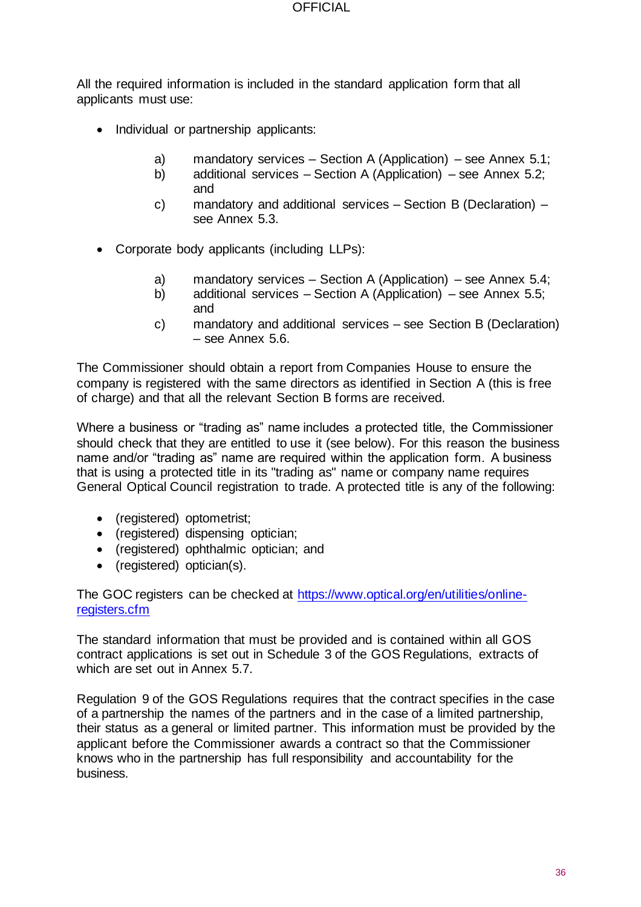All the required information is included in the standard application form that all applicants must use:

- Individual or partnership applicants:
	- a) mandatory services Section A (Application) see Annex 5.1;
	- b) additional services Section A (Application) see Annex 5.2; and
	- c) mandatory and additional services Section B (Declaration) see Annex 5.3.
- Corporate body applicants (including LLPs):
	- a) mandatory services Section A (Application) see Annex 5.4;
	- b) additional services Section A (Application) see Annex 5.5; and
	- c) mandatory and additional services see Section B (Declaration) – see Annex 5.6.

The Commissioner should obtain a report from Companies House to ensure the company is registered with the same directors as identified in Section A (this is free of charge) and that all the relevant Section B forms are received.

Where a business or "trading as" name includes a protected title, the Commissioner should check that they are entitled to use it (see below). For this reason the business name and/or "trading as" name are required within the application form. A business that is using a protected title in its "trading as" name or company name requires General Optical Council registration to trade. A protected title is any of the following:

- (registered) optometrist;
- (registered) dispensing optician;
- (registered) ophthalmic optician; and
- (registered) optician(s).

The GOC registers can be checked at [https://www.optical.org/en/utilities/online](https://www.optical.org/en/utilities/online-registers.cfm)[registers.cfm](https://www.optical.org/en/utilities/online-registers.cfm)

The standard information that must be provided and is contained within all GOS contract applications is set out in Schedule 3 of the GOS Regulations, extracts of which are set out in Annex 5.7.

Regulation 9 of the GOS Regulations requires that the contract specifies in the case of a partnership the names of the partners and in the case of a limited partnership, their status as a general or limited partner. This information must be provided by the applicant before the Commissioner awards a contract so that the Commissioner knows who in the partnership has full responsibility and accountability for the business.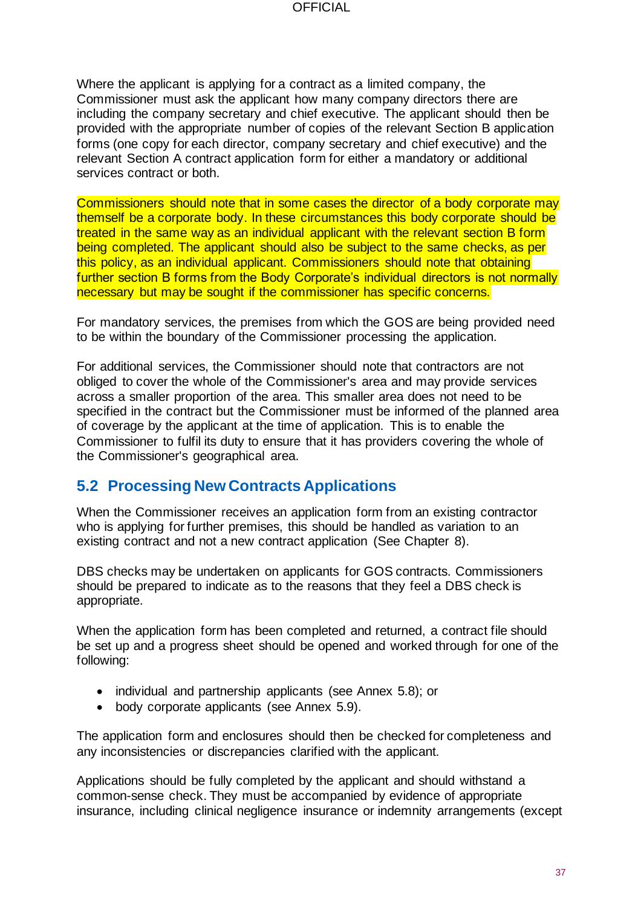Where the applicant is applying for a contract as a limited company, the Commissioner must ask the applicant how many company directors there are including the company secretary and chief executive. The applicant should then be provided with the appropriate number of copies of the relevant Section B application forms (one copy for each director, company secretary and chief executive) and the relevant Section A contract application form for either a mandatory or additional services contract or both.

Commissioners should note that in some cases the director of a body corporate may themself be a corporate body. In these circumstances this body corporate should be treated in the same way as an individual applicant with the relevant section B form being completed. The applicant should also be subject to the same checks, as per this policy, as an individual applicant. Commissioners should note that obtaining further section B forms from the Body Corporate's individual directors is not normally necessary but may be sought if the commissioner has specific concerns.

For mandatory services, the premises from which the GOS are being provided need to be within the boundary of the Commissioner processing the application.

For additional services, the Commissioner should note that contractors are not obliged to cover the whole of the Commissioner's area and may provide services across a smaller proportion of the area. This smaller area does not need to be specified in the contract but the Commissioner must be informed of the planned area of coverage by the applicant at the time of application. This is to enable the Commissioner to fulfil its duty to ensure that it has providers covering the whole of the Commissioner's geographical area.

# **5.2 Processing New Contracts Applications**

When the Commissioner receives an application form from an existing contractor who is applying for further premises, this should be handled as variation to an existing contract and not a new contract application (See Chapter 8).

DBS checks may be undertaken on applicants for GOS contracts. Commissioners should be prepared to indicate as to the reasons that they feel a DBS check is appropriate.

When the application form has been completed and returned, a contract file should be set up and a progress sheet should be opened and worked through for one of the following:

- individual and partnership applicants (see Annex 5.8); or
- body corporate applicants (see Annex 5.9).

The application form and enclosures should then be checked for completeness and any inconsistencies or discrepancies clarified with the applicant.

Applications should be fully completed by the applicant and should withstand a common-sense check. They must be accompanied by evidence of appropriate insurance, including clinical negligence insurance or indemnity arrangements (except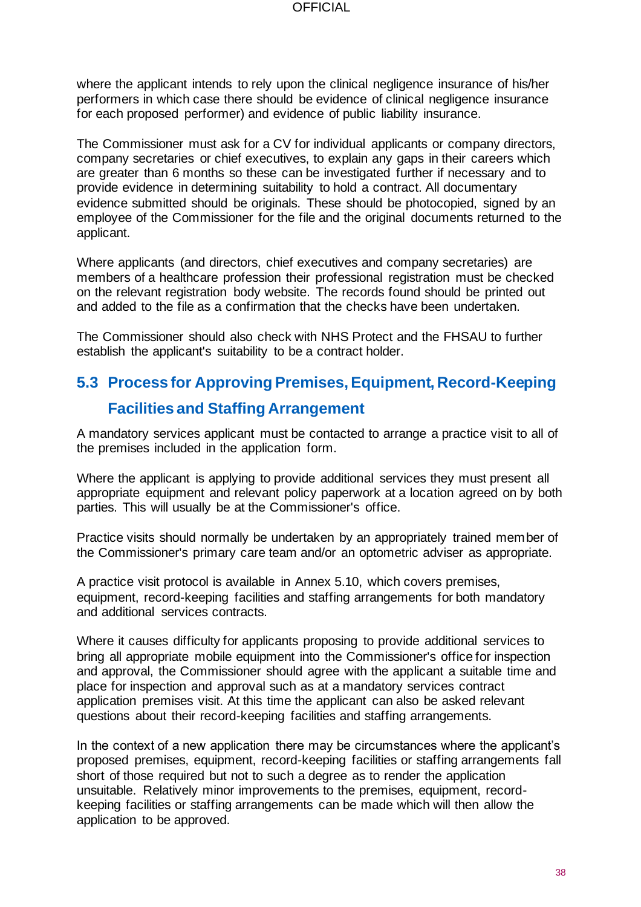where the applicant intends to rely upon the clinical negligence insurance of his/her performers in which case there should be evidence of clinical negligence insurance for each proposed performer) and evidence of public liability insurance.

The Commissioner must ask for a CV for individual applicants or company directors, company secretaries or chief executives, to explain any gaps in their careers which are greater than 6 months so these can be investigated further if necessary and to provide evidence in determining suitability to hold a contract. All documentary evidence submitted should be originals. These should be photocopied, signed by an employee of the Commissioner for the file and the original documents returned to the applicant.

Where applicants (and directors, chief executives and company secretaries) are members of a healthcare profession their professional registration must be checked on the relevant registration body website. The records found should be printed out and added to the file as a confirmation that the checks have been undertaken.

The Commissioner should also check with NHS Protect and the FHSAU to further establish the applicant's suitability to be a contract holder.

# **5.3 Process for Approving Premises, Equipment, Record-Keeping Facilities and Staffing Arrangement**

A mandatory services applicant must be contacted to arrange a practice visit to all of the premises included in the application form.

Where the applicant is applying to provide additional services they must present all appropriate equipment and relevant policy paperwork at a location agreed on by both parties. This will usually be at the Commissioner's office.

Practice visits should normally be undertaken by an appropriately trained member of the Commissioner's primary care team and/or an optometric adviser as appropriate.

A practice visit protocol is available in Annex 5.10, which covers premises, equipment, record-keeping facilities and staffing arrangements for both mandatory and additional services contracts.

Where it causes difficulty for applicants proposing to provide additional services to bring all appropriate mobile equipment into the Commissioner's office for inspection and approval, the Commissioner should agree with the applicant a suitable time and place for inspection and approval such as at a mandatory services contract application premises visit. At this time the applicant can also be asked relevant questions about their record-keeping facilities and staffing arrangements.

In the context of a new application there may be circumstances where the applicant's proposed premises, equipment, record-keeping facilities or staffing arrangements fall short of those required but not to such a degree as to render the application unsuitable. Relatively minor improvements to the premises, equipment, recordkeeping facilities or staffing arrangements can be made which will then allow the application to be approved.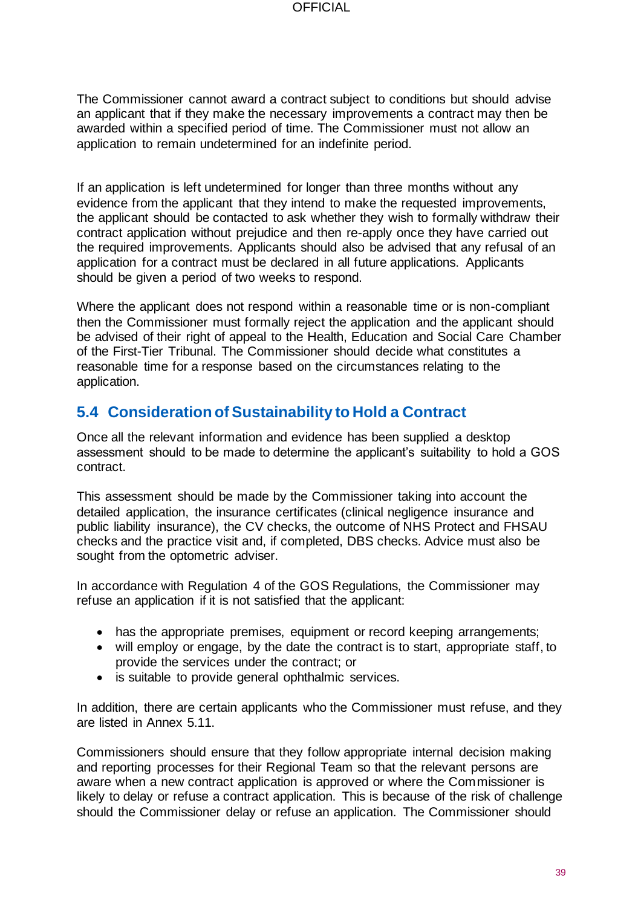The Commissioner cannot award a contract subject to conditions but should advise an applicant that if they make the necessary improvements a contract may then be awarded within a specified period of time. The Commissioner must not allow an application to remain undetermined for an indefinite period.

If an application is left undetermined for longer than three months without any evidence from the applicant that they intend to make the requested improvements, the applicant should be contacted to ask whether they wish to formally withdraw their contract application without prejudice and then re-apply once they have carried out the required improvements. Applicants should also be advised that any refusal of an application for a contract must be declared in all future applications. Applicants should be given a period of two weeks to respond.

Where the applicant does not respond within a reasonable time or is non-compliant then the Commissioner must formally reject the application and the applicant should be advised of their right of appeal to the Health, Education and Social Care Chamber of the First-Tier Tribunal. The Commissioner should decide what constitutes a reasonable time for a response based on the circumstances relating to the application.

# **5.4 Consideration of Sustainability to Hold a Contract**

Once all the relevant information and evidence has been supplied a desktop assessment should to be made to determine the applicant's suitability to hold a GOS contract.

This assessment should be made by the Commissioner taking into account the detailed application, the insurance certificates (clinical negligence insurance and public liability insurance), the CV checks, the outcome of NHS Protect and FHSAU checks and the practice visit and, if completed, DBS checks. Advice must also be sought from the optometric adviser.

In accordance with Regulation 4 of the GOS Regulations, the Commissioner may refuse an application if it is not satisfied that the applicant:

- has the appropriate premises, equipment or record keeping arrangements;
- will employ or engage, by the date the contract is to start, appropriate staff, to provide the services under the contract; or
- is suitable to provide general ophthalmic services.

In addition, there are certain applicants who the Commissioner must refuse, and they are listed in Annex 5.11.

Commissioners should ensure that they follow appropriate internal decision making and reporting processes for their Regional Team so that the relevant persons are aware when a new contract application is approved or where the Commissioner is likely to delay or refuse a contract application. This is because of the risk of challenge should the Commissioner delay or refuse an application. The Commissioner should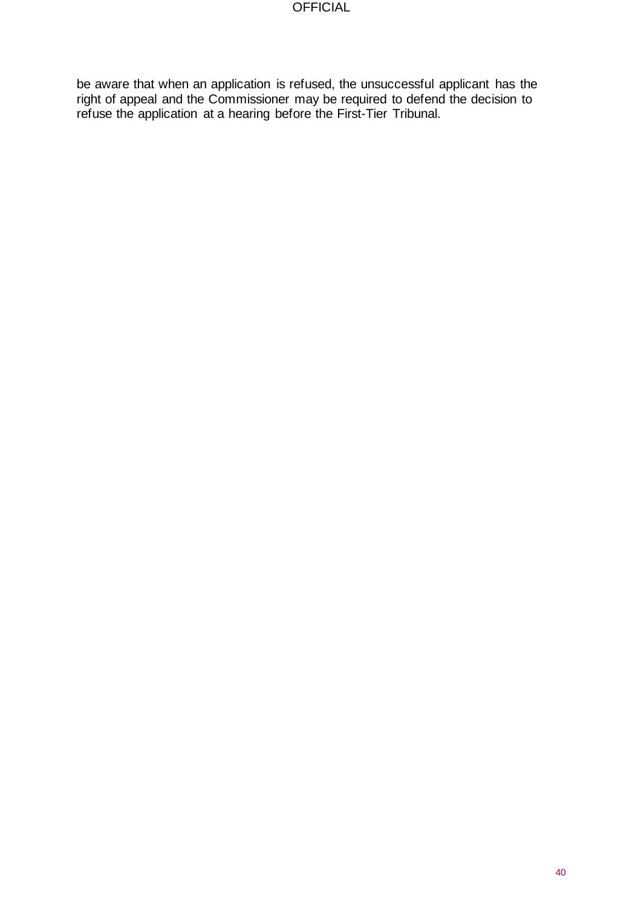be aware that when an application is refused, the unsuccessful applicant has the right of appeal and the Commissioner may be required to defend the decision to refuse the application at a hearing before the First-Tier Tribunal.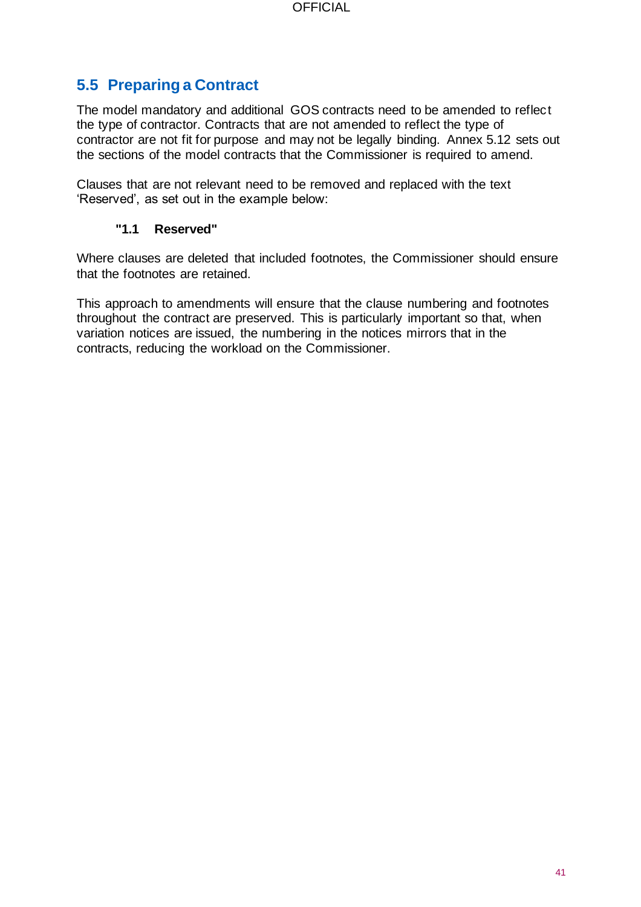# **5.5 Preparing a Contract**

The model mandatory and additional GOS contracts need to be amended to reflect the type of contractor. Contracts that are not amended to reflect the type of contractor are not fit for purpose and may not be legally binding. Annex 5.12 sets out the sections of the model contracts that the Commissioner is required to amend.

Clauses that are not relevant need to be removed and replaced with the text 'Reserved', as set out in the example below:

### **"1.1 Reserved"**

Where clauses are deleted that included footnotes, the Commissioner should ensure that the footnotes are retained.

This approach to amendments will ensure that the clause numbering and footnotes throughout the contract are preserved. This is particularly important so that, when variation notices are issued, the numbering in the notices mirrors that in the contracts, reducing the workload on the Commissioner.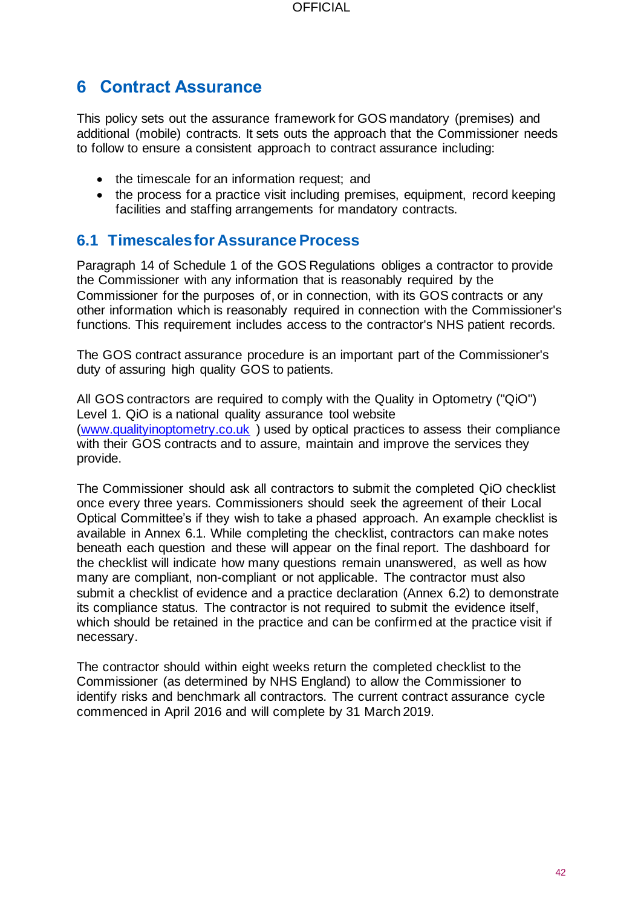# **6 Contract Assurance**

This policy sets out the assurance framework for GOS mandatory (premises) and additional (mobile) contracts. It sets outs the approach that the Commissioner needs to follow to ensure a consistent approach to contract assurance including:

- the timescale for an information request; and
- the process for a practice visit including premises, equipment, record keeping facilities and staffing arrangements for mandatory contracts.

# **6.1 Timescales for Assurance Process**

Paragraph 14 of Schedule 1 of the GOS Regulations obliges a contractor to provide the Commissioner with any information that is reasonably required by the Commissioner for the purposes of, or in connection, with its GOS contracts or any other information which is reasonably required in connection with the Commissioner's functions. This requirement includes access to the contractor's NHS patient records.

The GOS contract assurance procedure is an important part of the Commissioner's duty of assuring high quality GOS to patients.

All GOS contractors are required to comply with the Quality in Optometry ("QiO") Level 1. QiO is a national quality assurance tool website [\(www.qualityinoptometry.co.uk](http://www.qualityinoptometry.co.uk/) ) used by optical practices to assess their compliance with their GOS contracts and to assure, maintain and improve the services they provide.

The Commissioner should ask all contractors to submit the completed QiO checklist once every three years. Commissioners should seek the agreement of their Local Optical Committee's if they wish to take a phased approach. An example checklist is available in Annex 6.1. While completing the checklist, contractors can make notes beneath each question and these will appear on the final report. The dashboard for the checklist will indicate how many questions remain unanswered, as well as how many are compliant, non-compliant or not applicable. The contractor must also submit a checklist of evidence and a practice declaration (Annex 6.2) to demonstrate its compliance status. The contractor is not required to submit the evidence itself, which should be retained in the practice and can be confirmed at the practice visit if necessary.

The contractor should within eight weeks return the completed checklist to the Commissioner (as determined by NHS England) to allow the Commissioner to identify risks and benchmark all contractors. The current contract assurance cycle commenced in April 2016 and will complete by 31 March 2019.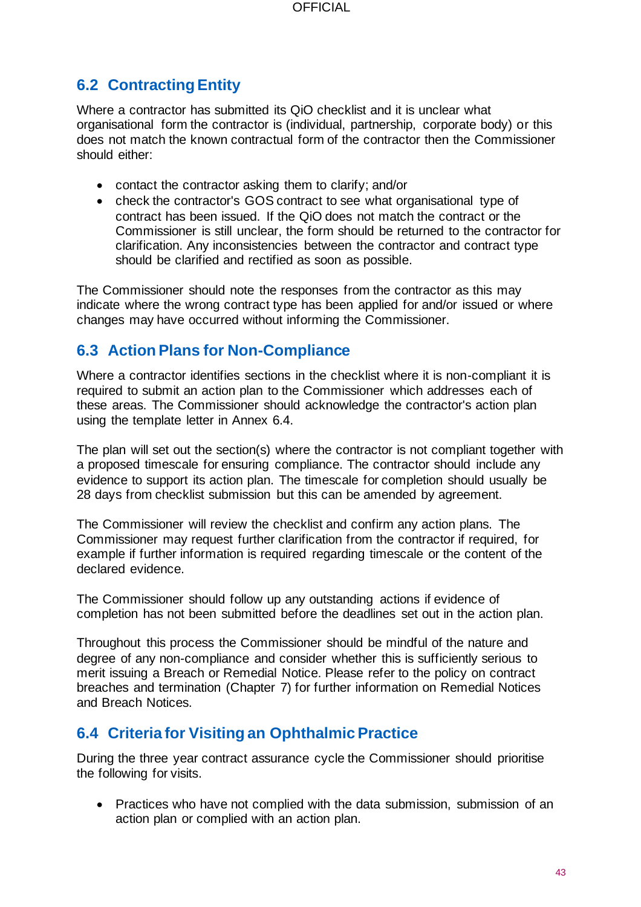# **6.2 Contracting Entity**

Where a contractor has submitted its QiO checklist and it is unclear what organisational form the contractor is (individual, partnership, corporate body) or this does not match the known contractual form of the contractor then the Commissioner should either:

- contact the contractor asking them to clarify; and/or
- check the contractor's GOS contract to see what organisational type of contract has been issued. If the QiO does not match the contract or the Commissioner is still unclear, the form should be returned to the contractor for clarification. Any inconsistencies between the contractor and contract type should be clarified and rectified as soon as possible.

The Commissioner should note the responses from the contractor as this may indicate where the wrong contract type has been applied for and/or issued or where changes may have occurred without informing the Commissioner.

# **6.3 Action Plans for Non-Compliance**

Where a contractor identifies sections in the checklist where it is non-compliant it is required to submit an action plan to the Commissioner which addresses each of these areas. The Commissioner should acknowledge the contractor's action plan using the template letter in Annex 6.4.

The plan will set out the section(s) where the contractor is not compliant together with a proposed timescale for ensuring compliance. The contractor should include any evidence to support its action plan. The timescale for completion should usually be 28 days from checklist submission but this can be amended by agreement.

The Commissioner will review the checklist and confirm any action plans. The Commissioner may request further clarification from the contractor if required, for example if further information is required regarding timescale or the content of the declared evidence.

The Commissioner should follow up any outstanding actions if evidence of completion has not been submitted before the deadlines set out in the action plan.

Throughout this process the Commissioner should be mindful of the nature and degree of any non-compliance and consider whether this is sufficiently serious to merit issuing a Breach or Remedial Notice. Please refer to the policy on contract breaches and termination (Chapter 7) for further information on Remedial Notices and Breach Notices.

# **6.4 Criteria for Visiting an Ophthalmic Practice**

During the three year contract assurance cycle the Commissioner should prioritise the following for visits.

• Practices who have not complied with the data submission, submission of an action plan or complied with an action plan.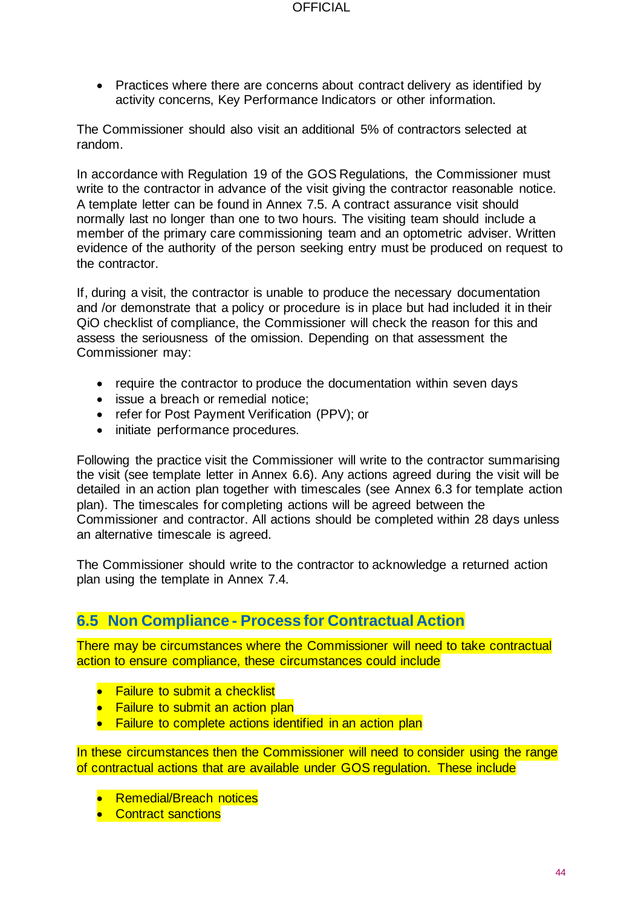• Practices where there are concerns about contract delivery as identified by activity concerns, Key Performance Indicators or other information.

The Commissioner should also visit an additional 5% of contractors selected at random.

In accordance with Regulation 19 of the GOS Regulations, the Commissioner must write to the contractor in advance of the visit giving the contractor reasonable notice. A template letter can be found in Annex 7.5. A contract assurance visit should normally last no longer than one to two hours. The visiting team should include a member of the primary care commissioning team and an optometric adviser. Written evidence of the authority of the person seeking entry must be produced on request to the contractor.

If, during a visit, the contractor is unable to produce the necessary documentation and /or demonstrate that a policy or procedure is in place but had included it in their QiO checklist of compliance, the Commissioner will check the reason for this and assess the seriousness of the omission. Depending on that assessment the Commissioner may:

- require the contractor to produce the documentation within seven days
- issue a breach or remedial notice;
- refer for Post Payment Verification (PPV); or
- initiate performance procedures.

Following the practice visit the Commissioner will write to the contractor summarising the visit (see template letter in Annex 6.6). Any actions agreed during the visit will be detailed in an action plan together with timescales (see Annex 6.3 for template action plan). The timescales for completing actions will be agreed between the Commissioner and contractor. All actions should be completed within 28 days unless an alternative timescale is agreed.

The Commissioner should write to the contractor to acknowledge a returned action plan using the template in Annex 7.4.

## **6.5 Non Compliance - Process for Contractual Action**

There may be circumstances where the Commissioner will need to take contractual action to ensure compliance, these circumstances could include

- Failure to submit a checklist
- Failure to submit an action plan
- Failure to complete actions identified in an action plan

In these circumstances then the Commissioner will need to consider using the range of contractual actions that are available under GOS regulation. These include

- Remedial/Breach notices
- Contract sanctions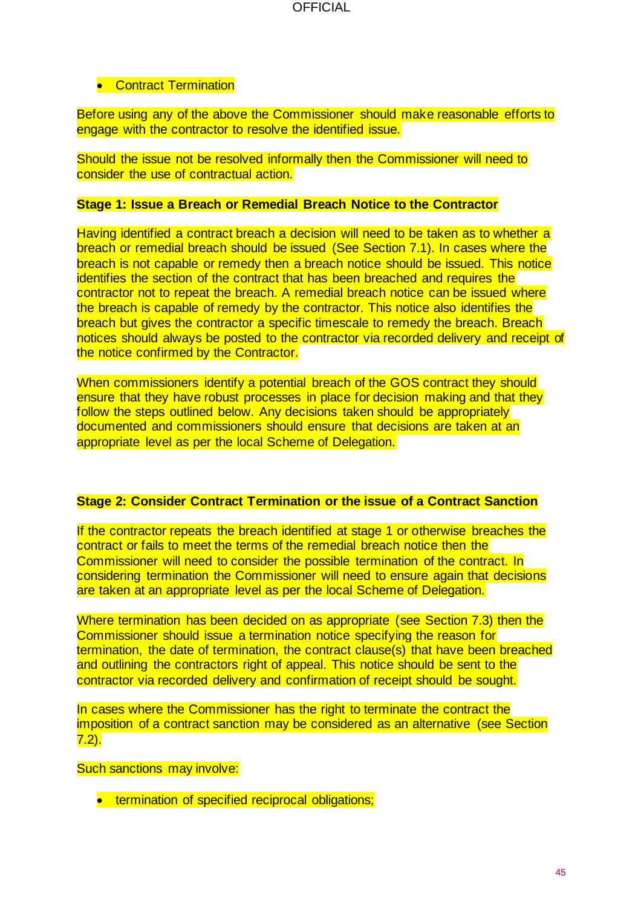#### • Contract Termination

Before using any of the above the Commissioner should make reasonable efforts to engage with the contractor to resolve the identified issue.

Should the issue not be resolved informally then the Commissioner will need to consider the use of contractual action.

#### **Stage 1: Issue a Breach or Remedial Breach Notice to the Contractor**

Having identified a contract breach a decision will need to be taken as to whether a breach or remedial breach should be issued (See Section 7.1). In cases where the breach is not capable or remedy then a breach notice should be issued. This notice identifies the section of the contract that has been breached and requires the contractor not to repeat the breach. A remedial breach notice can be issued where the breach is capable of remedy by the contractor. This notice also identifies the breach but gives the contractor a specific timescale to remedy the breach. Breach notices should always be posted to the contractor via recorded delivery and receipt of the notice confirmed by the Contractor.

When commissioners identify a potential breach of the GOS contract they should ensure that they have robust processes in place for decision making and that they follow the steps outlined below. Any decisions taken should be appropriately documented and commissioners should ensure that decisions are taken at an appropriate level as per the local Scheme of Delegation.

#### **Stage 2: Consider Contract Termination or the issue of a Contract Sanction**

If the contractor repeats the breach identified at stage 1 or otherwise breaches the contract or fails to meet the terms of the remedial breach notice then the Commissioner will need to consider the possible termination of the contract. In considering termination the Commissioner will need to ensure again that decisions are taken at an appropriate level as per the local Scheme of Delegation.

Where termination has been decided on as appropriate (see Section 7.3) then the Commissioner should issue a termination notice specifying the reason for termination, the date of termination, the contract clause(s) that have been breached and outlining the contractors right of appeal. This notice should be sent to the contractor via recorded delivery and confirmation of receipt should be sought.

In cases where the Commissioner has the right to terminate the contract the imposition of a contract sanction may be considered as an alternative (see Section 7.2).

Such sanctions may involve:

• termination of specified reciprocal obligations;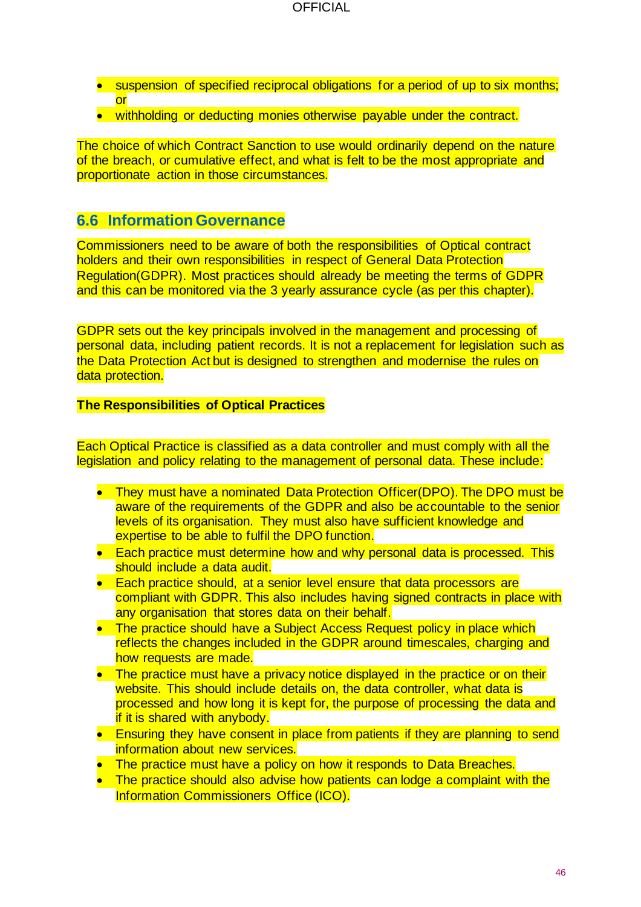- suspension of specified reciprocal obligations for a period of up to six months; or
- withholding or deducting monies otherwise payable under the contract.

The choice of which Contract Sanction to use would ordinarily depend on the nature of the breach, or cumulative effect, and what is felt to be the most appropriate and proportionate action in those circumstances.

## **6.6 Information Governance**

Commissioners need to be aware of both the responsibilities of Optical contract holders and their own responsibilities in respect of General Data Protection Regulation(GDPR). Most practices should already be meeting the terms of GDPR and this can be monitored via the 3 yearly assurance cycle (as per this chapter).

GDPR sets out the key principals involved in the management and processing of personal data, including patient records. It is not a replacement for legislation such as the Data Protection Act but is designed to strengthen and modernise the rules on data protection.

#### **The Responsibilities of Optical Practices**

Each Optical Practice is classified as a data controller and must comply with all the legislation and policy relating to the management of personal data. These include:

- They must have a nominated Data Protection Officer(DPO). The DPO must be aware of the requirements of the GDPR and also be accountable to the senior levels of its organisation. They must also have sufficient knowledge and expertise to be able to fulfil the DPO function.
- Each practice must determine how and why personal data is processed. This should include a data audit.
- Each practice should, at a senior level ensure that data processors are compliant with GDPR. This also includes having signed contracts in place with any organisation that stores data on their behalf.
- The practice should have a Subiect Access Request policy in place which reflects the changes included in the GDPR around timescales, charging and how requests are made.
- The practice must have a privacy notice displayed in the practice or on their website. This should include details on, the data controller, what data is processed and how long it is kept for, the purpose of processing the data and if it is shared with anybody.
- Ensuring they have consent in place from patients if they are planning to send information about new services.
- The practice must have a policy on how it responds to Data Breaches.
- The practice should also advise how patients can lodge a complaint with the Information Commissioners Office (ICO).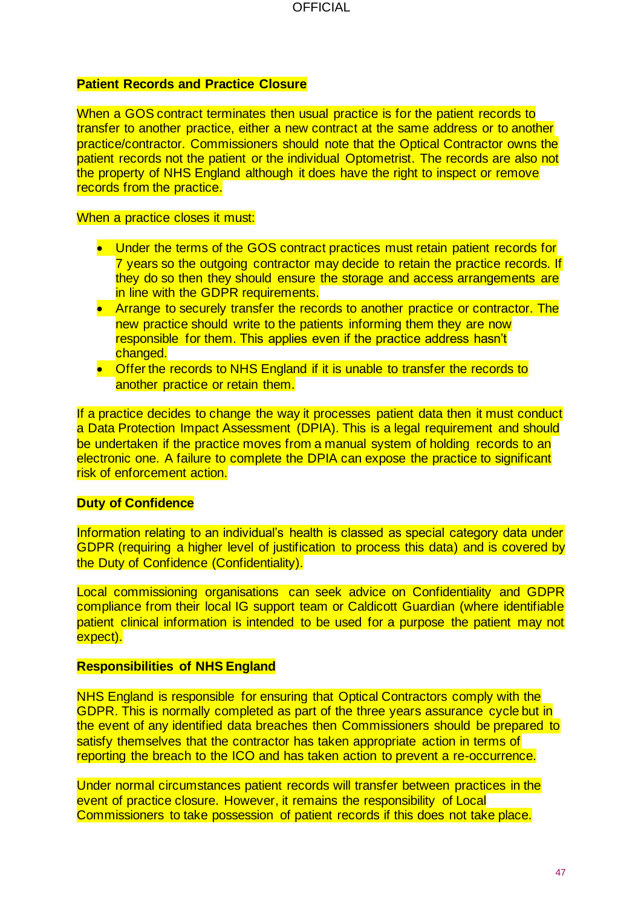#### **Patient Records and Practice Closure**

When a GOS contract terminates then usual practice is for the patient records to transfer to another practice, either a new contract at the same address or to another practice/contractor. Commissioners should note that the Optical Contractor owns the patient records not the patient or the individual Optometrist. The records are also not the property of NHS England although it does have the right to inspect or remove records from the practice.

#### When a practice closes it must:

- Under the terms of the GOS contract practices must retain patient records for 7 years so the outgoing contractor may decide to retain the practice records. If they do so then they should ensure the storage and access arrangements are in line with the GDPR requirements.
- Arrange to securely transfer the records to another practice or contractor. The new practice should write to the patients informing them they are now responsible for them. This applies even if the practice address hasn't changed.
- Offer the records to NHS England if it is unable to transfer the records to another practice or retain them.

If a practice decides to change the way it processes patient data then it must conduct a Data Protection Impact Assessment (DPIA). This is a legal requirement and should be undertaken if the practice moves from a manual system of holding records to an electronic one. A failure to complete the DPIA can expose the practice to significant risk of enforcement action.

#### **Duty of Confidence**

Information relating to an individual's health is classed as special category data under GDPR (requiring a higher level of justification to process this data) and is covered by the Duty of Confidence (Confidentiality).

Local commissioning organisations can seek advice on Confidentiality and GDPR compliance from their local IG support team or Caldicott Guardian (where identifiable patient clinical information is intended to be used for a purpose the patient may not expect).

#### **Responsibilities of NHS England**

NHS England is responsible for ensuring that Optical Contractors comply with the GDPR. This is normally completed as part of the three years assurance cycle but in the event of any identified data breaches then Commissioners should be prepared to satisfy themselves that the contractor has taken appropriate action in terms of reporting the breach to the ICO and has taken action to prevent a re-occurrence.

Under normal circumstances patient records will transfer between practices in the event of practice closure. However, it remains the responsibility of Local Commissioners to take possession of patient records if this does not take place.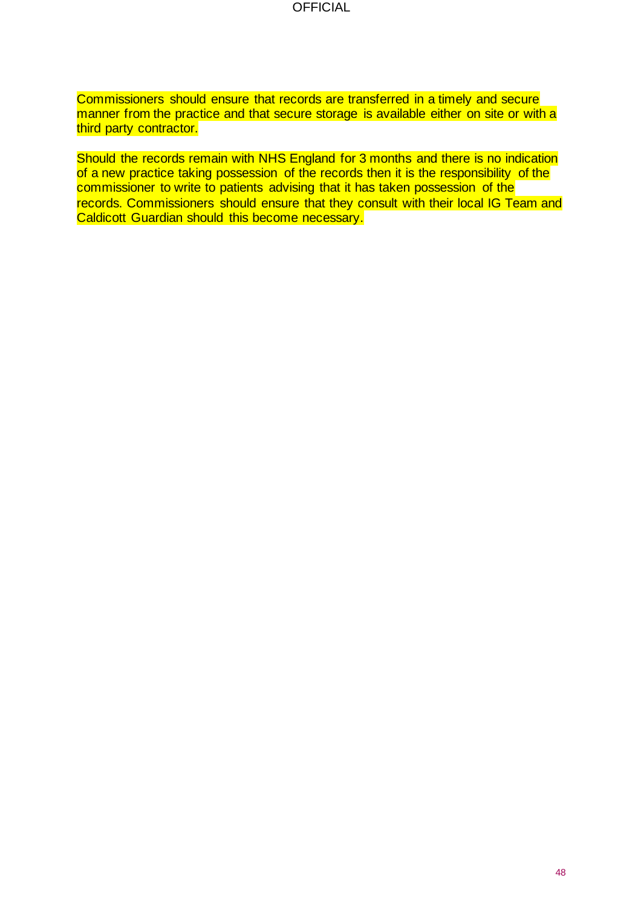**OFFICIAL** 

Commissioners should ensure that records are transferred in a timely and secure manner from the practice and that secure storage is available either on site or with a third party contractor.

Should the records remain with NHS England for 3 months and there is no indication of a new practice taking possession of the records then it is the responsibility of the commissioner to write to patients advising that it has taken possession of the records. Commissioners should ensure that they consult with their local IG Team and Caldicott Guardian should this become necessary.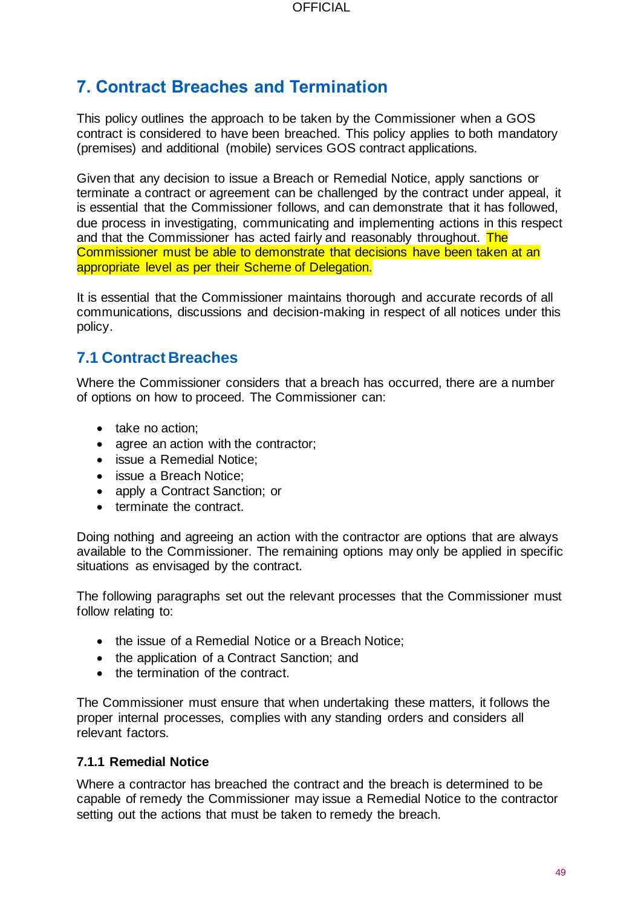# **7. Contract Breaches and Termination**

This policy outlines the approach to be taken by the Commissioner when a GOS contract is considered to have been breached. This policy applies to both mandatory (premises) and additional (mobile) services GOS contract applications.

Given that any decision to issue a Breach or Remedial Notice, apply sanctions or terminate a contract or agreement can be challenged by the contract under appeal, it is essential that the Commissioner follows, and can demonstrate that it has followed, due process in investigating, communicating and implementing actions in this respect and that the Commissioner has acted fairly and reasonably throughout. The Commissioner must be able to demonstrate that decisions have been taken at an appropriate level as per their Scheme of Delegation.

It is essential that the Commissioner maintains thorough and accurate records of all communications, discussions and decision-making in respect of all notices under this policy.

# **7.1 Contract Breaches**

Where the Commissioner considers that a breach has occurred, there are a number of options on how to proceed. The Commissioner can:

- take no action;
- agree an action with the contractor;
- issue a Remedial Notice;
- issue a Breach Notice;
- apply a Contract Sanction; or
- terminate the contract.

Doing nothing and agreeing an action with the contractor are options that are always available to the Commissioner. The remaining options may only be applied in specific situations as envisaged by the contract.

The following paragraphs set out the relevant processes that the Commissioner must follow relating to:

- the issue of a Remedial Notice or a Breach Notice;
- the application of a Contract Sanction; and
- the termination of the contract.

The Commissioner must ensure that when undertaking these matters, it follows the proper internal processes, complies with any standing orders and considers all relevant factors.

#### **7.1.1 Remedial Notice**

Where a contractor has breached the contract and the breach is determined to be capable of remedy the Commissioner may issue a Remedial Notice to the contractor setting out the actions that must be taken to remedy the breach.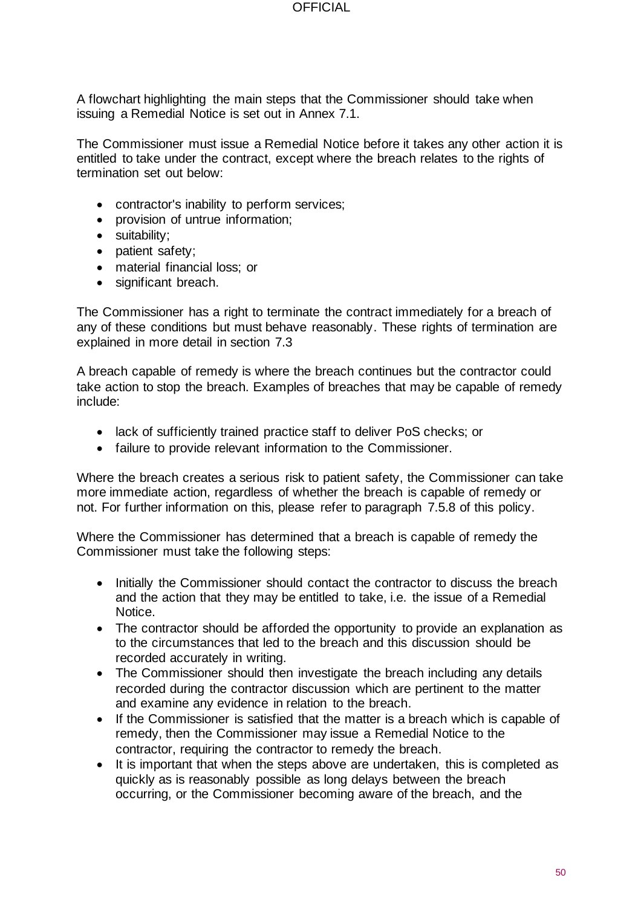A flowchart highlighting the main steps that the Commissioner should take when issuing a Remedial Notice is set out in Annex 7.1.

The Commissioner must issue a Remedial Notice before it takes any other action it is entitled to take under the contract, except where the breach relates to the rights of termination set out below:

- contractor's inability to perform services;
- provision of untrue information;
- suitability;
- patient safety;
- material financial loss; or
- significant breach.

The Commissioner has a right to terminate the contract immediately for a breach of any of these conditions but must behave reasonably. These rights of termination are explained in more detail in section 7.3

A breach capable of remedy is where the breach continues but the contractor could take action to stop the breach. Examples of breaches that may be capable of remedy include:

- lack of sufficiently trained practice staff to deliver PoS checks; or
- failure to provide relevant information to the Commissioner.

Where the breach creates a serious risk to patient safety, the Commissioner can take more immediate action, regardless of whether the breach is capable of remedy or not. For further information on this, please refer to paragraph 7.5.8 of this policy.

Where the Commissioner has determined that a breach is capable of remedy the Commissioner must take the following steps:

- Initially the Commissioner should contact the contractor to discuss the breach and the action that they may be entitled to take, i.e. the issue of a Remedial Notice.
- The contractor should be afforded the opportunity to provide an explanation as to the circumstances that led to the breach and this discussion should be recorded accurately in writing.
- The Commissioner should then investigate the breach including any details recorded during the contractor discussion which are pertinent to the matter and examine any evidence in relation to the breach.
- If the Commissioner is satisfied that the matter is a breach which is capable of remedy, then the Commissioner may issue a Remedial Notice to the contractor, requiring the contractor to remedy the breach.
- It is important that when the steps above are undertaken, this is completed as quickly as is reasonably possible as long delays between the breach occurring, or the Commissioner becoming aware of the breach, and the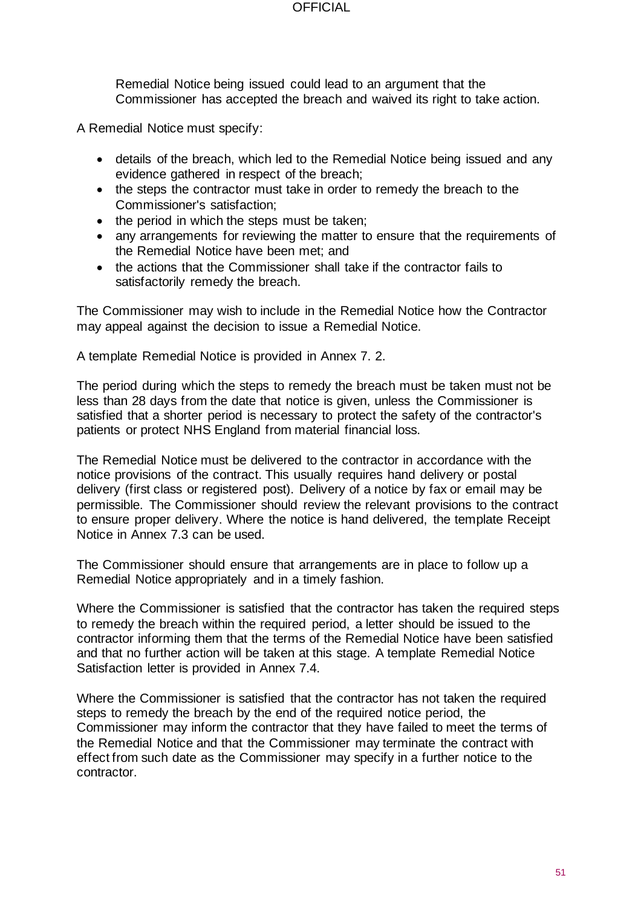#### **OFFICIAL**

Remedial Notice being issued could lead to an argument that the Commissioner has accepted the breach and waived its right to take action.

A Remedial Notice must specify:

- details of the breach, which led to the Remedial Notice being issued and any evidence gathered in respect of the breach;
- the steps the contractor must take in order to remedy the breach to the Commissioner's satisfaction;
- the period in which the steps must be taken;
- any arrangements for reviewing the matter to ensure that the requirements of the Remedial Notice have been met; and
- the actions that the Commissioner shall take if the contractor fails to satisfactorily remedy the breach.

The Commissioner may wish to include in the Remedial Notice how the Contractor may appeal against the decision to issue a Remedial Notice.

A template Remedial Notice is provided in Annex 7. 2.

The period during which the steps to remedy the breach must be taken must not be less than 28 days from the date that notice is given, unless the Commissioner is satisfied that a shorter period is necessary to protect the safety of the contractor's patients or protect NHS England from material financial loss.

The Remedial Notice must be delivered to the contractor in accordance with the notice provisions of the contract. This usually requires hand delivery or postal delivery (first class or registered post). Delivery of a notice by fax or email may be permissible. The Commissioner should review the relevant provisions to the contract to ensure proper delivery. Where the notice is hand delivered, the template Receipt Notice in Annex 7.3 can be used.

The Commissioner should ensure that arrangements are in place to follow up a Remedial Notice appropriately and in a timely fashion.

Where the Commissioner is satisfied that the contractor has taken the required steps to remedy the breach within the required period, a letter should be issued to the contractor informing them that the terms of the Remedial Notice have been satisfied and that no further action will be taken at this stage. A template Remedial Notice Satisfaction letter is provided in Annex 7.4.

Where the Commissioner is satisfied that the contractor has not taken the required steps to remedy the breach by the end of the required notice period, the Commissioner may inform the contractor that they have failed to meet the terms of the Remedial Notice and that the Commissioner may terminate the contract with effect from such date as the Commissioner may specify in a further notice to the contractor.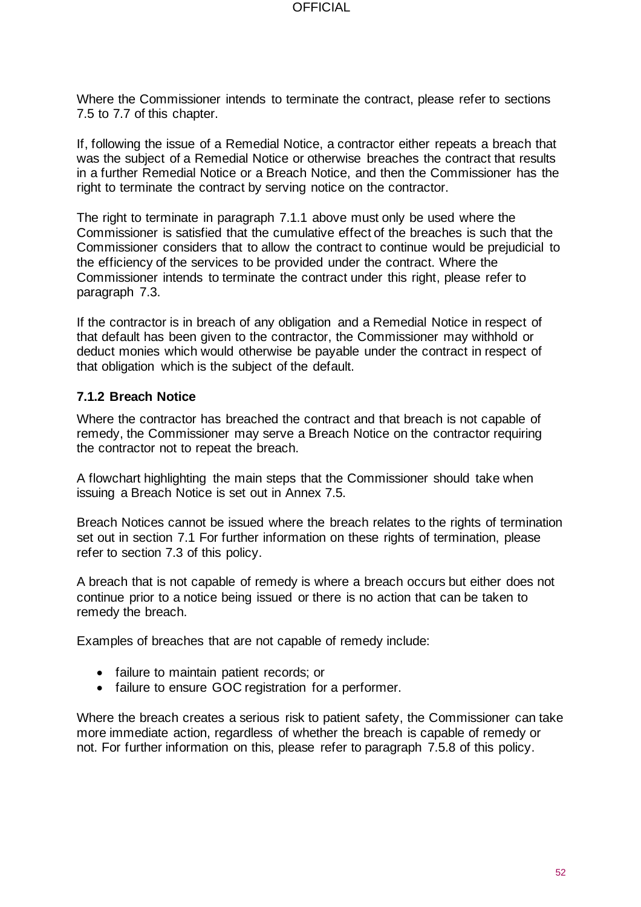Where the Commissioner intends to terminate the contract, please refer to sections 7.5 to 7.7 of this chapter.

If, following the issue of a Remedial Notice, a contractor either repeats a breach that was the subject of a Remedial Notice or otherwise breaches the contract that results in a further Remedial Notice or a Breach Notice, and then the Commissioner has the right to terminate the contract by serving notice on the contractor.

The right to terminate in paragraph 7.1.1 above must only be used where the Commissioner is satisfied that the cumulative effect of the breaches is such that the Commissioner considers that to allow the contract to continue would be prejudicial to the efficiency of the services to be provided under the contract. Where the Commissioner intends to terminate the contract under this right, please refer to paragraph 7.3.

If the contractor is in breach of any obligation and a Remedial Notice in respect of that default has been given to the contractor, the Commissioner may withhold or deduct monies which would otherwise be payable under the contract in respect of that obligation which is the subject of the default.

### **7.1.2 Breach Notice**

Where the contractor has breached the contract and that breach is not capable of remedy, the Commissioner may serve a Breach Notice on the contractor requiring the contractor not to repeat the breach.

A flowchart highlighting the main steps that the Commissioner should take when issuing a Breach Notice is set out in Annex 7.5.

Breach Notices cannot be issued where the breach relates to the rights of termination set out in section 7.1 For further information on these rights of termination, please refer to section 7.3 of this policy.

A breach that is not capable of remedy is where a breach occurs but either does not continue prior to a notice being issued or there is no action that can be taken to remedy the breach.

Examples of breaches that are not capable of remedy include:

- failure to maintain patient records; or
- failure to ensure GOC registration for a performer.

Where the breach creates a serious risk to patient safety, the Commissioner can take more immediate action, regardless of whether the breach is capable of remedy or not. For further information on this, please refer to paragraph 7.5.8 of this policy.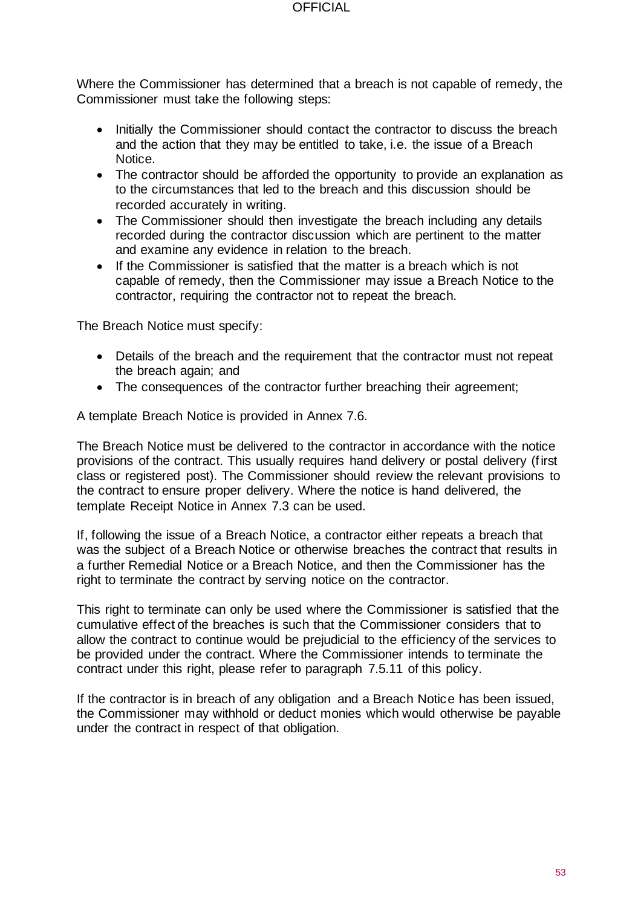#### **OFFICIAL**

Where the Commissioner has determined that a breach is not capable of remedy, the Commissioner must take the following steps:

- Initially the Commissioner should contact the contractor to discuss the breach and the action that they may be entitled to take, i.e. the issue of a Breach Notice.
- The contractor should be afforded the opportunity to provide an explanation as to the circumstances that led to the breach and this discussion should be recorded accurately in writing.
- The Commissioner should then investigate the breach including any details recorded during the contractor discussion which are pertinent to the matter and examine any evidence in relation to the breach.
- If the Commissioner is satisfied that the matter is a breach which is not capable of remedy, then the Commissioner may issue a Breach Notice to the contractor, requiring the contractor not to repeat the breach.

The Breach Notice must specify:

- Details of the breach and the requirement that the contractor must not repeat the breach again; and
- The consequences of the contractor further breaching their agreement;

A template Breach Notice is provided in Annex 7.6.

The Breach Notice must be delivered to the contractor in accordance with the notice provisions of the contract. This usually requires hand delivery or postal delivery (first class or registered post). The Commissioner should review the relevant provisions to the contract to ensure proper delivery. Where the notice is hand delivered, the template Receipt Notice in Annex 7.3 can be used.

If, following the issue of a Breach Notice, a contractor either repeats a breach that was the subject of a Breach Notice or otherwise breaches the contract that results in a further Remedial Notice or a Breach Notice, and then the Commissioner has the right to terminate the contract by serving notice on the contractor.

This right to terminate can only be used where the Commissioner is satisfied that the cumulative effect of the breaches is such that the Commissioner considers that to allow the contract to continue would be prejudicial to the efficiency of the services to be provided under the contract. Where the Commissioner intends to terminate the contract under this right, please refer to paragraph 7.5.11 of this policy.

If the contractor is in breach of any obligation and a Breach Notice has been issued, the Commissioner may withhold or deduct monies which would otherwise be payable under the contract in respect of that obligation.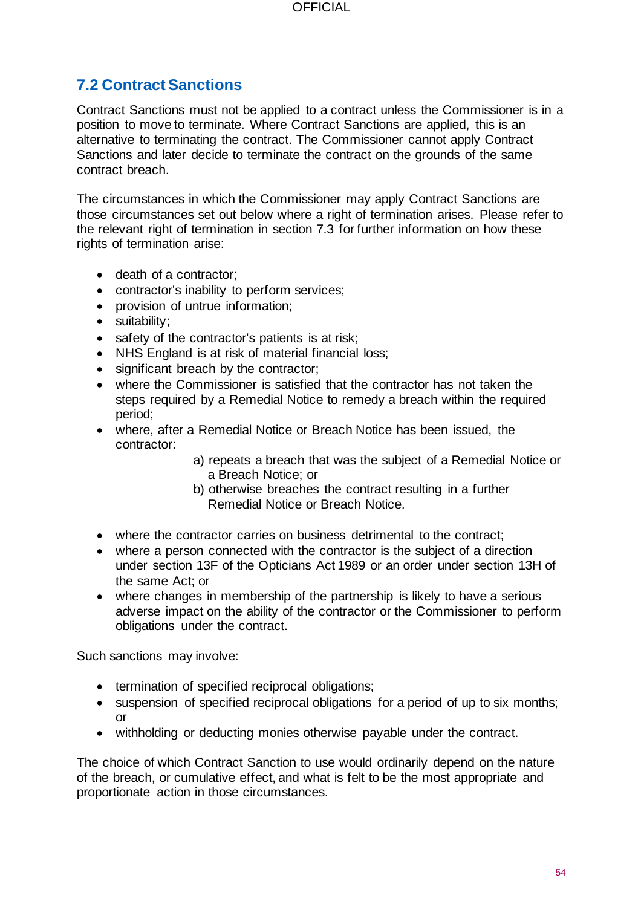# **7.2 Contract Sanctions**

Contract Sanctions must not be applied to a contract unless the Commissioner is in a position to move to terminate. Where Contract Sanctions are applied, this is an alternative to terminating the contract. The Commissioner cannot apply Contract Sanctions and later decide to terminate the contract on the grounds of the same contract breach.

The circumstances in which the Commissioner may apply Contract Sanctions are those circumstances set out below where a right of termination arises. Please refer to the relevant right of termination in section 7.3 for further information on how these rights of termination arise:

- death of a contractor;
- contractor's inability to perform services;
- provision of untrue information;
- suitability;
- safety of the contractor's patients is at risk;
- NHS England is at risk of material financial loss:
- significant breach by the contractor;
- where the Commissioner is satisfied that the contractor has not taken the steps required by a Remedial Notice to remedy a breach within the required period;
- where, after a Remedial Notice or Breach Notice has been issued, the contractor:
	- a) repeats a breach that was the subject of a Remedial Notice or a Breach Notice; or
	- b) otherwise breaches the contract resulting in a further Remedial Notice or Breach Notice.
- where the contractor carries on business detrimental to the contract;
- where a person connected with the contractor is the subject of a direction under section 13F of the Opticians Act 1989 or an order under section 13H of the same Act; or
- where changes in membership of the partnership is likely to have a serious adverse impact on the ability of the contractor or the Commissioner to perform obligations under the contract.

Such sanctions may involve:

- termination of specified reciprocal obligations;
- suspension of specified reciprocal obligations for a period of up to six months; or
- withholding or deducting monies otherwise payable under the contract.

The choice of which Contract Sanction to use would ordinarily depend on the nature of the breach, or cumulative effect, and what is felt to be the most appropriate and proportionate action in those circumstances.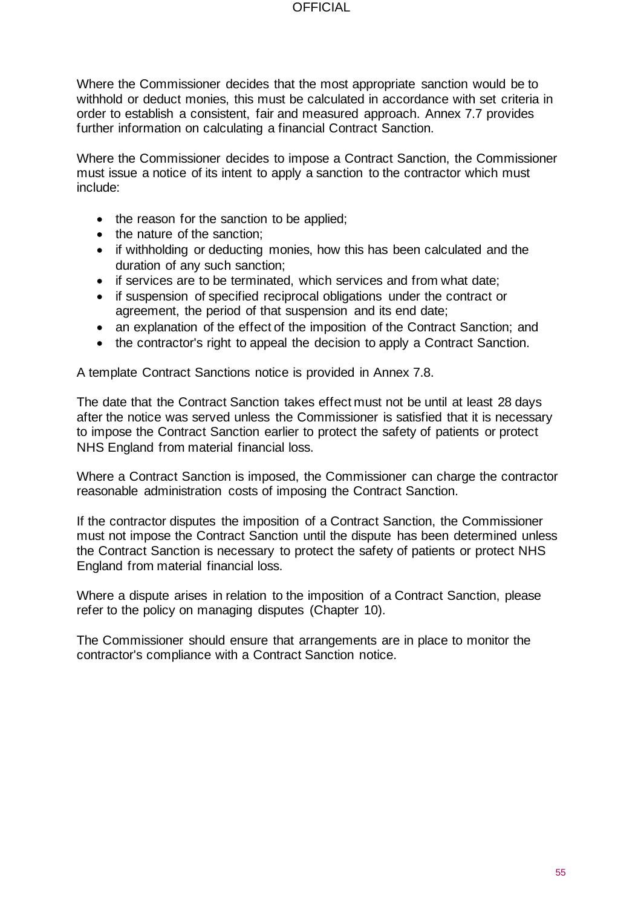#### **OFFICIAL**

Where the Commissioner decides that the most appropriate sanction would be to withhold or deduct monies, this must be calculated in accordance with set criteria in order to establish a consistent, fair and measured approach. Annex 7.7 provides further information on calculating a financial Contract Sanction.

Where the Commissioner decides to impose a Contract Sanction, the Commissioner must issue a notice of its intent to apply a sanction to the contractor which must include:

- the reason for the sanction to be applied;
- the nature of the sanction;
- if withholding or deducting monies, how this has been calculated and the duration of any such sanction;
- if services are to be terminated, which services and from what date;
- if suspension of specified reciprocal obligations under the contract or agreement, the period of that suspension and its end date;
- an explanation of the effect of the imposition of the Contract Sanction; and
- the contractor's right to appeal the decision to apply a Contract Sanction.

A template Contract Sanctions notice is provided in Annex 7.8.

The date that the Contract Sanction takes effect must not be until at least 28 days after the notice was served unless the Commissioner is satisfied that it is necessary to impose the Contract Sanction earlier to protect the safety of patients or protect NHS England from material financial loss.

Where a Contract Sanction is imposed, the Commissioner can charge the contractor reasonable administration costs of imposing the Contract Sanction.

If the contractor disputes the imposition of a Contract Sanction, the Commissioner must not impose the Contract Sanction until the dispute has been determined unless the Contract Sanction is necessary to protect the safety of patients or protect NHS England from material financial loss.

Where a dispute arises in relation to the imposition of a Contract Sanction, please refer to the policy on managing disputes (Chapter 10).

The Commissioner should ensure that arrangements are in place to monitor the contractor's compliance with a Contract Sanction notice.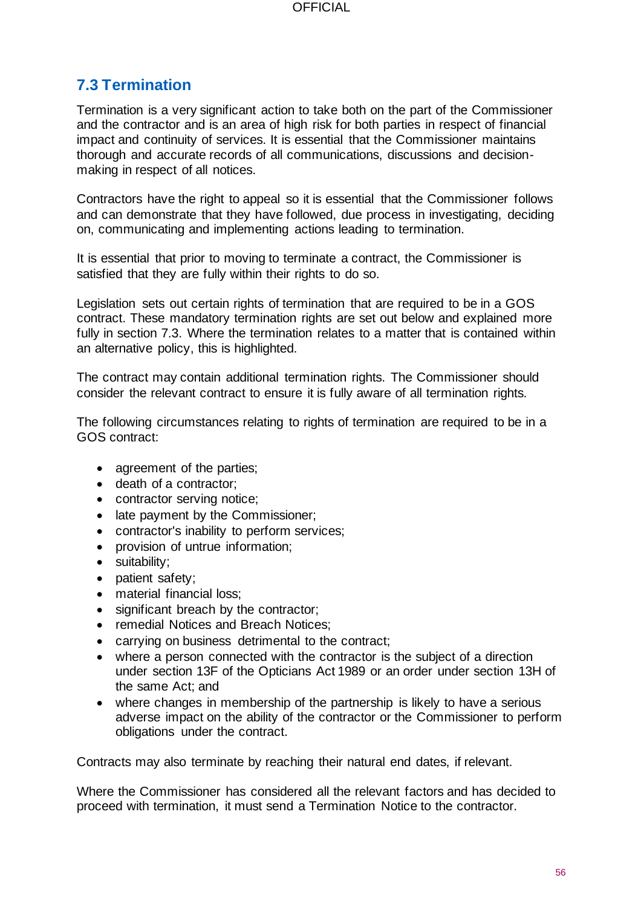# **7.3 Termination**

Termination is a very significant action to take both on the part of the Commissioner and the contractor and is an area of high risk for both parties in respect of financial impact and continuity of services. It is essential that the Commissioner maintains thorough and accurate records of all communications, discussions and decisionmaking in respect of all notices.

Contractors have the right to appeal so it is essential that the Commissioner follows and can demonstrate that they have followed, due process in investigating, deciding on, communicating and implementing actions leading to termination.

It is essential that prior to moving to terminate a contract, the Commissioner is satisfied that they are fully within their rights to do so.

Legislation sets out certain rights of termination that are required to be in a GOS contract. These mandatory termination rights are set out below and explained more fully in section 7.3. Where the termination relates to a matter that is contained within an alternative policy, this is highlighted.

The contract may contain additional termination rights. The Commissioner should consider the relevant contract to ensure it is fully aware of all termination rights.

The following circumstances relating to rights of termination are required to be in a GOS contract:

- agreement of the parties;
- death of a contractor;
- contractor serving notice;
- late payment by the Commissioner;
- contractor's inability to perform services;
- provision of untrue information:
- suitability;
- patient safety;
- material financial loss;
- significant breach by the contractor;
- remedial Notices and Breach Notices;
- carrying on business detrimental to the contract;
- where a person connected with the contractor is the subject of a direction under section 13F of the Opticians Act 1989 or an order under section 13H of the same Act; and
- where changes in membership of the partnership is likely to have a serious adverse impact on the ability of the contractor or the Commissioner to perform obligations under the contract.

Contracts may also terminate by reaching their natural end dates, if relevant.

Where the Commissioner has considered all the relevant factors and has decided to proceed with termination, it must send a Termination Notice to the contractor.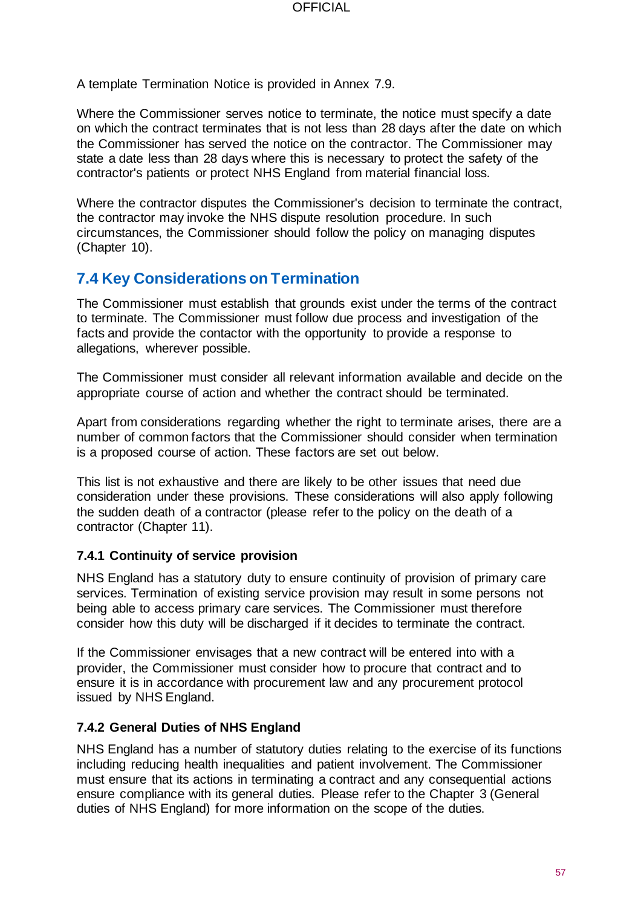A template Termination Notice is provided in Annex 7.9.

Where the Commissioner serves notice to terminate, the notice must specify a date on which the contract terminates that is not less than 28 days after the date on which the Commissioner has served the notice on the contractor. The Commissioner may state a date less than 28 days where this is necessary to protect the safety of the contractor's patients or protect NHS England from material financial loss.

Where the contractor disputes the Commissioner's decision to terminate the contract, the contractor may invoke the NHS dispute resolution procedure. In such circumstances, the Commissioner should follow the policy on managing disputes (Chapter 10).

# **7.4 Key Considerations on Termination**

The Commissioner must establish that grounds exist under the terms of the contract to terminate. The Commissioner must follow due process and investigation of the facts and provide the contactor with the opportunity to provide a response to allegations, wherever possible.

The Commissioner must consider all relevant information available and decide on the appropriate course of action and whether the contract should be terminated.

Apart from considerations regarding whether the right to terminate arises, there are a number of common factors that the Commissioner should consider when termination is a proposed course of action. These factors are set out below.

This list is not exhaustive and there are likely to be other issues that need due consideration under these provisions. These considerations will also apply following the sudden death of a contractor (please refer to the policy on the death of a contractor (Chapter 11).

#### **7.4.1 Continuity of service provision**

NHS England has a statutory duty to ensure continuity of provision of primary care services. Termination of existing service provision may result in some persons not being able to access primary care services. The Commissioner must therefore consider how this duty will be discharged if it decides to terminate the contract.

If the Commissioner envisages that a new contract will be entered into with a provider, the Commissioner must consider how to procure that contract and to ensure it is in accordance with procurement law and any procurement protocol issued by NHS England.

#### **7.4.2 General Duties of NHS England**

NHS England has a number of statutory duties relating to the exercise of its functions including reducing health inequalities and patient involvement. The Commissioner must ensure that its actions in terminating a contract and any consequential actions ensure compliance with its general duties. Please refer to the Chapter 3 (General duties of NHS England) for more information on the scope of the duties.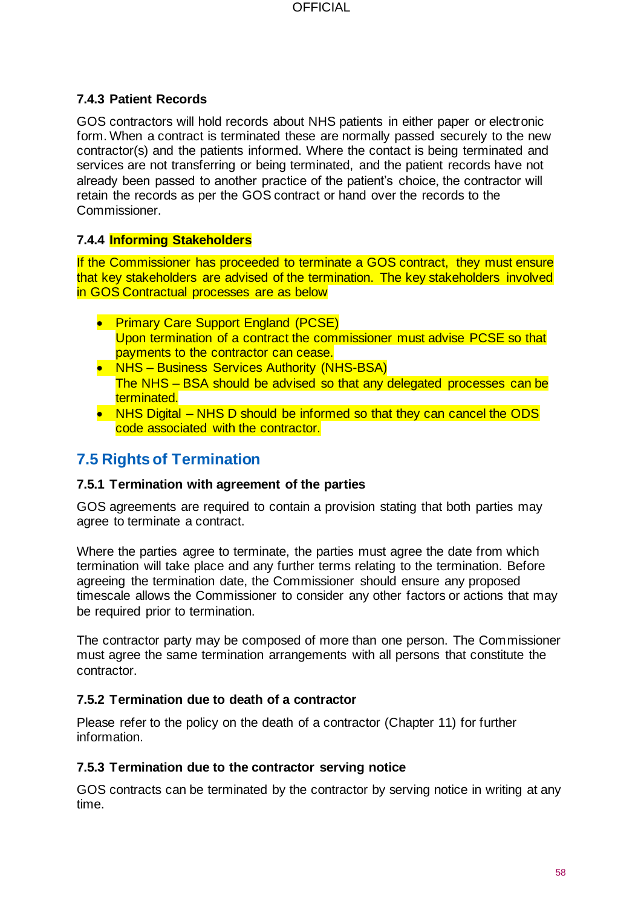### **7.4.3 Patient Records**

GOS contractors will hold records about NHS patients in either paper or electronic form. When a contract is terminated these are normally passed securely to the new contractor(s) and the patients informed. Where the contact is being terminated and services are not transferring or being terminated, and the patient records have not already been passed to another practice of the patient's choice, the contractor will retain the records as per the GOS contract or hand over the records to the Commissioner.

### **7.4.4 Informing Stakeholders**

If the Commissioner has proceeded to terminate a GOS contract, they must ensure that key stakeholders are advised of the termination. The key stakeholders involved in GOS Contractual processes are as below

- Primary Care Support England (PCSE) Upon termination of a contract the commissioner must advise PCSE so that payments to the contractor can cease.
- NHS Business Services Authority (NHS-BSA) The NHS – BSA should be advised so that any delegated processes can be terminated.
- NHS Digital NHS D should be informed so that they can cancel the ODS code associated with the contractor.

# **7.5 Rights of Termination**

#### **7.5.1 Termination with agreement of the parties**

GOS agreements are required to contain a provision stating that both parties may agree to terminate a contract.

Where the parties agree to terminate, the parties must agree the date from which termination will take place and any further terms relating to the termination. Before agreeing the termination date, the Commissioner should ensure any proposed timescale allows the Commissioner to consider any other factors or actions that may be required prior to termination.

The contractor party may be composed of more than one person. The Commissioner must agree the same termination arrangements with all persons that constitute the contractor.

### **7.5.2 Termination due to death of a contractor**

Please refer to the policy on the death of a contractor (Chapter 11) for further information.

#### **7.5.3 Termination due to the contractor serving notice**

GOS contracts can be terminated by the contractor by serving notice in writing at any time.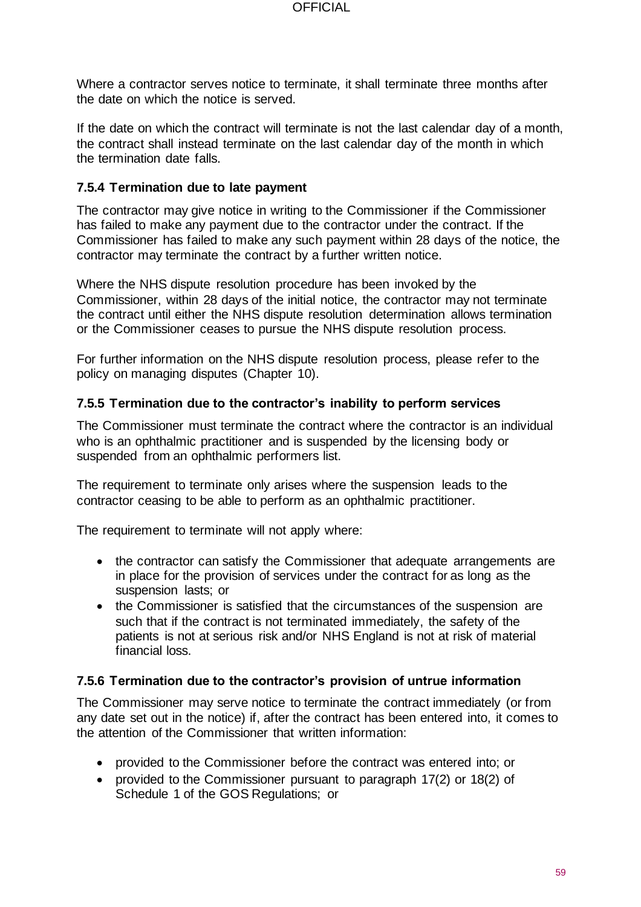Where a contractor serves notice to terminate, it shall terminate three months after the date on which the notice is served.

If the date on which the contract will terminate is not the last calendar day of a month, the contract shall instead terminate on the last calendar day of the month in which the termination date falls.

### **7.5.4 Termination due to late payment**

The contractor may give notice in writing to the Commissioner if the Commissioner has failed to make any payment due to the contractor under the contract. If the Commissioner has failed to make any such payment within 28 days of the notice, the contractor may terminate the contract by a further written notice.

Where the NHS dispute resolution procedure has been invoked by the Commissioner, within 28 days of the initial notice, the contractor may not terminate the contract until either the NHS dispute resolution determination allows termination or the Commissioner ceases to pursue the NHS dispute resolution process.

For further information on the NHS dispute resolution process, please refer to the policy on managing disputes (Chapter 10).

#### **7.5.5 Termination due to the contractor's inability to perform services**

The Commissioner must terminate the contract where the contractor is an individual who is an ophthalmic practitioner and is suspended by the licensing body or suspended from an ophthalmic performers list.

The requirement to terminate only arises where the suspension leads to the contractor ceasing to be able to perform as an ophthalmic practitioner.

The requirement to terminate will not apply where:

- the contractor can satisfy the Commissioner that adequate arrangements are in place for the provision of services under the contract for as long as the suspension lasts; or
- the Commissioner is satisfied that the circumstances of the suspension are such that if the contract is not terminated immediately, the safety of the patients is not at serious risk and/or NHS England is not at risk of material financial loss.

#### **7.5.6 Termination due to the contractor's provision of untrue information**

The Commissioner may serve notice to terminate the contract immediately (or from any date set out in the notice) if, after the contract has been entered into, it comes to the attention of the Commissioner that written information:

- provided to the Commissioner before the contract was entered into; or
- provided to the Commissioner pursuant to paragraph 17(2) or 18(2) of Schedule 1 of the GOS Regulations; or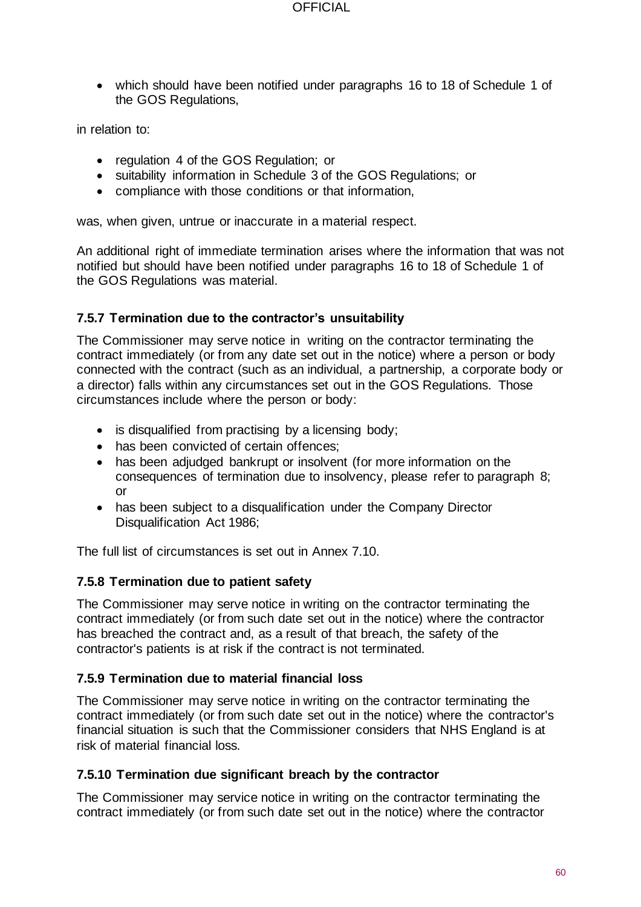• which should have been notified under paragraphs 16 to 18 of Schedule 1 of the GOS Regulations,

in relation to:

- regulation 4 of the GOS Regulation; or
- suitability information in Schedule 3 of the GOS Regulations; or
- compliance with those conditions or that information,

was, when given, untrue or inaccurate in a material respect.

An additional right of immediate termination arises where the information that was not notified but should have been notified under paragraphs 16 to 18 of Schedule 1 of the GOS Regulations was material.

#### **7.5.7 Termination due to the contractor's unsuitability**

The Commissioner may serve notice in writing on the contractor terminating the contract immediately (or from any date set out in the notice) where a person or body connected with the contract (such as an individual, a partnership, a corporate body or a director) falls within any circumstances set out in the GOS Regulations. Those circumstances include where the person or body:

- is disqualified from practising by a licensing body;
- has been convicted of certain offences;
- has been adjudged bankrupt or insolvent (for more information on the consequences of termination due to insolvency, please refer to paragraph 8; or
- has been subject to a disqualification under the Company Director Disqualification Act 1986;

The full list of circumstances is set out in Annex 7.10.

#### **7.5.8 Termination due to patient safety**

The Commissioner may serve notice in writing on the contractor terminating the contract immediately (or from such date set out in the notice) where the contractor has breached the contract and, as a result of that breach, the safety of the contractor's patients is at risk if the contract is not terminated.

#### **7.5.9 Termination due to material financial loss**

The Commissioner may serve notice in writing on the contractor terminating the contract immediately (or from such date set out in the notice) where the contractor's financial situation is such that the Commissioner considers that NHS England is at risk of material financial loss.

#### **7.5.10 Termination due significant breach by the contractor**

The Commissioner may service notice in writing on the contractor terminating the contract immediately (or from such date set out in the notice) where the contractor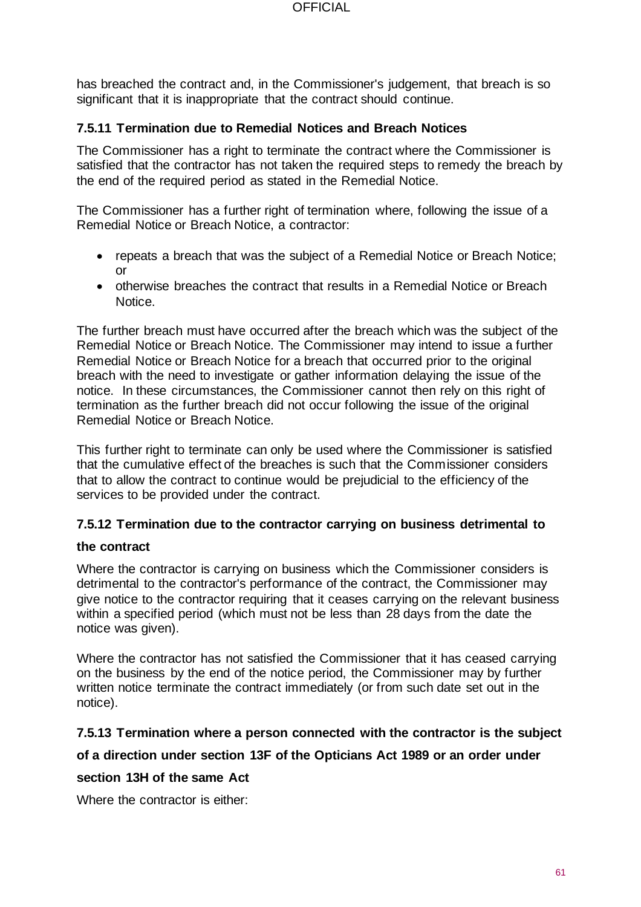has breached the contract and, in the Commissioner's judgement, that breach is so significant that it is inappropriate that the contract should continue.

### **7.5.11 Termination due to Remedial Notices and Breach Notices**

The Commissioner has a right to terminate the contract where the Commissioner is satisfied that the contractor has not taken the required steps to remedy the breach by the end of the required period as stated in the Remedial Notice.

The Commissioner has a further right of termination where, following the issue of a Remedial Notice or Breach Notice, a contractor:

- repeats a breach that was the subject of a Remedial Notice or Breach Notice; or
- otherwise breaches the contract that results in a Remedial Notice or Breach Notice.

The further breach must have occurred after the breach which was the subject of the Remedial Notice or Breach Notice. The Commissioner may intend to issue a further Remedial Notice or Breach Notice for a breach that occurred prior to the original breach with the need to investigate or gather information delaying the issue of the notice. In these circumstances, the Commissioner cannot then rely on this right of termination as the further breach did not occur following the issue of the original Remedial Notice or Breach Notice.

This further right to terminate can only be used where the Commissioner is satisfied that the cumulative effect of the breaches is such that the Commissioner considers that to allow the contract to continue would be prejudicial to the efficiency of the services to be provided under the contract.

## **7.5.12 Termination due to the contractor carrying on business detrimental to**

#### **the contract**

Where the contractor is carrying on business which the Commissioner considers is detrimental to the contractor's performance of the contract, the Commissioner may give notice to the contractor requiring that it ceases carrying on the relevant business within a specified period (which must not be less than 28 days from the date the notice was given).

Where the contractor has not satisfied the Commissioner that it has ceased carrying on the business by the end of the notice period, the Commissioner may by further written notice terminate the contract immediately (or from such date set out in the notice).

### **7.5.13 Termination where a person connected with the contractor is the subject**

### **of a direction under section 13F of the Opticians Act 1989 or an order under**

### **section 13H of the same Act**

Where the contractor is either: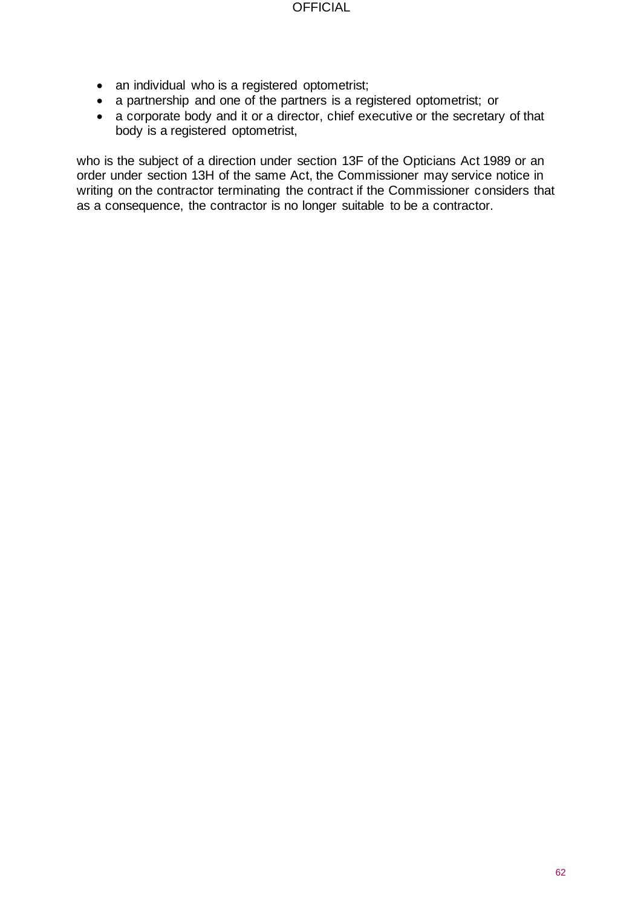- an individual who is a registered optometrist;
- a partnership and one of the partners is a registered optometrist; or
- a corporate body and it or a director, chief executive or the secretary of that body is a registered optometrist,

who is the subject of a direction under section 13F of the Opticians Act 1989 or an order under section 13H of the same Act, the Commissioner may service notice in writing on the contractor terminating the contract if the Commissioner considers that as a consequence, the contractor is no longer suitable to be a contractor.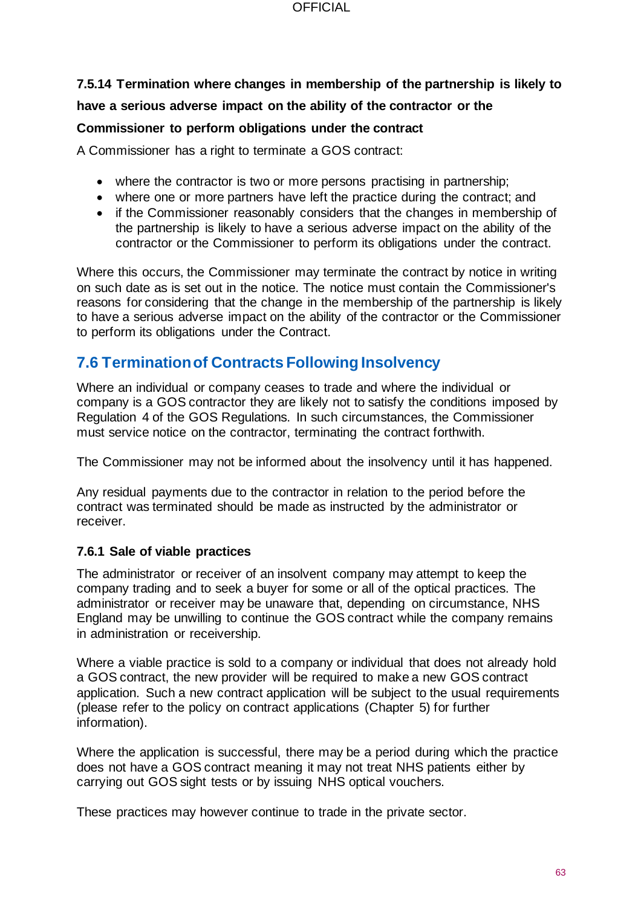#### **OFFICIAL**

# **7.5.14 Termination where changes in membership of the partnership is likely to have a serious adverse impact on the ability of the contractor or the**

### **Commissioner to perform obligations under the contract**

A Commissioner has a right to terminate a GOS contract:

- where the contractor is two or more persons practising in partnership;
- where one or more partners have left the practice during the contract; and
- if the Commissioner reasonably considers that the changes in membership of the partnership is likely to have a serious adverse impact on the ability of the contractor or the Commissioner to perform its obligations under the contract.

Where this occurs, the Commissioner may terminate the contract by notice in writing on such date as is set out in the notice. The notice must contain the Commissioner's reasons for considering that the change in the membership of the partnership is likely to have a serious adverse impact on the ability of the contractor or the Commissioner to perform its obligations under the Contract.

# **7.6 Termination of Contracts Following Insolvency**

Where an individual or company ceases to trade and where the individual or company is a GOS contractor they are likely not to satisfy the conditions imposed by Regulation 4 of the GOS Regulations. In such circumstances, the Commissioner must service notice on the contractor, terminating the contract forthwith.

The Commissioner may not be informed about the insolvency until it has happened.

Any residual payments due to the contractor in relation to the period before the contract was terminated should be made as instructed by the administrator or receiver.

### **7.6.1 Sale of viable practices**

The administrator or receiver of an insolvent company may attempt to keep the company trading and to seek a buyer for some or all of the optical practices. The administrator or receiver may be unaware that, depending on circumstance, NHS England may be unwilling to continue the GOS contract while the company remains in administration or receivership.

Where a viable practice is sold to a company or individual that does not already hold a GOS contract, the new provider will be required to make a new GOS contract application. Such a new contract application will be subject to the usual requirements (please refer to the policy on contract applications (Chapter 5) for further information).

Where the application is successful, there may be a period during which the practice does not have a GOS contract meaning it may not treat NHS patients either by carrying out GOS sight tests or by issuing NHS optical vouchers.

These practices may however continue to trade in the private sector.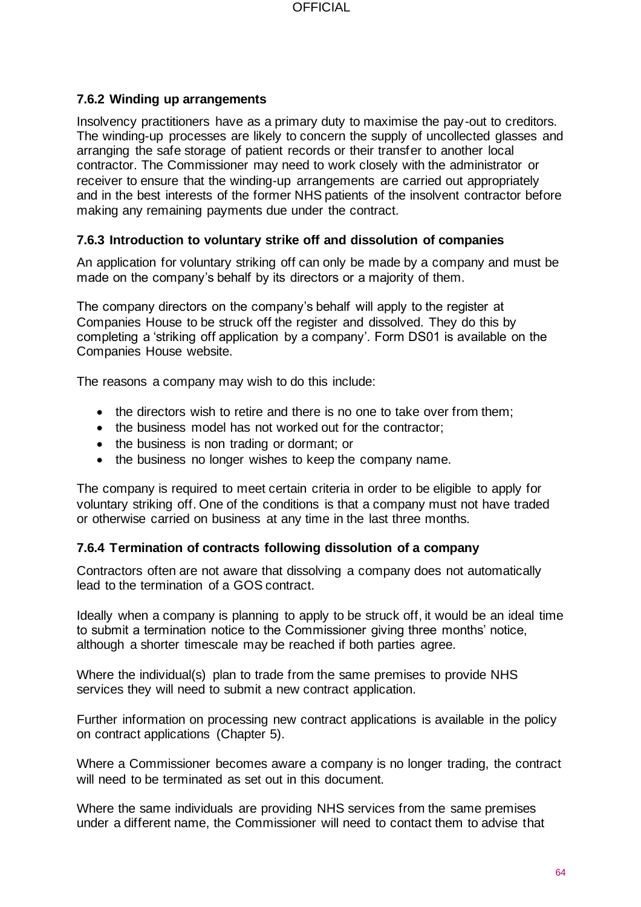### **7.6.2 Winding up arrangements**

Insolvency practitioners have as a primary duty to maximise the pay-out to creditors. The winding-up processes are likely to concern the supply of uncollected glasses and arranging the safe storage of patient records or their transfer to another local contractor. The Commissioner may need to work closely with the administrator or receiver to ensure that the winding-up arrangements are carried out appropriately and in the best interests of the former NHS patients of the insolvent contractor before making any remaining payments due under the contract.

### **7.6.3 Introduction to voluntary strike off and dissolution of companies**

An application for voluntary striking off can only be made by a company and must be made on the company's behalf by its directors or a majority of them.

The company directors on the company's behalf will apply to the register at Companies House to be struck off the register and dissolved. They do this by completing a 'striking off application by a company'. Form DS01 is available on the Companies House website.

The reasons a company may wish to do this include:

- the directors wish to retire and there is no one to take over from them;
- the business model has not worked out for the contractor;
- the business is non trading or dormant; or
- the business no longer wishes to keep the company name.

The company is required to meet certain criteria in order to be eligible to apply for voluntary striking off. One of the conditions is that a company must not have traded or otherwise carried on business at any time in the last three months.

#### **7.6.4 Termination of contracts following dissolution of a company**

Contractors often are not aware that dissolving a company does not automatically lead to the termination of a GOS contract.

Ideally when a company is planning to apply to be struck off, it would be an ideal time to submit a termination notice to the Commissioner giving three months' notice, although a shorter timescale may be reached if both parties agree.

Where the individual(s) plan to trade from the same premises to provide NHS services they will need to submit a new contract application.

Further information on processing new contract applications is available in the policy on contract applications (Chapter 5).

Where a Commissioner becomes aware a company is no longer trading, the contract will need to be terminated as set out in this document.

Where the same individuals are providing NHS services from the same premises under a different name, the Commissioner will need to contact them to advise that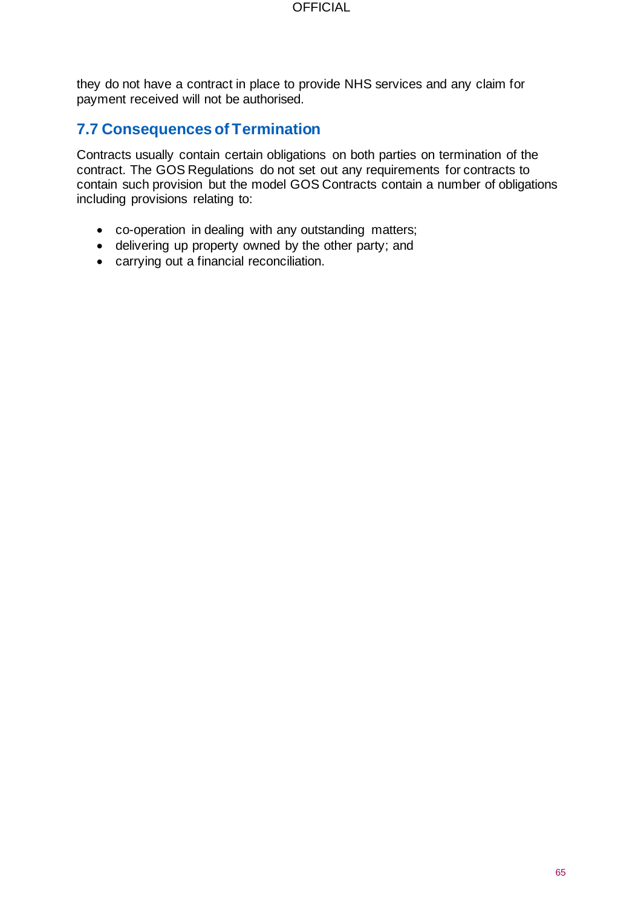they do not have a contract in place to provide NHS services and any claim for payment received will not be authorised.

## **7.7 Consequences of Termination**

Contracts usually contain certain obligations on both parties on termination of the contract. The GOS Regulations do not set out any requirements for contracts to contain such provision but the model GOS Contracts contain a number of obligations including provisions relating to:

- co-operation in dealing with any outstanding matters;
- delivering up property owned by the other party; and
- carrying out a financial reconciliation.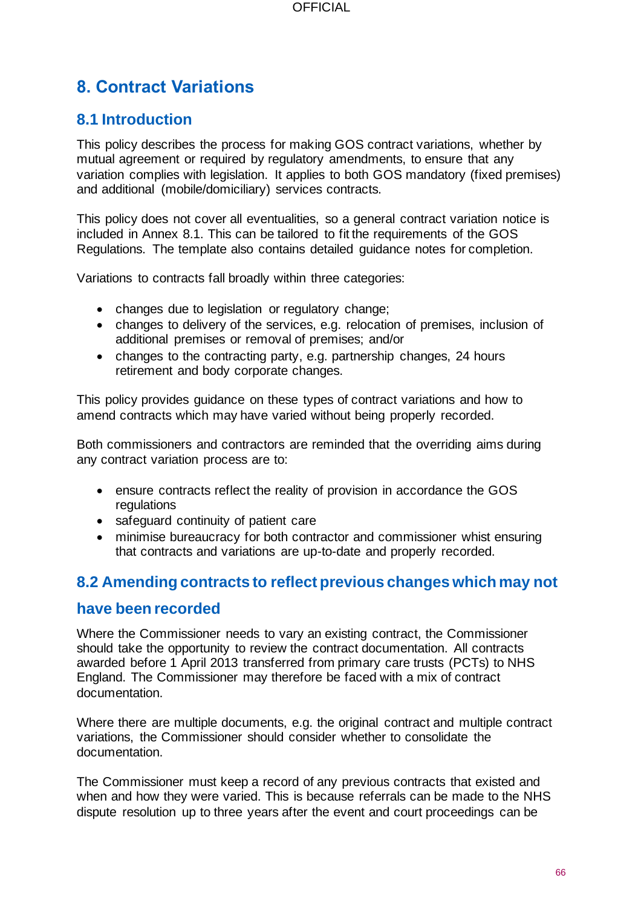# **8. Contract Variations**

# **8.1 Introduction**

This policy describes the process for making GOS contract variations, whether by mutual agreement or required by regulatory amendments, to ensure that any variation complies with legislation. It applies to both GOS mandatory (fixed premises) and additional (mobile/domiciliary) services contracts.

This policy does not cover all eventualities, so a general contract variation notice is included in Annex 8.1. This can be tailored to fit the requirements of the GOS Regulations. The template also contains detailed guidance notes for completion.

Variations to contracts fall broadly within three categories:

- changes due to legislation or regulatory change;
- changes to delivery of the services, e.g. relocation of premises, inclusion of additional premises or removal of premises; and/or
- changes to the contracting party, e.g. partnership changes, 24 hours retirement and body corporate changes.

This policy provides guidance on these types of contract variations and how to amend contracts which may have varied without being properly recorded.

Both commissioners and contractors are reminded that the overriding aims during any contract variation process are to:

- ensure contracts reflect the reality of provision in accordance the GOS regulations
- safeguard continuity of patient care
- minimise bureaucracy for both contractor and commissioner whist ensuring that contracts and variations are up-to-date and properly recorded.

## **8.2 Amending contracts to reflect previous changes which may not**

### **have been recorded**

Where the Commissioner needs to vary an existing contract, the Commissioner should take the opportunity to review the contract documentation. All contracts awarded before 1 April 2013 transferred from primary care trusts (PCTs) to NHS England. The Commissioner may therefore be faced with a mix of contract documentation.

Where there are multiple documents, e.g. the original contract and multiple contract variations, the Commissioner should consider whether to consolidate the documentation.

The Commissioner must keep a record of any previous contracts that existed and when and how they were varied. This is because referrals can be made to the NHS dispute resolution up to three years after the event and court proceedings can be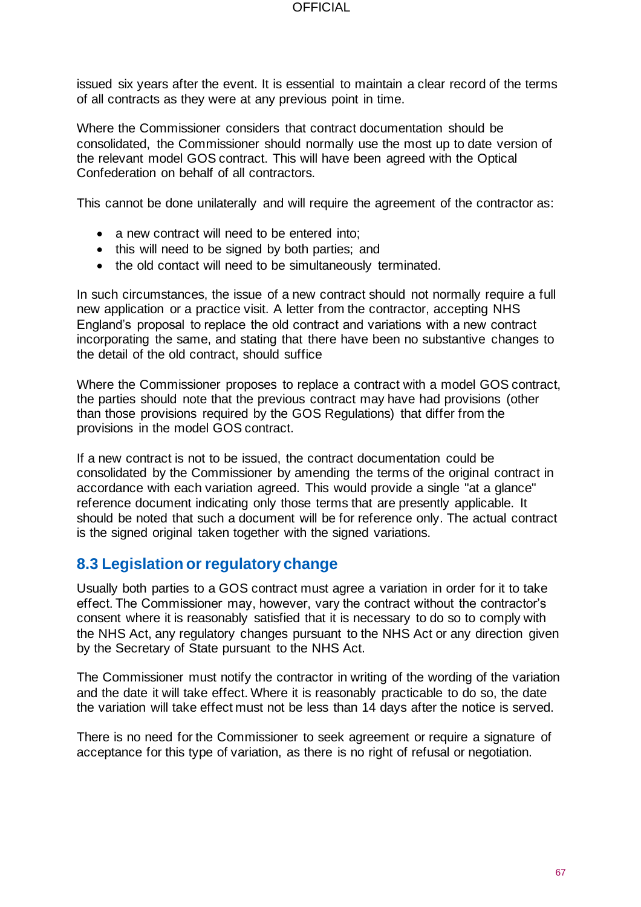issued six years after the event. It is essential to maintain a clear record of the terms of all contracts as they were at any previous point in time.

Where the Commissioner considers that contract documentation should be consolidated, the Commissioner should normally use the most up to date version of the relevant model GOS contract. This will have been agreed with the Optical Confederation on behalf of all contractors.

This cannot be done unilaterally and will require the agreement of the contractor as:

- a new contract will need to be entered into;
- this will need to be signed by both parties; and
- the old contact will need to be simultaneously terminated.

In such circumstances, the issue of a new contract should not normally require a full new application or a practice visit. A letter from the contractor, accepting NHS England's proposal to replace the old contract and variations with a new contract incorporating the same, and stating that there have been no substantive changes to the detail of the old contract, should suffice

Where the Commissioner proposes to replace a contract with a model GOS contract, the parties should note that the previous contract may have had provisions (other than those provisions required by the GOS Regulations) that differ from the provisions in the model GOS contract.

If a new contract is not to be issued, the contract documentation could be consolidated by the Commissioner by amending the terms of the original contract in accordance with each variation agreed. This would provide a single "at a glance" reference document indicating only those terms that are presently applicable. It should be noted that such a document will be for reference only. The actual contract is the signed original taken together with the signed variations.

## **8.3 Legislation or regulatory change**

Usually both parties to a GOS contract must agree a variation in order for it to take effect. The Commissioner may, however, vary the contract without the contractor's consent where it is reasonably satisfied that it is necessary to do so to comply with the NHS Act, any regulatory changes pursuant to the NHS Act or any direction given by the Secretary of State pursuant to the NHS Act.

The Commissioner must notify the contractor in writing of the wording of the variation and the date it will take effect. Where it is reasonably practicable to do so, the date the variation will take effect must not be less than 14 days after the notice is served.

There is no need for the Commissioner to seek agreement or require a signature of acceptance for this type of variation, as there is no right of refusal or negotiation.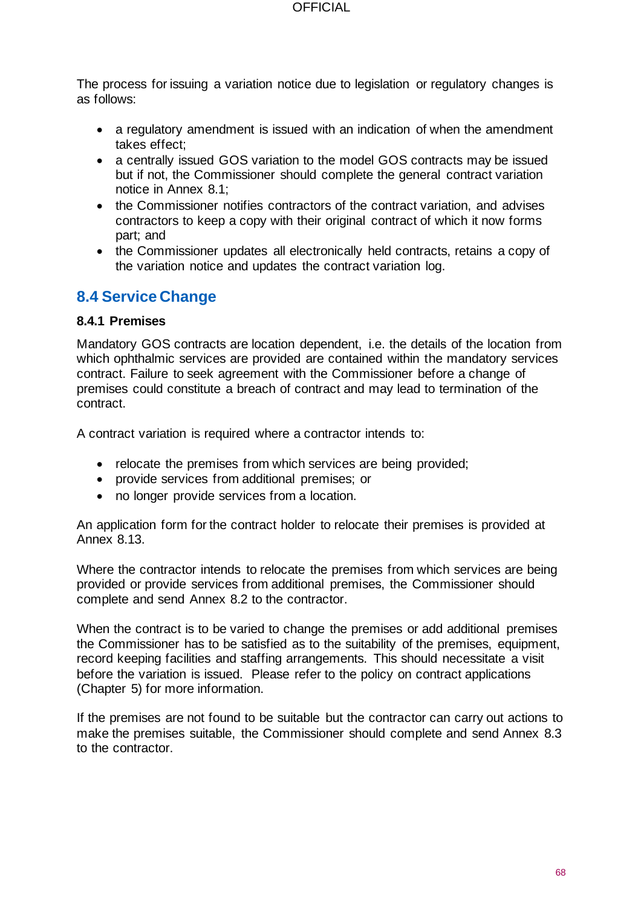The process for issuing a variation notice due to legislation or regulatory changes is as follows:

- a regulatory amendment is issued with an indication of when the amendment takes effect;
- a centrally issued GOS variation to the model GOS contracts may be issued but if not, the Commissioner should complete the general contract variation notice in Annex 8.1;
- the Commissioner notifies contractors of the contract variation, and advises contractors to keep a copy with their original contract of which it now forms part; and
- the Commissioner updates all electronically held contracts, retains a copy of the variation notice and updates the contract variation log.

# **8.4 Service Change**

#### **8.4.1 Premises**

Mandatory GOS contracts are location dependent, i.e. the details of the location from which ophthalmic services are provided are contained within the mandatory services contract. Failure to seek agreement with the Commissioner before a change of premises could constitute a breach of contract and may lead to termination of the contract.

A contract variation is required where a contractor intends to:

- relocate the premises from which services are being provided;
- provide services from additional premises; or
- no longer provide services from a location.

An application form for the contract holder to relocate their premises is provided at Annex 8.13.

Where the contractor intends to relocate the premises from which services are being provided or provide services from additional premises, the Commissioner should complete and send Annex 8.2 to the contractor.

When the contract is to be varied to change the premises or add additional premises the Commissioner has to be satisfied as to the suitability of the premises, equipment, record keeping facilities and staffing arrangements. This should necessitate a visit before the variation is issued. Please refer to the policy on contract applications (Chapter 5) for more information.

If the premises are not found to be suitable but the contractor can carry out actions to make the premises suitable, the Commissioner should complete and send Annex 8.3 to the contractor.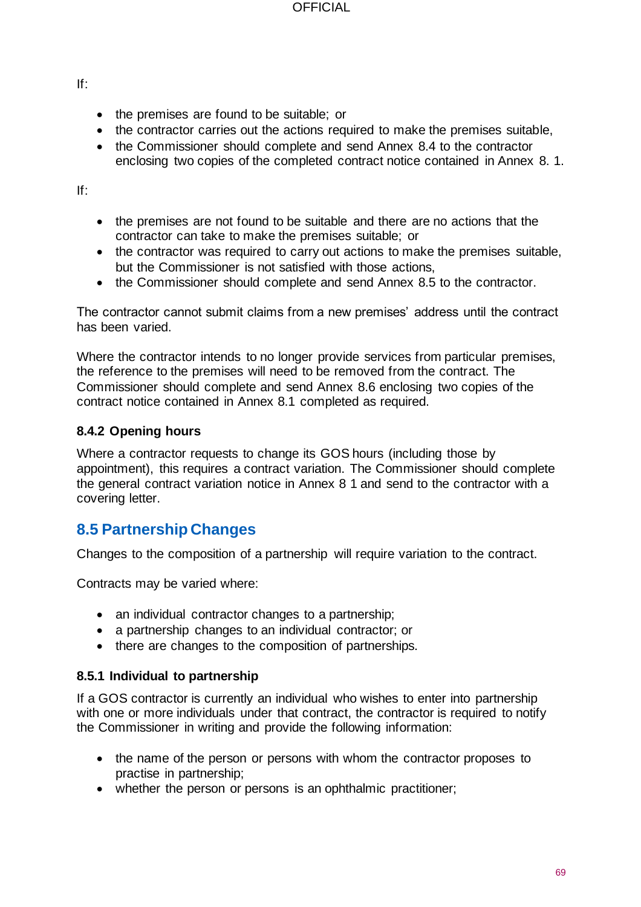If:

- the premises are found to be suitable; or
- the contractor carries out the actions required to make the premises suitable,
- the Commissioner should complete and send Annex 8.4 to the contractor enclosing two copies of the completed contract notice contained in Annex 8. 1.

If:

- the premises are not found to be suitable and there are no actions that the contractor can take to make the premises suitable; or
- the contractor was required to carry out actions to make the premises suitable, but the Commissioner is not satisfied with those actions,
- the Commissioner should complete and send Annex 8.5 to the contractor.

The contractor cannot submit claims from a new premises' address until the contract has been varied.

Where the contractor intends to no longer provide services from particular premises, the reference to the premises will need to be removed from the contract. The Commissioner should complete and send Annex 8.6 enclosing two copies of the contract notice contained in Annex 8.1 completed as required.

### **8.4.2 Opening hours**

Where a contractor requests to change its GOS hours (including those by appointment), this requires a contract variation. The Commissioner should complete the general contract variation notice in Annex 8 1 and send to the contractor with a covering letter.

# **8.5 Partnership Changes**

Changes to the composition of a partnership will require variation to the contract.

Contracts may be varied where:

- an individual contractor changes to a partnership;
- a partnership changes to an individual contractor; or
- there are changes to the composition of partnerships.

### **8.5.1 Individual to partnership**

If a GOS contractor is currently an individual who wishes to enter into partnership with one or more individuals under that contract, the contractor is required to notify the Commissioner in writing and provide the following information:

- the name of the person or persons with whom the contractor proposes to practise in partnership;
- whether the person or persons is an ophthalmic practitioner;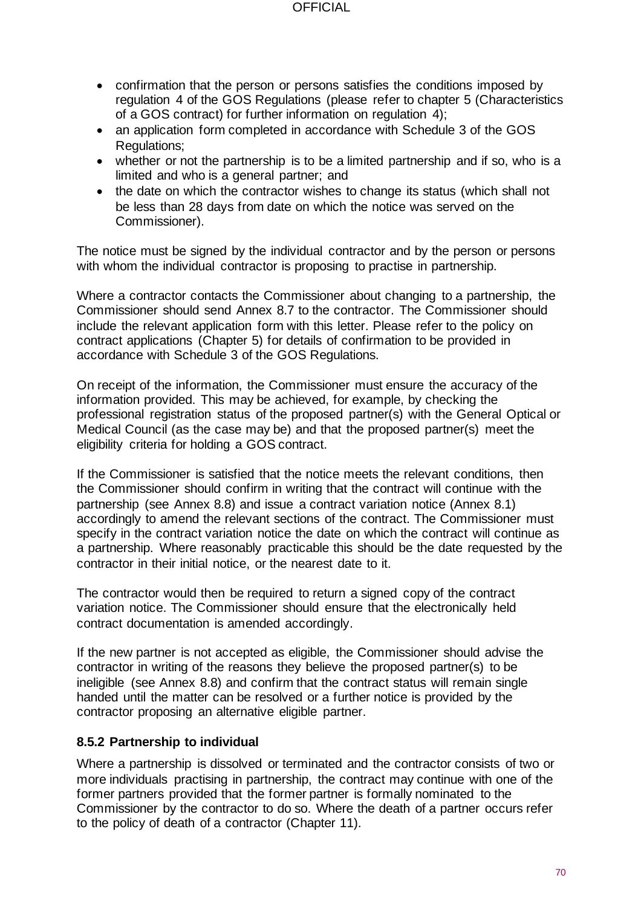#### **OFFICIAL**

- confirmation that the person or persons satisfies the conditions imposed by regulation 4 of the GOS Regulations (please refer to chapter 5 (Characteristics of a GOS contract) for further information on regulation 4);
- an application form completed in accordance with Schedule 3 of the GOS Regulations;
- whether or not the partnership is to be a limited partnership and if so, who is a limited and who is a general partner; and
- the date on which the contractor wishes to change its status (which shall not be less than 28 days from date on which the notice was served on the Commissioner).

The notice must be signed by the individual contractor and by the person or persons with whom the individual contractor is proposing to practise in partnership.

Where a contractor contacts the Commissioner about changing to a partnership, the Commissioner should send Annex 8.7 to the contractor. The Commissioner should include the relevant application form with this letter. Please refer to the policy on contract applications (Chapter 5) for details of confirmation to be provided in accordance with Schedule 3 of the GOS Regulations.

On receipt of the information, the Commissioner must ensure the accuracy of the information provided. This may be achieved, for example, by checking the professional registration status of the proposed partner(s) with the General Optical or Medical Council (as the case may be) and that the proposed partner(s) meet the eligibility criteria for holding a GOS contract.

If the Commissioner is satisfied that the notice meets the relevant conditions, then the Commissioner should confirm in writing that the contract will continue with the partnership (see Annex 8.8) and issue a contract variation notice (Annex 8.1) accordingly to amend the relevant sections of the contract. The Commissioner must specify in the contract variation notice the date on which the contract will continue as a partnership. Where reasonably practicable this should be the date requested by the contractor in their initial notice, or the nearest date to it.

The contractor would then be required to return a signed copy of the contract variation notice. The Commissioner should ensure that the electronically held contract documentation is amended accordingly.

If the new partner is not accepted as eligible, the Commissioner should advise the contractor in writing of the reasons they believe the proposed partner(s) to be ineligible (see Annex 8.8) and confirm that the contract status will remain single handed until the matter can be resolved or a further notice is provided by the contractor proposing an alternative eligible partner.

### **8.5.2 Partnership to individual**

Where a partnership is dissolved or terminated and the contractor consists of two or more individuals practising in partnership, the contract may continue with one of the former partners provided that the former partner is formally nominated to the Commissioner by the contractor to do so. Where the death of a partner occurs refer to the policy of death of a contractor (Chapter 11).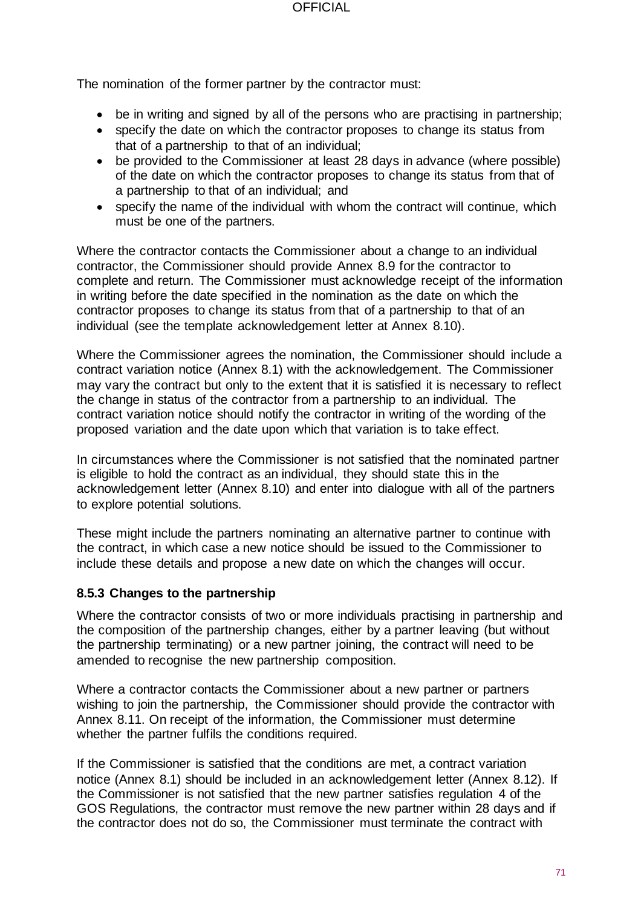The nomination of the former partner by the contractor must:

- be in writing and signed by all of the persons who are practising in partnership:
- specify the date on which the contractor proposes to change its status from that of a partnership to that of an individual;
- be provided to the Commissioner at least 28 days in advance (where possible) of the date on which the contractor proposes to change its status from that of a partnership to that of an individual; and
- specify the name of the individual with whom the contract will continue, which must be one of the partners.

Where the contractor contacts the Commissioner about a change to an individual contractor, the Commissioner should provide Annex 8.9 for the contractor to complete and return. The Commissioner must acknowledge receipt of the information in writing before the date specified in the nomination as the date on which the contractor proposes to change its status from that of a partnership to that of an individual (see the template acknowledgement letter at Annex 8.10).

Where the Commissioner agrees the nomination, the Commissioner should include a contract variation notice (Annex 8.1) with the acknowledgement. The Commissioner may vary the contract but only to the extent that it is satisfied it is necessary to reflect the change in status of the contractor from a partnership to an individual. The contract variation notice should notify the contractor in writing of the wording of the proposed variation and the date upon which that variation is to take effect.

In circumstances where the Commissioner is not satisfied that the nominated partner is eligible to hold the contract as an individual, they should state this in the acknowledgement letter (Annex 8.10) and enter into dialogue with all of the partners to explore potential solutions.

These might include the partners nominating an alternative partner to continue with the contract, in which case a new notice should be issued to the Commissioner to include these details and propose a new date on which the changes will occur.

#### **8.5.3 Changes to the partnership**

Where the contractor consists of two or more individuals practising in partnership and the composition of the partnership changes, either by a partner leaving (but without the partnership terminating) or a new partner joining, the contract will need to be amended to recognise the new partnership composition.

Where a contractor contacts the Commissioner about a new partner or partners wishing to join the partnership, the Commissioner should provide the contractor with Annex 8.11. On receipt of the information, the Commissioner must determine whether the partner fulfils the conditions required.

If the Commissioner is satisfied that the conditions are met, a contract variation notice (Annex 8.1) should be included in an acknowledgement letter (Annex 8.12). If the Commissioner is not satisfied that the new partner satisfies regulation 4 of the GOS Regulations, the contractor must remove the new partner within 28 days and if the contractor does not do so, the Commissioner must terminate the contract with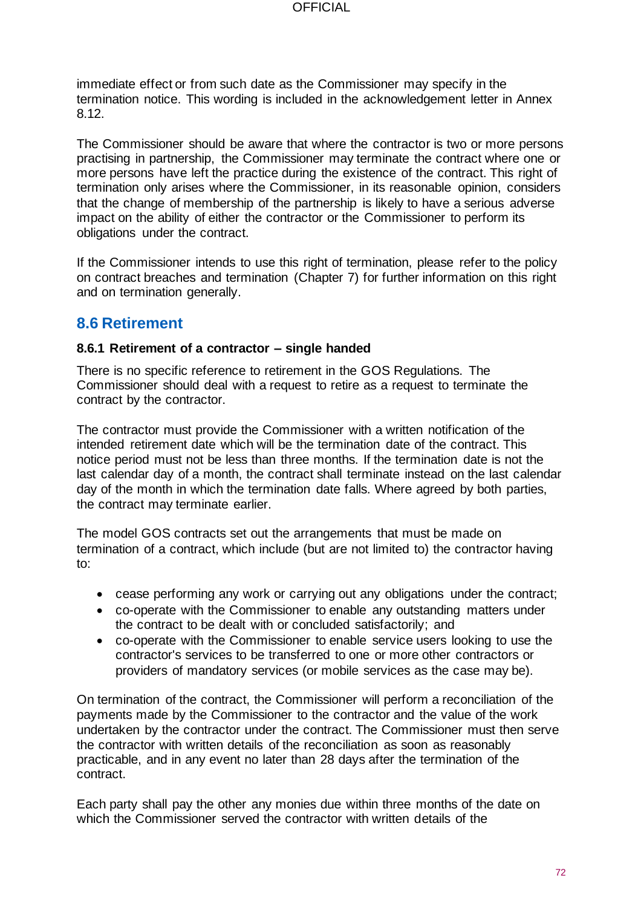**OFFICIAL** 

immediate effect or from such date as the Commissioner may specify in the termination notice. This wording is included in the acknowledgement letter in Annex 8.12.

The Commissioner should be aware that where the contractor is two or more persons practising in partnership, the Commissioner may terminate the contract where one or more persons have left the practice during the existence of the contract. This right of termination only arises where the Commissioner, in its reasonable opinion, considers that the change of membership of the partnership is likely to have a serious adverse impact on the ability of either the contractor or the Commissioner to perform its obligations under the contract.

If the Commissioner intends to use this right of termination, please refer to the policy on contract breaches and termination (Chapter 7) for further information on this right and on termination generally.

# **8.6 Retirement**

#### **8.6.1 Retirement of a contractor – single handed**

There is no specific reference to retirement in the GOS Regulations. The Commissioner should deal with a request to retire as a request to terminate the contract by the contractor.

The contractor must provide the Commissioner with a written notification of the intended retirement date which will be the termination date of the contract. This notice period must not be less than three months. If the termination date is not the last calendar day of a month, the contract shall terminate instead on the last calendar day of the month in which the termination date falls. Where agreed by both parties, the contract may terminate earlier.

The model GOS contracts set out the arrangements that must be made on termination of a contract, which include (but are not limited to) the contractor having to:

- cease performing any work or carrying out any obligations under the contract;
- co-operate with the Commissioner to enable any outstanding matters under the contract to be dealt with or concluded satisfactorily; and
- co-operate with the Commissioner to enable service users looking to use the contractor's services to be transferred to one or more other contractors or providers of mandatory services (or mobile services as the case may be).

On termination of the contract, the Commissioner will perform a reconciliation of the payments made by the Commissioner to the contractor and the value of the work undertaken by the contractor under the contract. The Commissioner must then serve the contractor with written details of the reconciliation as soon as reasonably practicable, and in any event no later than 28 days after the termination of the contract.

Each party shall pay the other any monies due within three months of the date on which the Commissioner served the contractor with written details of the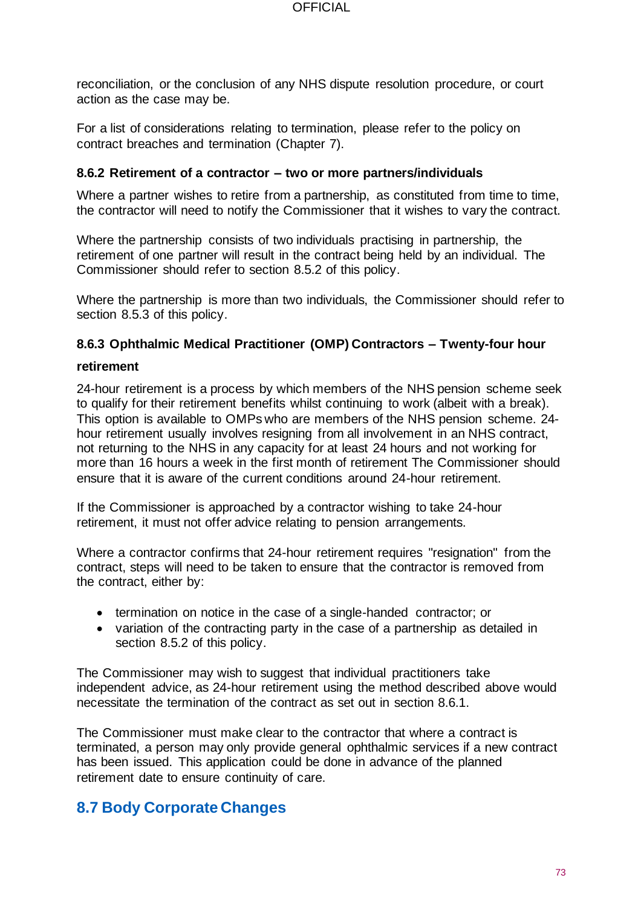reconciliation, or the conclusion of any NHS dispute resolution procedure, or court action as the case may be.

For a list of considerations relating to termination, please refer to the policy on contract breaches and termination (Chapter 7).

#### **8.6.2 Retirement of a contractor – two or more partners/individuals**

Where a partner wishes to retire from a partnership, as constituted from time to time, the contractor will need to notify the Commissioner that it wishes to vary the contract.

Where the partnership consists of two individuals practising in partnership, the retirement of one partner will result in the contract being held by an individual. The Commissioner should refer to section 8.5.2 of this policy.

Where the partnership is more than two individuals, the Commissioner should refer to section 8.5.3 of this policy.

#### **8.6.3 Ophthalmic Medical Practitioner (OMP) Contractors – Twenty-four hour**

#### **retirement**

24-hour retirement is a process by which members of the NHS pension scheme seek to qualify for their retirement benefits whilst continuing to work (albeit with a break). This option is available to OMPs who are members of the NHS pension scheme. 24 hour retirement usually involves resigning from all involvement in an NHS contract, not returning to the NHS in any capacity for at least 24 hours and not working for more than 16 hours a week in the first month of retirement The Commissioner should ensure that it is aware of the current conditions around 24-hour retirement.

If the Commissioner is approached by a contractor wishing to take 24-hour retirement, it must not offer advice relating to pension arrangements.

Where a contractor confirms that 24-hour retirement requires "resignation" from the contract, steps will need to be taken to ensure that the contractor is removed from the contract, either by:

- termination on notice in the case of a single-handed contractor; or
- variation of the contracting party in the case of a partnership as detailed in section 8.5.2 of this policy.

The Commissioner may wish to suggest that individual practitioners take independent advice, as 24-hour retirement using the method described above would necessitate the termination of the contract as set out in section 8.6.1.

The Commissioner must make clear to the contractor that where a contract is terminated, a person may only provide general ophthalmic services if a new contract has been issued. This application could be done in advance of the planned retirement date to ensure continuity of care.

### **8.7 Body Corporate Changes**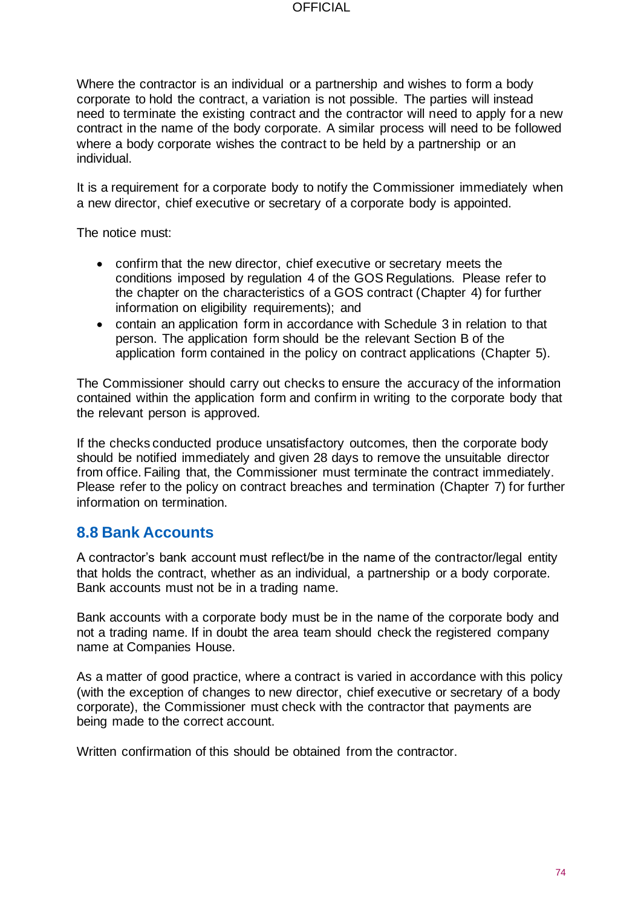Where the contractor is an individual or a partnership and wishes to form a body corporate to hold the contract, a variation is not possible. The parties will instead need to terminate the existing contract and the contractor will need to apply for a new contract in the name of the body corporate. A similar process will need to be followed where a body corporate wishes the contract to be held by a partnership or an individual.

It is a requirement for a corporate body to notify the Commissioner immediately when a new director, chief executive or secretary of a corporate body is appointed.

The notice must:

- confirm that the new director, chief executive or secretary meets the conditions imposed by regulation 4 of the GOS Regulations. Please refer to the chapter on the characteristics of a GOS contract (Chapter 4) for further information on eligibility requirements); and
- contain an application form in accordance with Schedule 3 in relation to that person. The application form should be the relevant Section B of the application form contained in the policy on contract applications (Chapter 5).

The Commissioner should carry out checks to ensure the accuracy of the information contained within the application form and confirm in writing to the corporate body that the relevant person is approved.

If the checks conducted produce unsatisfactory outcomes, then the corporate body should be notified immediately and given 28 days to remove the unsuitable director from office. Failing that, the Commissioner must terminate the contract immediately. Please refer to the policy on contract breaches and termination (Chapter 7) for further information on termination.

### **8.8 Bank Accounts**

A contractor's bank account must reflect/be in the name of the contractor/legal entity that holds the contract, whether as an individual, a partnership or a body corporate. Bank accounts must not be in a trading name.

Bank accounts with a corporate body must be in the name of the corporate body and not a trading name. If in doubt the area team should check the registered company name at Companies House.

As a matter of good practice, where a contract is varied in accordance with this policy (with the exception of changes to new director, chief executive or secretary of a body corporate), the Commissioner must check with the contractor that payments are being made to the correct account.

Written confirmation of this should be obtained from the contractor.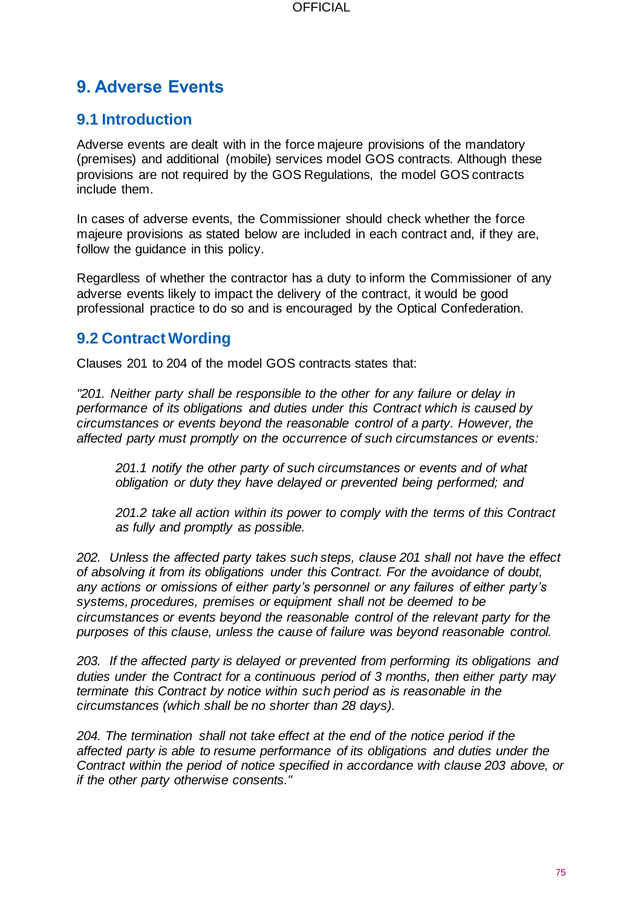# **9. Adverse Events**

### **9.1 Introduction**

Adverse events are dealt with in the force majeure provisions of the mandatory (premises) and additional (mobile) services model GOS contracts. Although these provisions are not required by the GOS Regulations, the model GOS contracts include them.

In cases of adverse events, the Commissioner should check whether the force majeure provisions as stated below are included in each contract and, if they are, follow the guidance in this policy.

Regardless of whether the contractor has a duty to inform the Commissioner of any adverse events likely to impact the delivery of the contract, it would be good professional practice to do so and is encouraged by the Optical Confederation.

### **9.2 Contract Wording**

Clauses 201 to 204 of the model GOS contracts states that:

*"201. Neither party shall be responsible to the other for any failure or delay in performance of its obligations and duties under this Contract which is caused by circumstances or events beyond the reasonable control of a party. However, the affected party must promptly on the occurrence of such circumstances or events:*

*201.1 notify the other party of such circumstances or events and of what obligation or duty they have delayed or prevented being performed; and*

*201.2 take all action within its power to comply with the terms of this Contract as fully and promptly as possible.*

*202. Unless the affected party takes such steps, clause 201 shall not have the effect of absolving it from its obligations under this Contract. For the avoidance of doubt, any actions or omissions of either party's personnel or any failures of either party's systems, procedures, premises or equipment shall not be deemed to be circumstances or events beyond the reasonable control of the relevant party for the purposes of this clause, unless the cause of failure was beyond reasonable control.*

*203. If the affected party is delayed or prevented from performing its obligations and duties under the Contract for a continuous period of 3 months, then either party may terminate this Contract by notice within such period as is reasonable in the circumstances (which shall be no shorter than 28 days).*

*204. The termination shall not take effect at the end of the notice period if the affected party is able to resume performance of its obligations and duties under the Contract within the period of notice specified in accordance with clause 203 above, or if the other party otherwise consents."*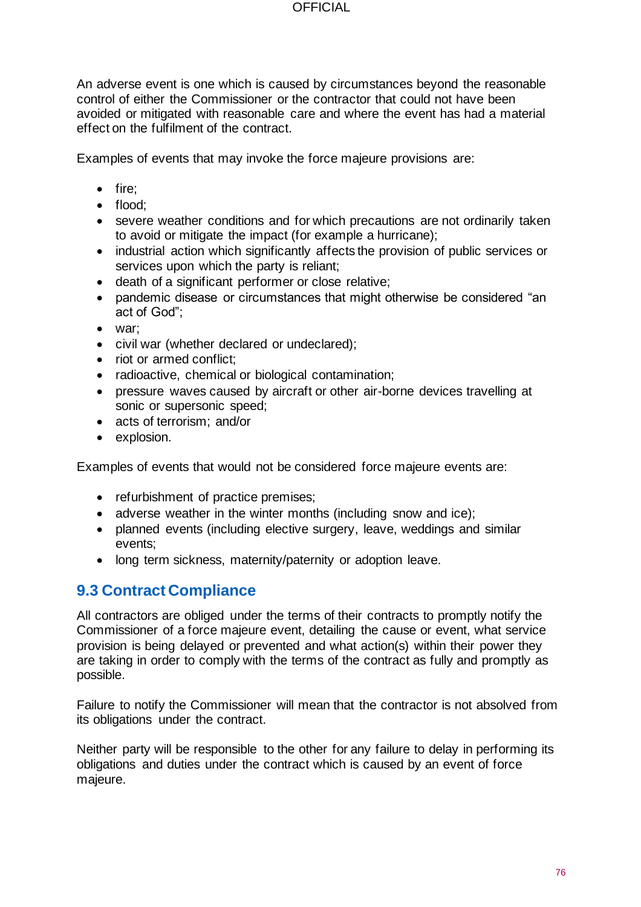An adverse event is one which is caused by circumstances beyond the reasonable control of either the Commissioner or the contractor that could not have been avoided or mitigated with reasonable care and where the event has had a material effect on the fulfilment of the contract.

Examples of events that may invoke the force majeure provisions are:

- fire;
- flood;
- severe weather conditions and for which precautions are not ordinarily taken to avoid or mitigate the impact (for example a hurricane);
- industrial action which significantly affects the provision of public services or services upon which the party is reliant;
- death of a significant performer or close relative;
- pandemic disease or circumstances that might otherwise be considered "an act of God";
- war;
- civil war (whether declared or undeclared);
- riot or armed conflict:
- radioactive, chemical or biological contamination;
- pressure waves caused by aircraft or other air-borne devices travelling at sonic or supersonic speed;
- acts of terrorism; and/or
- explosion.

Examples of events that would not be considered force majeure events are:

- refurbishment of practice premises;
- adverse weather in the winter months (including snow and ice);
- planned events (including elective surgery, leave, weddings and similar events;
- long term sickness, maternity/paternity or adoption leave.

# **9.3 Contract Compliance**

All contractors are obliged under the terms of their contracts to promptly notify the Commissioner of a force majeure event, detailing the cause or event, what service provision is being delayed or prevented and what action(s) within their power they are taking in order to comply with the terms of the contract as fully and promptly as possible.

Failure to notify the Commissioner will mean that the contractor is not absolved from its obligations under the contract.

Neither party will be responsible to the other for any failure to delay in performing its obligations and duties under the contract which is caused by an event of force majeure.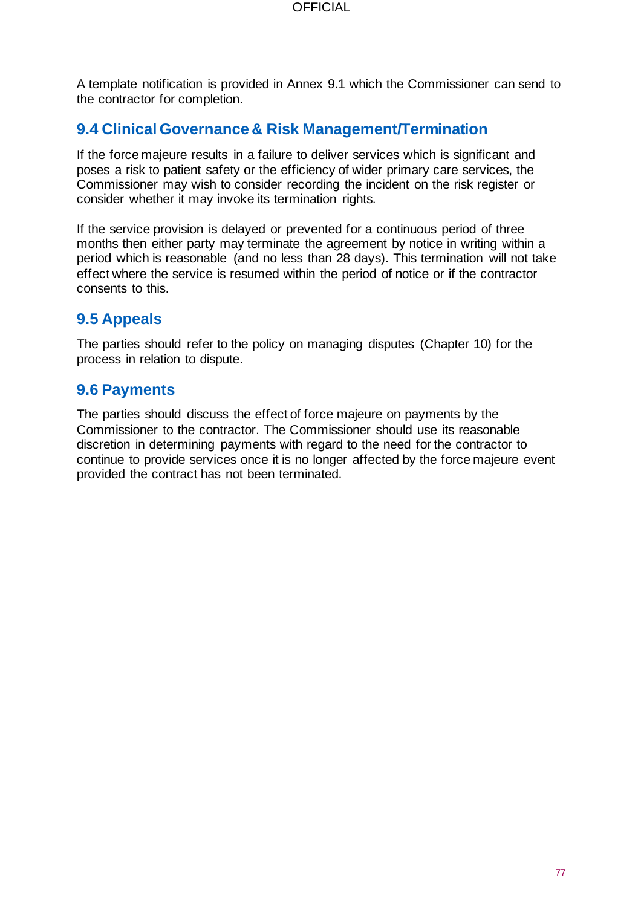A template notification is provided in Annex 9.1 which the Commissioner can send to the contractor for completion.

### **9.4 Clinical Governance & Risk Management/Termination**

If the force majeure results in a failure to deliver services which is significant and poses a risk to patient safety or the efficiency of wider primary care services, the Commissioner may wish to consider recording the incident on the risk register or consider whether it may invoke its termination rights.

If the service provision is delayed or prevented for a continuous period of three months then either party may terminate the agreement by notice in writing within a period which is reasonable (and no less than 28 days). This termination will not take effect where the service is resumed within the period of notice or if the contractor consents to this.

### **9.5 Appeals**

The parties should refer to the policy on managing disputes (Chapter 10) for the process in relation to dispute.

### **9.6 Payments**

The parties should discuss the effect of force majeure on payments by the Commissioner to the contractor. The Commissioner should use its reasonable discretion in determining payments with regard to the need for the contractor to continue to provide services once it is no longer affected by the force majeure event provided the contract has not been terminated.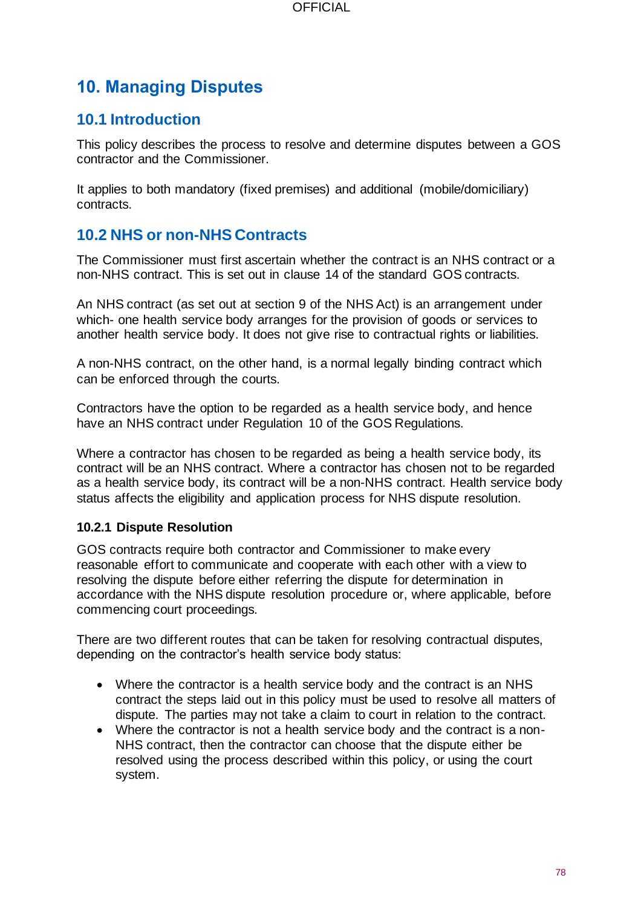# **10. Managing Disputes**

### **10.1 Introduction**

This policy describes the process to resolve and determine disputes between a GOS contractor and the Commissioner.

It applies to both mandatory (fixed premises) and additional (mobile/domiciliary) contracts.

### **10.2 NHS or non-NHS Contracts**

The Commissioner must first ascertain whether the contract is an NHS contract or a non-NHS contract. This is set out in clause 14 of the standard GOS contracts.

An NHS contract (as set out at section 9 of the NHS Act) is an arrangement under which- one health service body arranges for the provision of goods or services to another health service body. It does not give rise to contractual rights or liabilities.

A non-NHS contract, on the other hand, is a normal legally binding contract which can be enforced through the courts.

Contractors have the option to be regarded as a health service body, and hence have an NHS contract under Regulation 10 of the GOS Regulations.

Where a contractor has chosen to be regarded as being a health service body, its contract will be an NHS contract. Where a contractor has chosen not to be regarded as a health service body, its contract will be a non-NHS contract. Health service body status affects the eligibility and application process for NHS dispute resolution.

#### **10.2.1 Dispute Resolution**

GOS contracts require both contractor and Commissioner to make every reasonable effort to communicate and cooperate with each other with a view to resolving the dispute before either referring the dispute for determination in accordance with the NHS dispute resolution procedure or, where applicable, before commencing court proceedings.

There are two different routes that can be taken for resolving contractual disputes, depending on the contractor's health service body status:

- Where the contractor is a health service body and the contract is an NHS contract the steps laid out in this policy must be used to resolve all matters of dispute. The parties may not take a claim to court in relation to the contract.
- Where the contractor is not a health service body and the contract is a non-NHS contract, then the contractor can choose that the dispute either be resolved using the process described within this policy, or using the court system.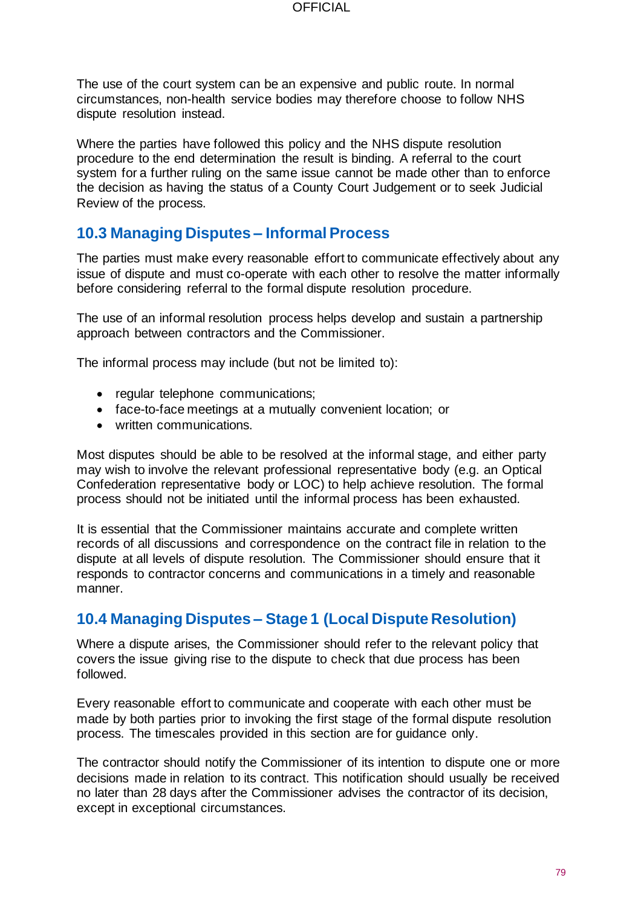The use of the court system can be an expensive and public route. In normal circumstances, non-health service bodies may therefore choose to follow NHS dispute resolution instead.

Where the parties have followed this policy and the NHS dispute resolution procedure to the end determination the result is binding. A referral to the court system for a further ruling on the same issue cannot be made other than to enforce the decision as having the status of a County Court Judgement or to seek Judicial Review of the process.

### **10.3 Managing Disputes – Informal Process**

The parties must make every reasonable effort to communicate effectively about any issue of dispute and must co-operate with each other to resolve the matter informally before considering referral to the formal dispute resolution procedure.

The use of an informal resolution process helps develop and sustain a partnership approach between contractors and the Commissioner.

The informal process may include (but not be limited to):

- regular telephone communications;
- face-to-face meetings at a mutually convenient location; or
- written communications.

Most disputes should be able to be resolved at the informal stage, and either party may wish to involve the relevant professional representative body (e.g. an Optical Confederation representative body or LOC) to help achieve resolution. The formal process should not be initiated until the informal process has been exhausted.

It is essential that the Commissioner maintains accurate and complete written records of all discussions and correspondence on the contract file in relation to the dispute at all levels of dispute resolution. The Commissioner should ensure that it responds to contractor concerns and communications in a timely and reasonable manner.

### **10.4 Managing Disputes – Stage 1 (Local Dispute Resolution)**

Where a dispute arises, the Commissioner should refer to the relevant policy that covers the issue giving rise to the dispute to check that due process has been followed.

Every reasonable effort to communicate and cooperate with each other must be made by both parties prior to invoking the first stage of the formal dispute resolution process. The timescales provided in this section are for guidance only.

The contractor should notify the Commissioner of its intention to dispute one or more decisions made in relation to its contract. This notification should usually be received no later than 28 days after the Commissioner advises the contractor of its decision, except in exceptional circumstances.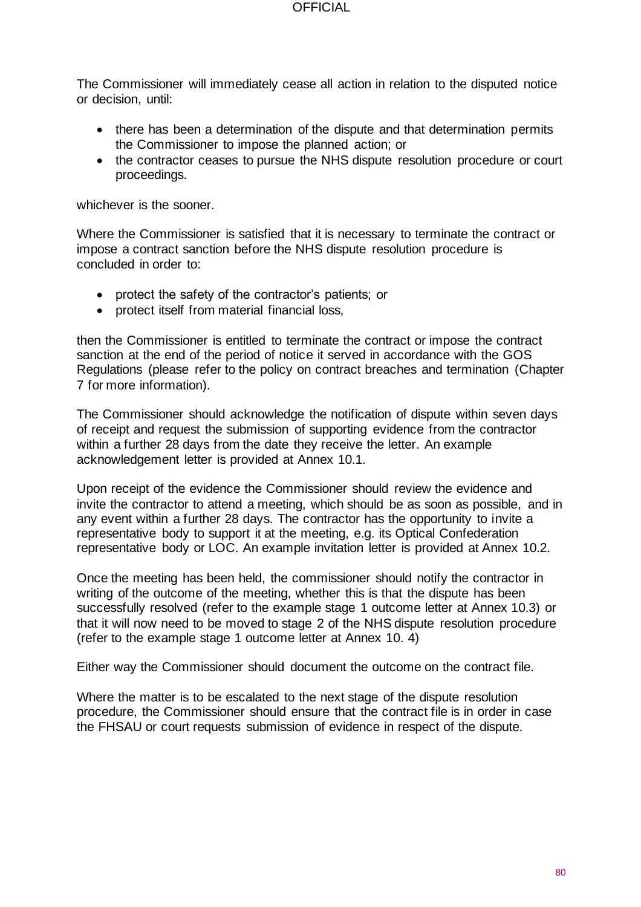The Commissioner will immediately cease all action in relation to the disputed notice or decision, until:

- there has been a determination of the dispute and that determination permits the Commissioner to impose the planned action; or
- the contractor ceases to pursue the NHS dispute resolution procedure or court proceedings.

whichever is the sooner.

Where the Commissioner is satisfied that it is necessary to terminate the contract or impose a contract sanction before the NHS dispute resolution procedure is concluded in order to:

- protect the safety of the contractor's patients; or
- protect itself from material financial loss,

then the Commissioner is entitled to terminate the contract or impose the contract sanction at the end of the period of notice it served in accordance with the GOS Regulations (please refer to the policy on contract breaches and termination (Chapter 7 for more information).

The Commissioner should acknowledge the notification of dispute within seven days of receipt and request the submission of supporting evidence from the contractor within a further 28 days from the date they receive the letter. An example acknowledgement letter is provided at Annex 10.1.

Upon receipt of the evidence the Commissioner should review the evidence and invite the contractor to attend a meeting, which should be as soon as possible, and in any event within a further 28 days. The contractor has the opportunity to invite a representative body to support it at the meeting, e.g. its Optical Confederation representative body or LOC. An example invitation letter is provided at Annex 10.2.

Once the meeting has been held, the commissioner should notify the contractor in writing of the outcome of the meeting, whether this is that the dispute has been successfully resolved (refer to the example stage 1 outcome letter at Annex 10.3) or that it will now need to be moved to stage 2 of the NHS dispute resolution procedure (refer to the example stage 1 outcome letter at Annex 10. 4)

Either way the Commissioner should document the outcome on the contract file.

Where the matter is to be escalated to the next stage of the dispute resolution procedure, the Commissioner should ensure that the contract file is in order in case the FHSAU or court requests submission of evidence in respect of the dispute.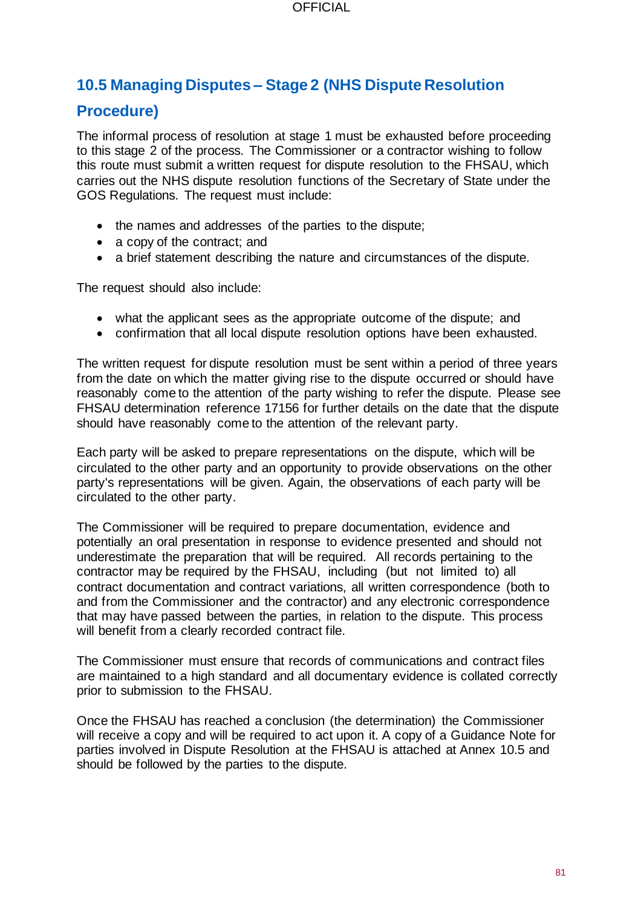# **10.5 Managing Disputes – Stage 2 (NHS Dispute Resolution**

### **Procedure)**

The informal process of resolution at stage 1 must be exhausted before proceeding to this stage 2 of the process. The Commissioner or a contractor wishing to follow this route must submit a written request for dispute resolution to the FHSAU, which carries out the NHS dispute resolution functions of the Secretary of State under the GOS Regulations. The request must include:

- the names and addresses of the parties to the dispute;
- a copy of the contract; and
- a brief statement describing the nature and circumstances of the dispute.

The request should also include:

- what the applicant sees as the appropriate outcome of the dispute; and
- confirmation that all local dispute resolution options have been exhausted.

The written request for dispute resolution must be sent within a period of three years from the date on which the matter giving rise to the dispute occurred or should have reasonably come to the attention of the party wishing to refer the dispute. Please see FHSAU determination reference 17156 for further details on the date that the dispute should have reasonably come to the attention of the relevant party.

Each party will be asked to prepare representations on the dispute, which will be circulated to the other party and an opportunity to provide observations on the other party's representations will be given. Again, the observations of each party will be circulated to the other party.

The Commissioner will be required to prepare documentation, evidence and potentially an oral presentation in response to evidence presented and should not underestimate the preparation that will be required. All records pertaining to the contractor may be required by the FHSAU, including (but not limited to) all contract documentation and contract variations, all written correspondence (both to and from the Commissioner and the contractor) and any electronic correspondence that may have passed between the parties, in relation to the dispute. This process will benefit from a clearly recorded contract file.

The Commissioner must ensure that records of communications and contract files are maintained to a high standard and all documentary evidence is collated correctly prior to submission to the FHSAU.

Once the FHSAU has reached a conclusion (the determination) the Commissioner will receive a copy and will be required to act upon it. A copy of a Guidance Note for parties involved in Dispute Resolution at the FHSAU is attached at Annex 10.5 and should be followed by the parties to the dispute.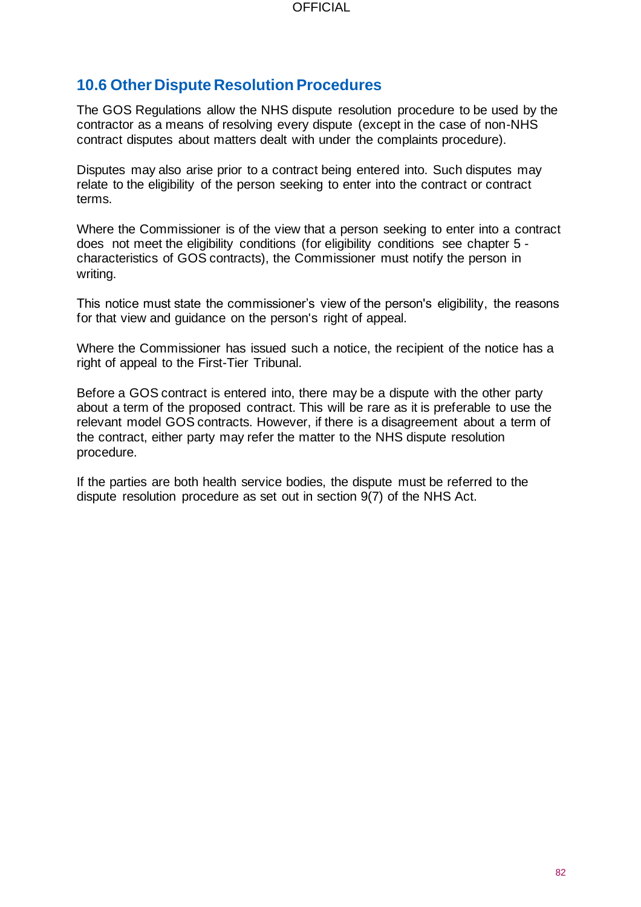### **10.6 Other Dispute Resolution Procedures**

The GOS Regulations allow the NHS dispute resolution procedure to be used by the contractor as a means of resolving every dispute (except in the case of non-NHS contract disputes about matters dealt with under the complaints procedure).

Disputes may also arise prior to a contract being entered into. Such disputes may relate to the eligibility of the person seeking to enter into the contract or contract terms.

Where the Commissioner is of the view that a person seeking to enter into a contract does not meet the eligibility conditions (for eligibility conditions see chapter 5 characteristics of GOS contracts), the Commissioner must notify the person in writing.

This notice must state the commissioner's view of the person's eligibility, the reasons for that view and guidance on the person's right of appeal.

Where the Commissioner has issued such a notice, the recipient of the notice has a right of appeal to the First-Tier Tribunal.

Before a GOS contract is entered into, there may be a dispute with the other party about a term of the proposed contract. This will be rare as it is preferable to use the relevant model GOS contracts. However, if there is a disagreement about a term of the contract, either party may refer the matter to the NHS dispute resolution procedure.

If the parties are both health service bodies, the dispute must be referred to the dispute resolution procedure as set out in section 9(7) of the NHS Act.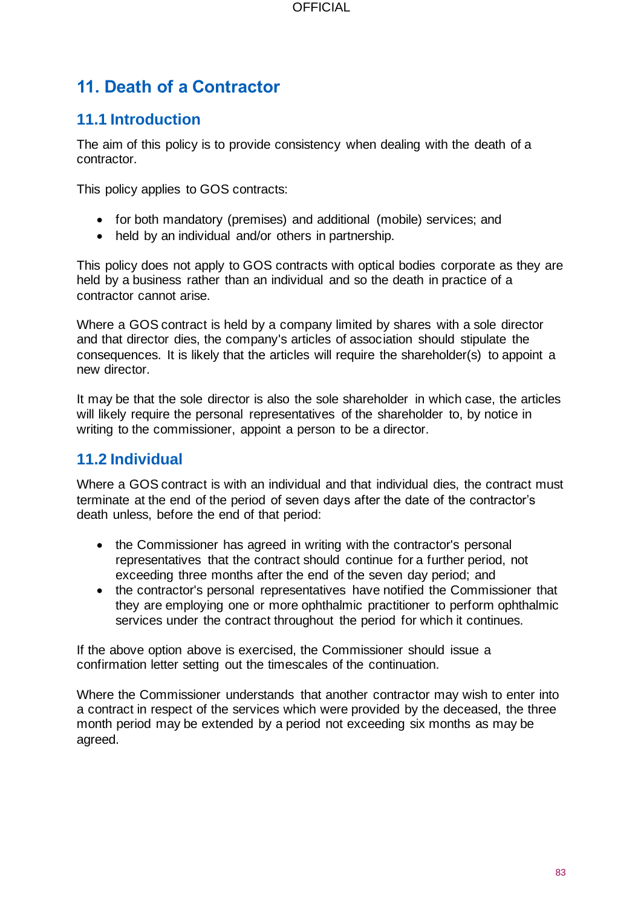# **11. Death of a Contractor**

## **11.1 Introduction**

The aim of this policy is to provide consistency when dealing with the death of a contractor.

This policy applies to GOS contracts:

- for both mandatory (premises) and additional (mobile) services; and
- held by an individual and/or others in partnership.

This policy does not apply to GOS contracts with optical bodies corporate as they are held by a business rather than an individual and so the death in practice of a contractor cannot arise.

Where a GOS contract is held by a company limited by shares with a sole director and that director dies, the company's articles of association should stipulate the consequences. It is likely that the articles will require the shareholder(s) to appoint a new director.

It may be that the sole director is also the sole shareholder in which case, the articles will likely require the personal representatives of the shareholder to, by notice in writing to the commissioner, appoint a person to be a director.

# **11.2 Individual**

Where a GOS contract is with an individual and that individual dies, the contract must terminate at the end of the period of seven days after the date of the contractor's death unless, before the end of that period:

- the Commissioner has agreed in writing with the contractor's personal representatives that the contract should continue for a further period, not exceeding three months after the end of the seven day period; and
- the contractor's personal representatives have notified the Commissioner that they are employing one or more ophthalmic practitioner to perform ophthalmic services under the contract throughout the period for which it continues.

If the above option above is exercised, the Commissioner should issue a confirmation letter setting out the timescales of the continuation.

Where the Commissioner understands that another contractor may wish to enter into a contract in respect of the services which were provided by the deceased, the three month period may be extended by a period not exceeding six months as may be agreed.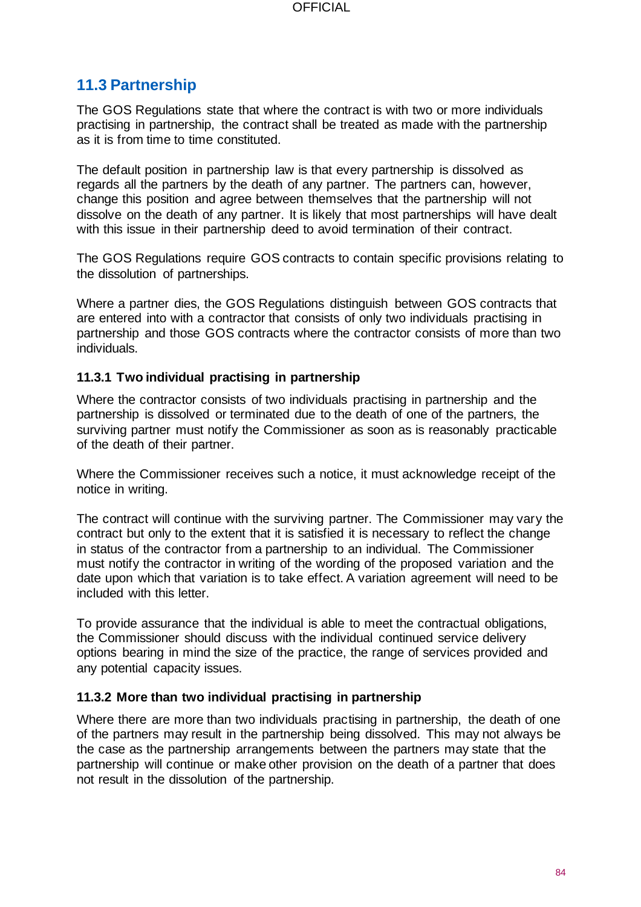### **11.3 Partnership**

The GOS Regulations state that where the contract is with two or more individuals practising in partnership, the contract shall be treated as made with the partnership as it is from time to time constituted.

The default position in partnership law is that every partnership is dissolved as regards all the partners by the death of any partner. The partners can, however, change this position and agree between themselves that the partnership will not dissolve on the death of any partner. It is likely that most partnerships will have dealt with this issue in their partnership deed to avoid termination of their contract.

The GOS Regulations require GOS contracts to contain specific provisions relating to the dissolution of partnerships.

Where a partner dies, the GOS Regulations distinguish between GOS contracts that are entered into with a contractor that consists of only two individuals practising in partnership and those GOS contracts where the contractor consists of more than two individuals.

### **11.3.1 Two individual practising in partnership**

Where the contractor consists of two individuals practising in partnership and the partnership is dissolved or terminated due to the death of one of the partners, the surviving partner must notify the Commissioner as soon as is reasonably practicable of the death of their partner.

Where the Commissioner receives such a notice, it must acknowledge receipt of the notice in writing.

The contract will continue with the surviving partner. The Commissioner may vary the contract but only to the extent that it is satisfied it is necessary to reflect the change in status of the contractor from a partnership to an individual. The Commissioner must notify the contractor in writing of the wording of the proposed variation and the date upon which that variation is to take effect. A variation agreement will need to be included with this letter.

To provide assurance that the individual is able to meet the contractual obligations, the Commissioner should discuss with the individual continued service delivery options bearing in mind the size of the practice, the range of services provided and any potential capacity issues.

#### **11.3.2 More than two individual practising in partnership**

Where there are more than two individuals practising in partnership, the death of one of the partners may result in the partnership being dissolved. This may not always be the case as the partnership arrangements between the partners may state that the partnership will continue or make other provision on the death of a partner that does not result in the dissolution of the partnership.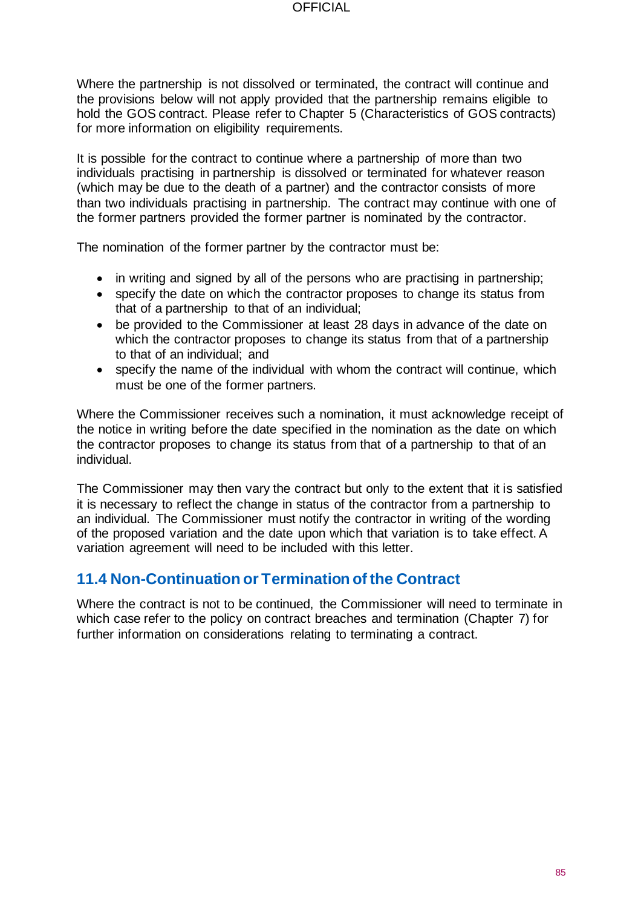Where the partnership is not dissolved or terminated, the contract will continue and the provisions below will not apply provided that the partnership remains eligible to hold the GOS contract. Please refer to Chapter 5 (Characteristics of GOS contracts) for more information on eligibility requirements.

It is possible for the contract to continue where a partnership of more than two individuals practising in partnership is dissolved or terminated for whatever reason (which may be due to the death of a partner) and the contractor consists of more than two individuals practising in partnership. The contract may continue with one of the former partners provided the former partner is nominated by the contractor.

The nomination of the former partner by the contractor must be:

- in writing and signed by all of the persons who are practising in partnership;
- specify the date on which the contractor proposes to change its status from that of a partnership to that of an individual;
- be provided to the Commissioner at least 28 days in advance of the date on which the contractor proposes to change its status from that of a partnership to that of an individual; and
- specify the name of the individual with whom the contract will continue, which must be one of the former partners.

Where the Commissioner receives such a nomination, it must acknowledge receipt of the notice in writing before the date specified in the nomination as the date on which the contractor proposes to change its status from that of a partnership to that of an individual.

The Commissioner may then vary the contract but only to the extent that it is satisfied it is necessary to reflect the change in status of the contractor from a partnership to an individual. The Commissioner must notify the contractor in writing of the wording of the proposed variation and the date upon which that variation is to take effect. A variation agreement will need to be included with this letter.

# **11.4 Non-Continuation or Termination of the Contract**

Where the contract is not to be continued, the Commissioner will need to terminate in which case refer to the policy on contract breaches and termination (Chapter 7) for further information on considerations relating to terminating a contract.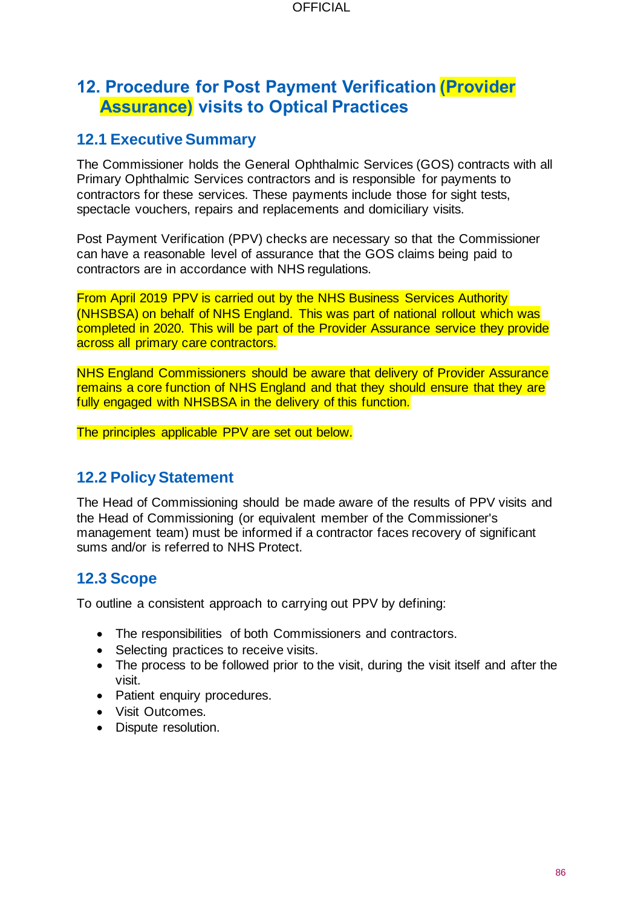# **12. Procedure for Post Payment Verification (Provider Assurance) visits to Optical Practices**

### **12.1 Executive Summary**

The Commissioner holds the General Ophthalmic Services (GOS) contracts with all Primary Ophthalmic Services contractors and is responsible for payments to contractors for these services. These payments include those for sight tests, spectacle vouchers, repairs and replacements and domiciliary visits.

Post Payment Verification (PPV) checks are necessary so that the Commissioner can have a reasonable level of assurance that the GOS claims being paid to contractors are in accordance with NHS regulations.

From April 2019 PPV is carried out by the NHS Business Services Authority (NHSBSA) on behalf of NHS England. This was part of national rollout which was completed in 2020. This will be part of the Provider Assurance service they provide across all primary care contractors.

NHS England Commissioners should be aware that delivery of Provider Assurance remains a core function of NHS England and that they should ensure that they are fully engaged with NHSBSA in the delivery of this function.

The principles applicable PPV are set out below.

### **12.2 Policy Statement**

The Head of Commissioning should be made aware of the results of PPV visits and the Head of Commissioning (or equivalent member of the Commissioner's management team) must be informed if a contractor faces recovery of significant sums and/or is referred to NHS Protect.

### **12.3 Scope**

To outline a consistent approach to carrying out PPV by defining:

- The responsibilities of both Commissioners and contractors.
- Selecting practices to receive visits.
- The process to be followed prior to the visit, during the visit itself and after the visit.
- Patient enquiry procedures.
- Visit Outcomes.
- Dispute resolution.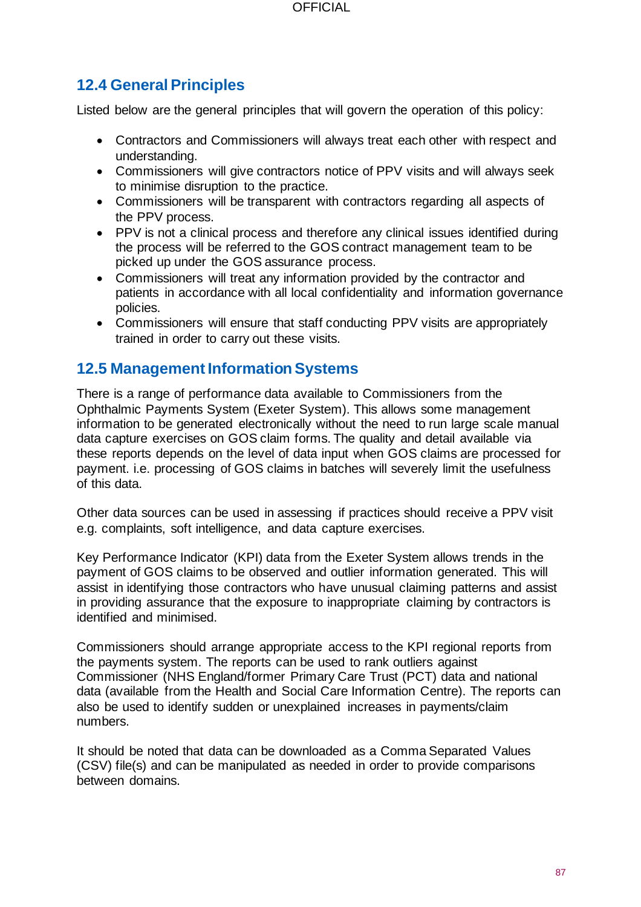## **12.4 General Principles**

Listed below are the general principles that will govern the operation of this policy:

- Contractors and Commissioners will always treat each other with respect and understanding.
- Commissioners will give contractors notice of PPV visits and will always seek to minimise disruption to the practice.
- Commissioners will be transparent with contractors regarding all aspects of the PPV process.
- PPV is not a clinical process and therefore any clinical issues identified during the process will be referred to the GOS contract management team to be picked up under the GOS assurance process.
- Commissioners will treat any information provided by the contractor and patients in accordance with all local confidentiality and information governance policies.
- Commissioners will ensure that staff conducting PPV visits are appropriately trained in order to carry out these visits.

### **12.5 Management Information Systems**

There is a range of performance data available to Commissioners from the Ophthalmic Payments System (Exeter System). This allows some management information to be generated electronically without the need to run large scale manual data capture exercises on GOS claim forms. The quality and detail available via these reports depends on the level of data input when GOS claims are processed for payment. i.e. processing of GOS claims in batches will severely limit the usefulness of this data.

Other data sources can be used in assessing if practices should receive a PPV visit e.g. complaints, soft intelligence, and data capture exercises.

Key Performance Indicator (KPI) data from the Exeter System allows trends in the payment of GOS claims to be observed and outlier information generated. This will assist in identifying those contractors who have unusual claiming patterns and assist in providing assurance that the exposure to inappropriate claiming by contractors is identified and minimised.

Commissioners should arrange appropriate access to the KPI regional reports from the payments system. The reports can be used to rank outliers against Commissioner (NHS England/former Primary Care Trust (PCT) data and national data (available from the Health and Social Care Information Centre). The reports can also be used to identify sudden or unexplained increases in payments/claim numbers.

It should be noted that data can be downloaded as a Comma Separated Values (CSV) file(s) and can be manipulated as needed in order to provide comparisons between domains.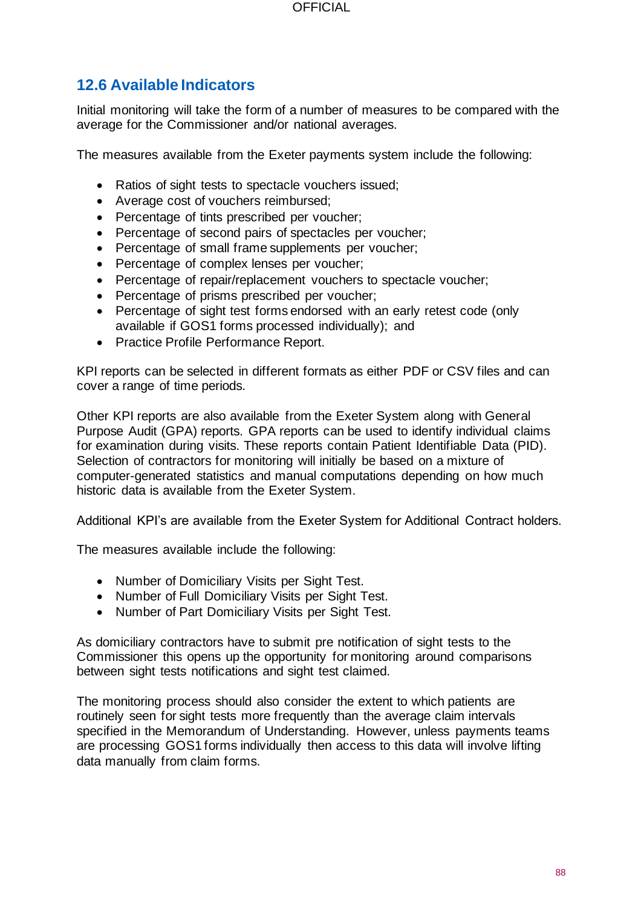# **12.6 Available Indicators**

Initial monitoring will take the form of a number of measures to be compared with the average for the Commissioner and/or national averages.

The measures available from the Exeter payments system include the following:

- Ratios of sight tests to spectacle vouchers issued;
- Average cost of vouchers reimbursed;
- Percentage of tints prescribed per voucher;
- Percentage of second pairs of spectacles per voucher;
- Percentage of small frame supplements per voucher;
- Percentage of complex lenses per voucher;
- Percentage of repair/replacement vouchers to spectacle voucher;
- Percentage of prisms prescribed per voucher;
- Percentage of sight test forms endorsed with an early retest code (only available if GOS1 forms processed individually); and
- Practice Profile Performance Report.

KPI reports can be selected in different formats as either PDF or CSV files and can cover a range of time periods.

Other KPI reports are also available from the Exeter System along with General Purpose Audit (GPA) reports. GPA reports can be used to identify individual claims for examination during visits. These reports contain Patient Identifiable Data (PID). Selection of contractors for monitoring will initially be based on a mixture of computer-generated statistics and manual computations depending on how much historic data is available from the Exeter System.

Additional KPI's are available from the Exeter System for Additional Contract holders.

The measures available include the following:

- Number of Domiciliary Visits per Sight Test.
- Number of Full Domiciliary Visits per Sight Test.
- Number of Part Domiciliary Visits per Sight Test.

As domiciliary contractors have to submit pre notification of sight tests to the Commissioner this opens up the opportunity for monitoring around comparisons between sight tests notifications and sight test claimed.

The monitoring process should also consider the extent to which patients are routinely seen for sight tests more frequently than the average claim intervals specified in the Memorandum of Understanding. However, unless payments teams are processing GOS1 forms individually then access to this data will involve lifting data manually from claim forms.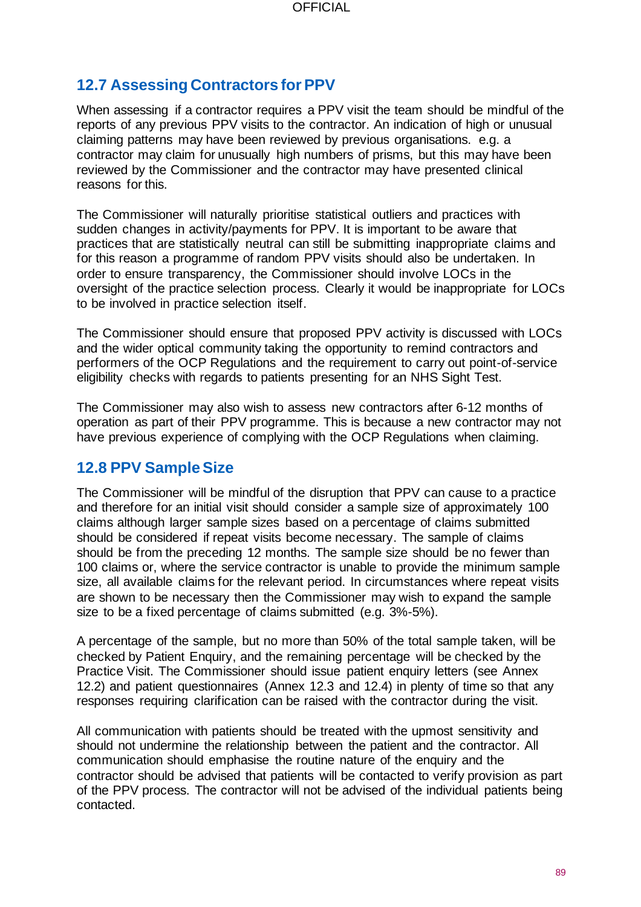# **12.7 Assessing Contractors for PPV**

When assessing if a contractor requires a PPV visit the team should be mindful of the reports of any previous PPV visits to the contractor. An indication of high or unusual claiming patterns may have been reviewed by previous organisations. e.g. a contractor may claim for unusually high numbers of prisms, but this may have been reviewed by the Commissioner and the contractor may have presented clinical reasons for this.

The Commissioner will naturally prioritise statistical outliers and practices with sudden changes in activity/payments for PPV. It is important to be aware that practices that are statistically neutral can still be submitting inappropriate claims and for this reason a programme of random PPV visits should also be undertaken. In order to ensure transparency, the Commissioner should involve LOCs in the oversight of the practice selection process. Clearly it would be inappropriate for LOCs to be involved in practice selection itself.

The Commissioner should ensure that proposed PPV activity is discussed with LOCs and the wider optical community taking the opportunity to remind contractors and performers of the OCP Regulations and the requirement to carry out point-of-service eligibility checks with regards to patients presenting for an NHS Sight Test.

The Commissioner may also wish to assess new contractors after 6-12 months of operation as part of their PPV programme. This is because a new contractor may not have previous experience of complying with the OCP Regulations when claiming.

### **12.8 PPV Sample Size**

The Commissioner will be mindful of the disruption that PPV can cause to a practice and therefore for an initial visit should consider a sample size of approximately 100 claims although larger sample sizes based on a percentage of claims submitted should be considered if repeat visits become necessary. The sample of claims should be from the preceding 12 months. The sample size should be no fewer than 100 claims or, where the service contractor is unable to provide the minimum sample size, all available claims for the relevant period. In circumstances where repeat visits are shown to be necessary then the Commissioner may wish to expand the sample size to be a fixed percentage of claims submitted (e.g. 3%-5%).

A percentage of the sample, but no more than 50% of the total sample taken, will be checked by Patient Enquiry, and the remaining percentage will be checked by the Practice Visit. The Commissioner should issue patient enquiry letters (see Annex 12.2) and patient questionnaires (Annex 12.3 and 12.4) in plenty of time so that any responses requiring clarification can be raised with the contractor during the visit.

All communication with patients should be treated with the upmost sensitivity and should not undermine the relationship between the patient and the contractor. All communication should emphasise the routine nature of the enquiry and the contractor should be advised that patients will be contacted to verify provision as part of the PPV process. The contractor will not be advised of the individual patients being contacted.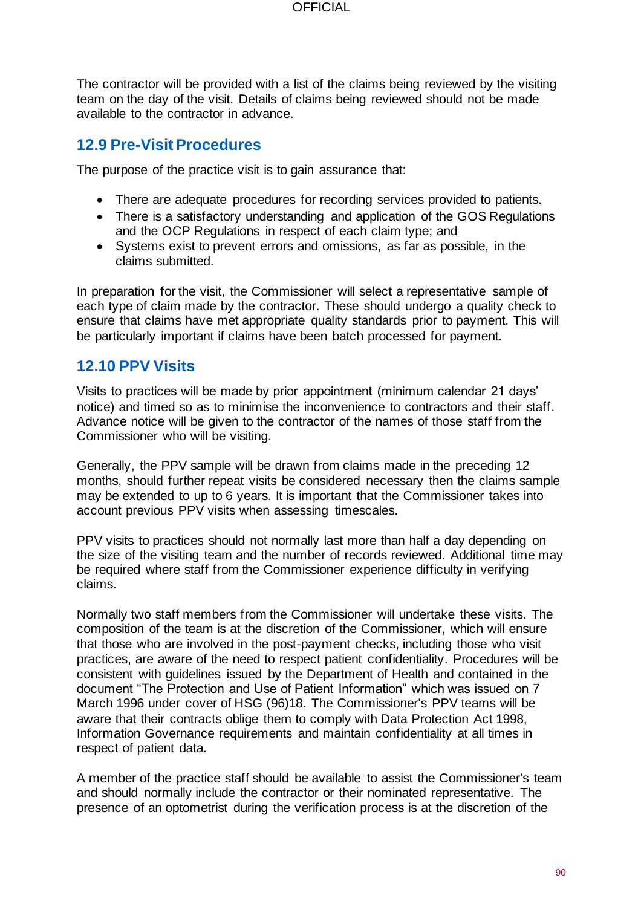The contractor will be provided with a list of the claims being reviewed by the visiting team on the day of the visit. Details of claims being reviewed should not be made available to the contractor in advance.

### **12.9 Pre-VisitProcedures**

The purpose of the practice visit is to gain assurance that:

- There are adequate procedures for recording services provided to patients.
- There is a satisfactory understanding and application of the GOS Regulations and the OCP Regulations in respect of each claim type; and
- Systems exist to prevent errors and omissions, as far as possible, in the claims submitted.

In preparation for the visit, the Commissioner will select a representative sample of each type of claim made by the contractor. These should undergo a quality check to ensure that claims have met appropriate quality standards prior to payment. This will be particularly important if claims have been batch processed for payment.

### **12.10 PPV Visits**

Visits to practices will be made by prior appointment (minimum calendar 21 days' notice) and timed so as to minimise the inconvenience to contractors and their staff. Advance notice will be given to the contractor of the names of those staff from the Commissioner who will be visiting.

Generally, the PPV sample will be drawn from claims made in the preceding 12 months, should further repeat visits be considered necessary then the claims sample may be extended to up to 6 years. It is important that the Commissioner takes into account previous PPV visits when assessing timescales.

PPV visits to practices should not normally last more than half a day depending on the size of the visiting team and the number of records reviewed. Additional time may be required where staff from the Commissioner experience difficulty in verifying claims.

Normally two staff members from the Commissioner will undertake these visits. The composition of the team is at the discretion of the Commissioner, which will ensure that those who are involved in the post-payment checks, including those who visit practices, are aware of the need to respect patient confidentiality. Procedures will be consistent with guidelines issued by the Department of Health and contained in the document "The Protection and Use of Patient Information" which was issued on 7 March 1996 under cover of HSG (96)18. The Commissioner's PPV teams will be aware that their contracts oblige them to comply with Data Protection Act 1998, Information Governance requirements and maintain confidentiality at all times in respect of patient data.

A member of the practice staff should be available to assist the Commissioner's team and should normally include the contractor or their nominated representative. The presence of an optometrist during the verification process is at the discretion of the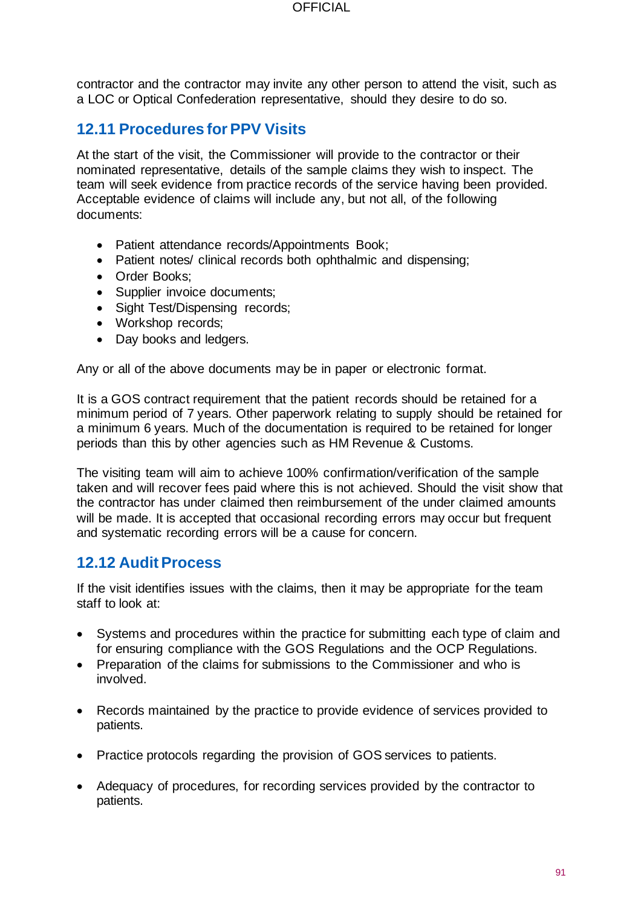contractor and the contractor may invite any other person to attend the visit, such as a LOC or Optical Confederation representative, should they desire to do so.

### **12.11 Procedures for PPV Visits**

At the start of the visit, the Commissioner will provide to the contractor or their nominated representative, details of the sample claims they wish to inspect. The team will seek evidence from practice records of the service having been provided. Acceptable evidence of claims will include any, but not all, of the following documents:

- Patient attendance records/Appointments Book;
- Patient notes/ clinical records both ophthalmic and dispensing;
- Order Books;
- Supplier invoice documents;
- Sight Test/Dispensing records;
- Workshop records;
- Day books and ledgers.

Any or all of the above documents may be in paper or electronic format.

It is a GOS contract requirement that the patient records should be retained for a minimum period of 7 years. Other paperwork relating to supply should be retained for a minimum 6 years. Much of the documentation is required to be retained for longer periods than this by other agencies such as HM Revenue & Customs.

The visiting team will aim to achieve 100% confirmation/verification of the sample taken and will recover fees paid where this is not achieved. Should the visit show that the contractor has under claimed then reimbursement of the under claimed amounts will be made. It is accepted that occasional recording errors may occur but frequent and systematic recording errors will be a cause for concern.

### **12.12 Audit Process**

If the visit identifies issues with the claims, then it may be appropriate for the team staff to look at:

- Systems and procedures within the practice for submitting each type of claim and for ensuring compliance with the GOS Regulations and the OCP Regulations.
- Preparation of the claims for submissions to the Commissioner and who is involved.
- Records maintained by the practice to provide evidence of services provided to patients.
- Practice protocols regarding the provision of GOS services to patients.
- Adequacy of procedures, for recording services provided by the contractor to patients.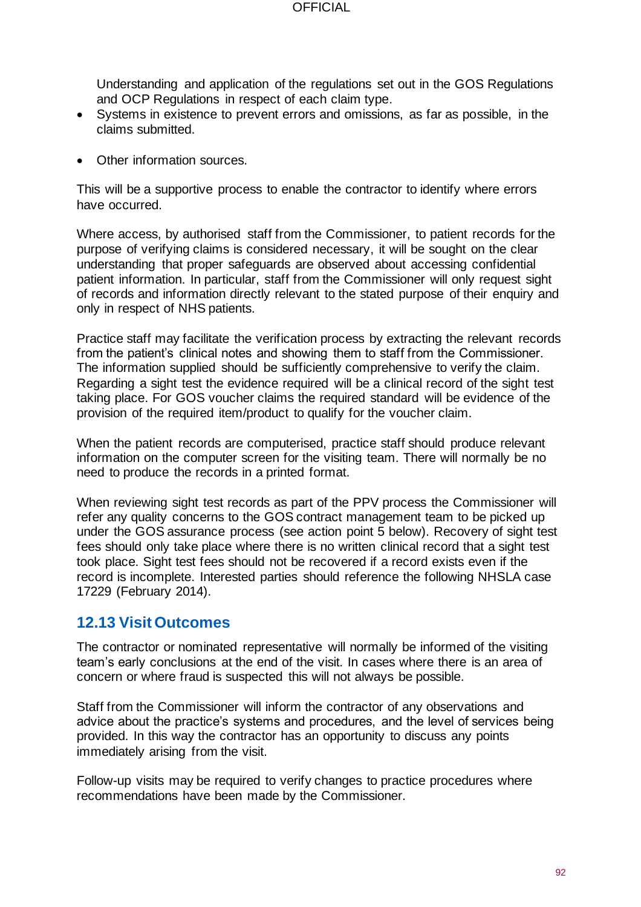Understanding and application of the regulations set out in the GOS Regulations and OCP Regulations in respect of each claim type.

- Systems in existence to prevent errors and omissions, as far as possible, in the claims submitted.
- Other information sources.

This will be a supportive process to enable the contractor to identify where errors have occurred.

Where access, by authorised staff from the Commissioner, to patient records for the purpose of verifying claims is considered necessary, it will be sought on the clear understanding that proper safeguards are observed about accessing confidential patient information. In particular, staff from the Commissioner will only request sight of records and information directly relevant to the stated purpose of their enquiry and only in respect of NHS patients.

Practice staff may facilitate the verification process by extracting the relevant records from the patient's clinical notes and showing them to staff from the Commissioner. The information supplied should be sufficiently comprehensive to verify the claim. Regarding a sight test the evidence required will be a clinical record of the sight test taking place. For GOS voucher claims the required standard will be evidence of the provision of the required item/product to qualify for the voucher claim.

When the patient records are computerised, practice staff should produce relevant information on the computer screen for the visiting team. There will normally be no need to produce the records in a printed format.

When reviewing sight test records as part of the PPV process the Commissioner will refer any quality concerns to the GOS contract management team to be picked up under the GOS assurance process (see action point 5 below). Recovery of sight test fees should only take place where there is no written clinical record that a sight test took place. Sight test fees should not be recovered if a record exists even if the record is incomplete. Interested parties should reference the following NHSLA case 17229 (February 2014).

### **12.13 Visit Outcomes**

The contractor or nominated representative will normally be informed of the visiting team's early conclusions at the end of the visit. In cases where there is an area of concern or where fraud is suspected this will not always be possible.

Staff from the Commissioner will inform the contractor of any observations and advice about the practice's systems and procedures, and the level of services being provided. In this way the contractor has an opportunity to discuss any points immediately arising from the visit.

Follow-up visits may be required to verify changes to practice procedures where recommendations have been made by the Commissioner.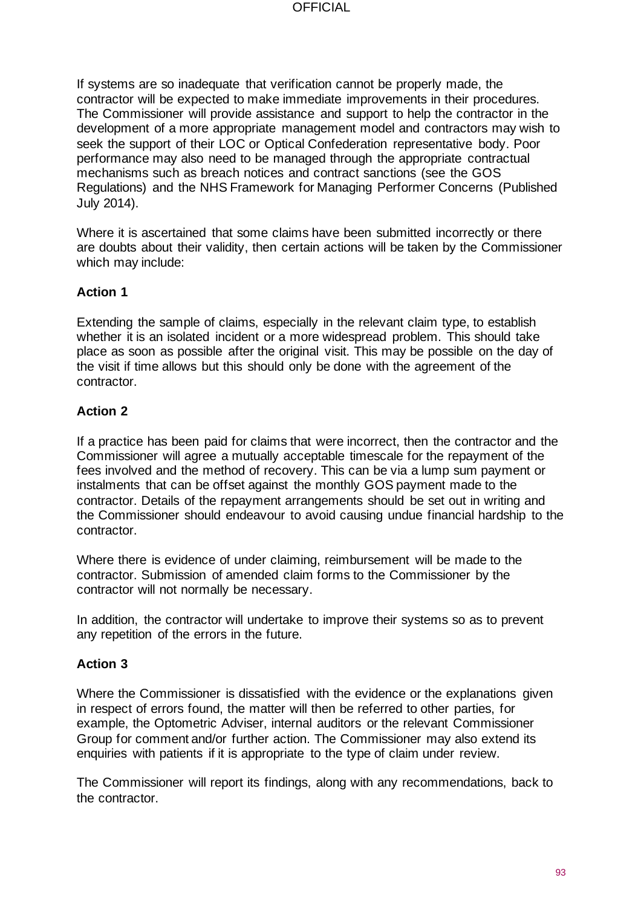If systems are so inadequate that verification cannot be properly made, the contractor will be expected to make immediate improvements in their procedures. The Commissioner will provide assistance and support to help the contractor in the development of a more appropriate management model and contractors may wish to seek the support of their LOC or Optical Confederation representative body. Poor performance may also need to be managed through the appropriate contractual mechanisms such as breach notices and contract sanctions (see the GOS Regulations) and the NHS Framework for Managing Performer Concerns (Published July 2014).

Where it is ascertained that some claims have been submitted incorrectly or there are doubts about their validity, then certain actions will be taken by the Commissioner which may include:

### **Action 1**

Extending the sample of claims, especially in the relevant claim type, to establish whether it is an isolated incident or a more widespread problem. This should take place as soon as possible after the original visit. This may be possible on the day of the visit if time allows but this should only be done with the agreement of the contractor.

#### **Action 2**

If a practice has been paid for claims that were incorrect, then the contractor and the Commissioner will agree a mutually acceptable timescale for the repayment of the fees involved and the method of recovery. This can be via a lump sum payment or instalments that can be offset against the monthly GOS payment made to the contractor. Details of the repayment arrangements should be set out in writing and the Commissioner should endeavour to avoid causing undue financial hardship to the contractor.

Where there is evidence of under claiming, reimbursement will be made to the contractor. Submission of amended claim forms to the Commissioner by the contractor will not normally be necessary.

In addition, the contractor will undertake to improve their systems so as to prevent any repetition of the errors in the future.

#### **Action 3**

Where the Commissioner is dissatisfied with the evidence or the explanations given in respect of errors found, the matter will then be referred to other parties, for example, the Optometric Adviser, internal auditors or the relevant Commissioner Group for comment and/or further action. The Commissioner may also extend its enquiries with patients if it is appropriate to the type of claim under review.

The Commissioner will report its findings, along with any recommendations, back to the contractor.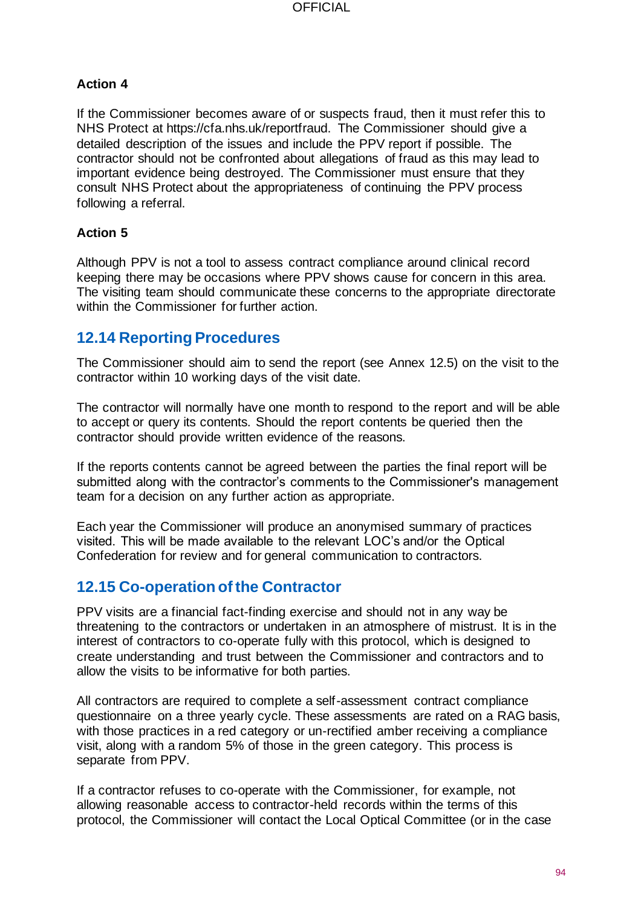### **Action 4**

If the Commissioner becomes aware of or suspects fraud, then it must refer this to NHS Protect at https://cfa.nhs.uk/reportfraud. The Commissioner should give a detailed description of the issues and include the PPV report if possible. The contractor should not be confronted about allegations of fraud as this may lead to important evidence being destroyed. The Commissioner must ensure that they consult NHS Protect about the appropriateness of continuing the PPV process following a referral.

### **Action 5**

Although PPV is not a tool to assess contract compliance around clinical record keeping there may be occasions where PPV shows cause for concern in this area. The visiting team should communicate these concerns to the appropriate directorate within the Commissioner for further action.

### **12.14 Reporting Procedures**

The Commissioner should aim to send the report (see Annex 12.5) on the visit to the contractor within 10 working days of the visit date.

The contractor will normally have one month to respond to the report and will be able to accept or query its contents. Should the report contents be queried then the contractor should provide written evidence of the reasons.

If the reports contents cannot be agreed between the parties the final report will be submitted along with the contractor's comments to the Commissioner's management team for a decision on any further action as appropriate.

Each year the Commissioner will produce an anonymised summary of practices visited. This will be made available to the relevant LOC's and/or the Optical Confederation for review and for general communication to contractors.

### **12.15 Co-operation of the Contractor**

PPV visits are a financial fact-finding exercise and should not in any way be threatening to the contractors or undertaken in an atmosphere of mistrust. It is in the interest of contractors to co-operate fully with this protocol, which is designed to create understanding and trust between the Commissioner and contractors and to allow the visits to be informative for both parties.

All contractors are required to complete a self-assessment contract compliance questionnaire on a three yearly cycle. These assessments are rated on a RAG basis, with those practices in a red category or un-rectified amber receiving a compliance visit, along with a random 5% of those in the green category. This process is separate from PPV.

If a contractor refuses to co-operate with the Commissioner, for example, not allowing reasonable access to contractor-held records within the terms of this protocol, the Commissioner will contact the Local Optical Committee (or in the case